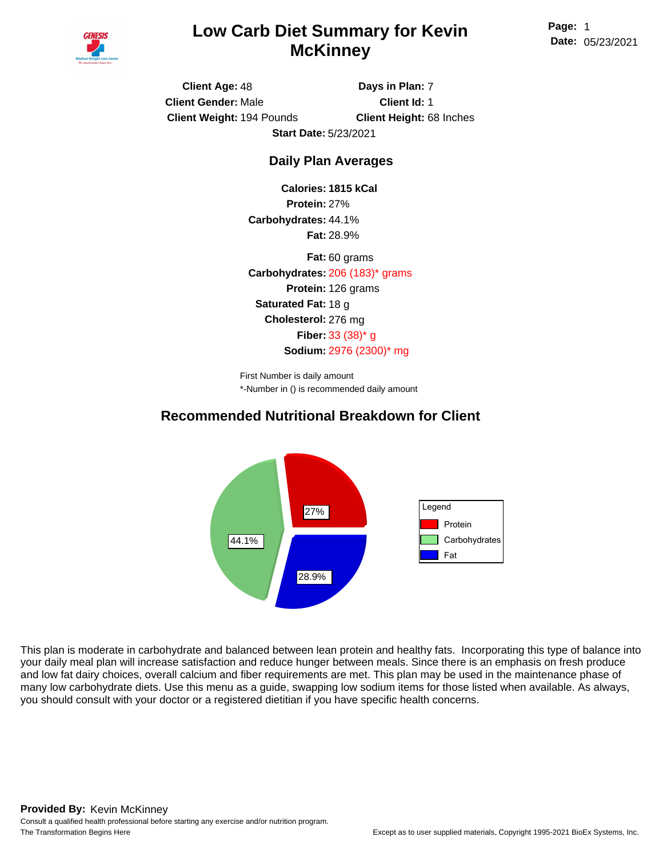

### <sup>1</sup> **Low Carb Diet Summary for Kevin McKinney**

**Page: Date:** 05/23/2021

**Client Age:** 48 **Client Weight:** 194 Pounds **Client Gender:** Male **Days in Plan:** 7 **Client Id:** 1 **Client Height:** 68 Inches **Start Date:** 5/23/2021

#### **Daily Plan Averages**

**Calories: 1815 kCal Protein:** 27% **Carbohydrates:** 44.1% **Fat:** 28.9%

**Carbohydrates:** 206 (183)\* grams **Protein:** 126 grams **Saturated Fat:** 18 g **Cholesterol:** 276 mg **Fiber:** 33 (38)\* g **Sodium:** 2976 (2300)\* mg **Fat:** 60 grams

\*-Number in () is recommended daily amount First Number is daily amount

#### **Recommended Nutritional Breakdown for Client**



This plan is moderate in carbohydrate and balanced between lean protein and healthy fats. Incorporating this type of balance into your daily meal plan will increase satisfaction and reduce hunger between meals. Since there is an emphasis on fresh produce and low fat dairy choices, overall calcium and fiber requirements are met. This plan may be used in the maintenance phase of many low carbohydrate diets. Use this menu as a guide, swapping low sodium items for those listed when available. As always, you should consult with your doctor or a registered dietitian if you have specific health concerns.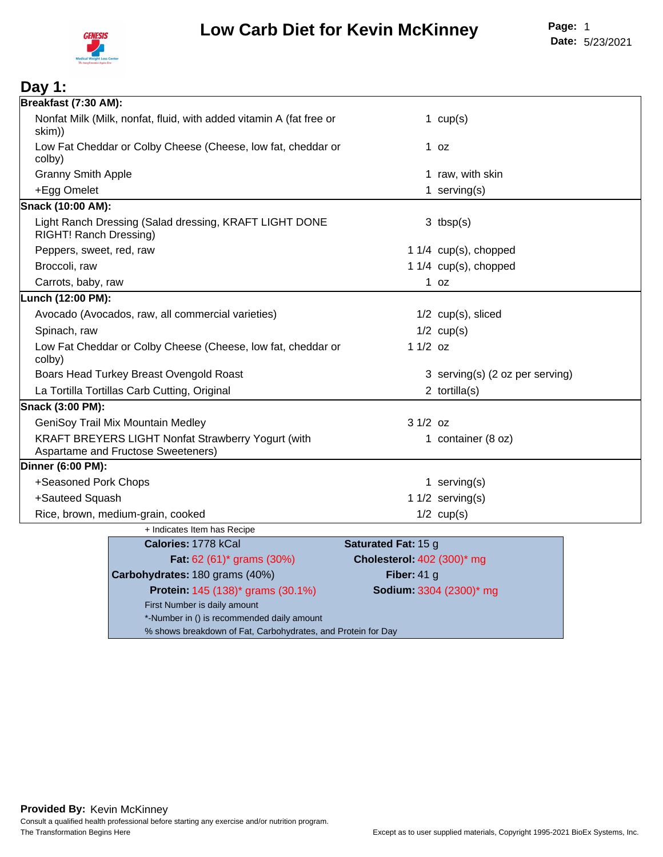

| Day 1:                             |                                                                     |                            |                                 |  |
|------------------------------------|---------------------------------------------------------------------|----------------------------|---------------------------------|--|
| Breakfast (7:30 AM):               |                                                                     |                            |                                 |  |
| skim))                             | Nonfat Milk (Milk, nonfat, fluid, with added vitamin A (fat free or |                            | 1 $cup(s)$                      |  |
| colby)                             | Low Fat Cheddar or Colby Cheese (Cheese, low fat, cheddar or        |                            | $1$ oz                          |  |
| <b>Granny Smith Apple</b>          |                                                                     |                            | 1 raw, with skin                |  |
| +Egg Omelet                        |                                                                     |                            | 1 serving $(s)$                 |  |
| Snack (10:00 AM):                  |                                                                     |                            |                                 |  |
| RIGHT! Ranch Dressing)             | Light Ranch Dressing (Salad dressing, KRAFT LIGHT DONE              |                            | $3$ tbsp(s)                     |  |
| Peppers, sweet, red, raw           |                                                                     |                            | 1 1/4 cup(s), chopped           |  |
| Broccoli, raw                      |                                                                     |                            | 1 1/4 cup(s), chopped           |  |
| Carrots, baby, raw                 |                                                                     |                            | $1$ oz                          |  |
| Lunch (12:00 PM):                  |                                                                     |                            |                                 |  |
|                                    | Avocado (Avocados, raw, all commercial varieties)                   |                            | $1/2$ cup(s), sliced            |  |
| Spinach, raw                       |                                                                     |                            | $1/2$ cup(s)                    |  |
| colby)                             | Low Fat Cheddar or Colby Cheese (Cheese, low fat, cheddar or        | $11/2$ oz                  |                                 |  |
|                                    | Boars Head Turkey Breast Ovengold Roast                             |                            | 3 serving(s) (2 oz per serving) |  |
|                                    | La Tortilla Tortillas Carb Cutting, Original                        |                            | 2 tortilla $(s)$                |  |
| Snack (3:00 PM):                   |                                                                     |                            |                                 |  |
| GeniSoy Trail Mix Mountain Medley  |                                                                     | $31/2$ oz                  |                                 |  |
|                                    | KRAFT BREYERS LIGHT Nonfat Strawberry Yogurt (with                  |                            | 1 container (8 oz)              |  |
| Aspartame and Fructose Sweeteners) |                                                                     |                            |                                 |  |
| Dinner (6:00 PM):                  |                                                                     |                            |                                 |  |
| +Seasoned Pork Chops               |                                                                     |                            | 1 serving $(s)$                 |  |
| +Sauteed Squash                    |                                                                     |                            | 1 $1/2$ serving(s)              |  |
| Rice, brown, medium-grain, cooked  |                                                                     |                            | $1/2$ cup(s)                    |  |
|                                    | + Indicates Item has Recipe                                         |                            |                                 |  |
|                                    | Calories: 1778 kCal                                                 | Saturated Fat: 15 g        |                                 |  |
|                                    | <b>Fat:</b> 62 (61) <sup>*</sup> grams (30%)                        | Cholesterol: 402 (300)* mg |                                 |  |
|                                    | Carbohydrates: 180 grams (40%)                                      | Fiber: $41 g$              |                                 |  |
|                                    | Protein: 145 (138)* grams (30.1%)                                   |                            | Sodium: 3304 (2300)* mg         |  |

| Carbohydrates: 180 grams (40%)                               | Fiber: $41$ g       |
|--------------------------------------------------------------|---------------------|
| <b>Protein: 145 (138)* grams (30.1%)</b>                     | <b>Sodium: 3304</b> |
| First Number is daily amount                                 |                     |
| *-Number in () is recommended daily amount                   |                     |
| % shows breakdown of Fat, Carbohydrates, and Protein for Day |                     |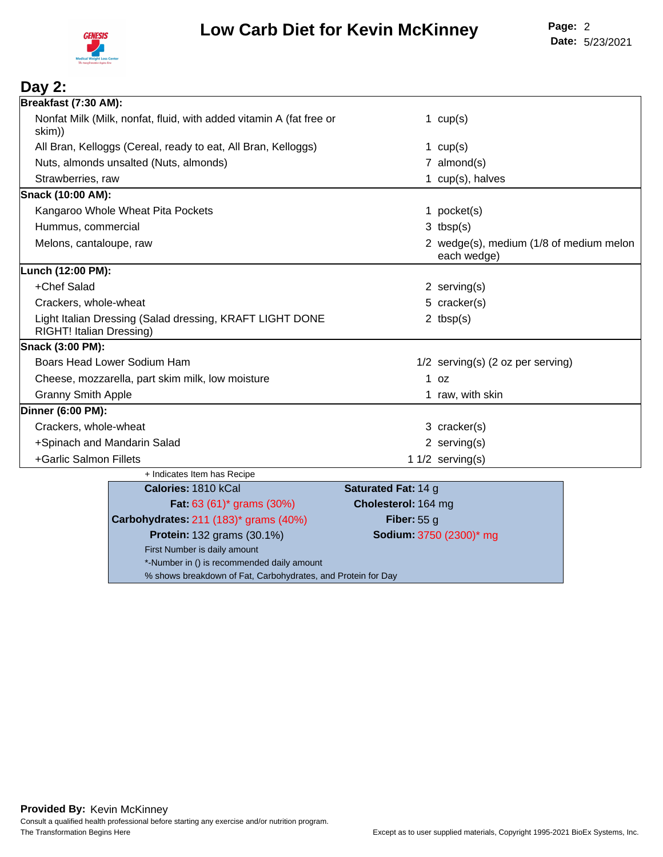

#### **Day 2: Breakfast (7:30 AM):** Nonfat Milk (Milk, nonfat, fluid, with added vitamin A (fat free or skim)) 1 cup(s) All Bran, Kelloggs (Cereal, ready to eat, All Bran, Kelloggs) 1 cup(s) 1 cup(s) Nuts, almonds unsalted (Nuts, almonds) and the control of the control of the control of the mond(s) and the control of the control of the control of the control of the control of the control of the control of the control o Strawberries, raw and the strawberries, raw and the strawberries, raw and the strawberries, raw and the strawber of the straight of the straight of the straight of the straight of the straight of the straight of the straig **Snack (10:00 AM):** Kangaroo Whole Wheat Pita Pockets 1 pocket(s) 1 pocket(s) Hummus, commercial 3 tbsp(s) 3 tbsp(s) Melons, cantaloupe, raw 2 wedge(s), medium (1/8 of medium melon each wedge) **Lunch (12:00 PM):** +Chef Salad 2 serving(s) Crackers, whole-wheat  $5$  cracker(s) Light Italian Dressing (Salad dressing, KRAFT LIGHT DONE RIGHT! Italian Dressing) 2 tbsp(s) **Snack (3:00 PM):** Boars Head Lower Sodium Ham 1/2 serving(s) (2 oz per serving) Cheese, mozzarella, part skim milk, low moisture 1 oz 1 oz Granny Smith Apple 1 raw, with skinner and the state of the state 1 raw, with skin **Dinner (6:00 PM):** Crackers, whole-wheat 3 cracker(s) +Spinach and Mandarin Salad 2 serving(s) +Garlic Salmon Fillets 1 1/2 serving(s) + Indicates Item has Recipe **Calories:** 1810 kCal **Saturated Fat:** 14 g **Fat:** 63 (61)\* grams (30%) **Cholesterol:** 164 mg **Carbohydrates:** 211 (183)\* grams (40%) **Fiber:** 55 g **Protein:** 132 grams (30.1%) **Sodium:** 3750 (2300)\* mg First Number is daily amount \*-Number in () is recommended daily amount

% shows breakdown of Fat, Carbohydrates, and Protein for Day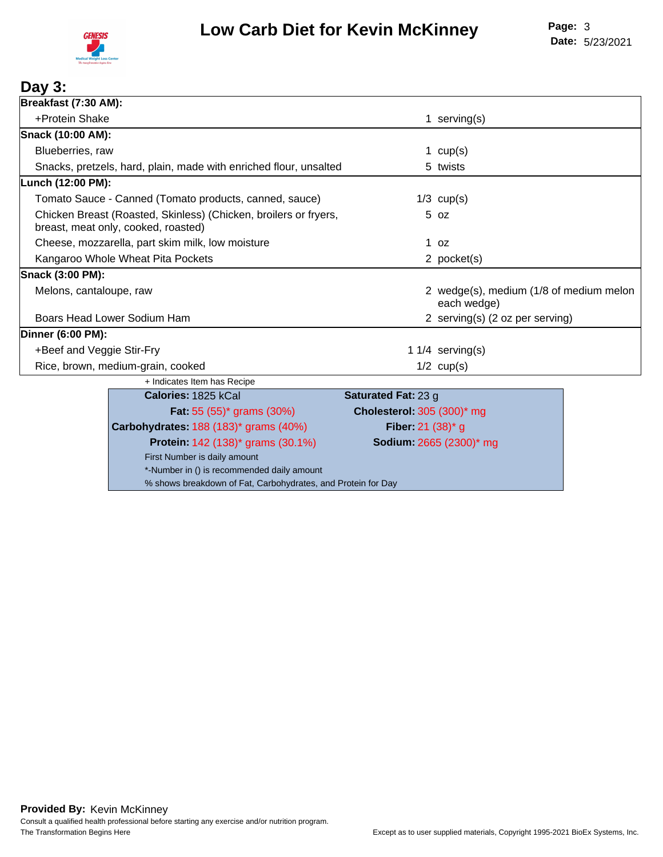

### **Day 3:**

| Breakfast (7:30 AM):      |                                                                                                         |                            |                                                        |  |
|---------------------------|---------------------------------------------------------------------------------------------------------|----------------------------|--------------------------------------------------------|--|
| +Protein Shake            |                                                                                                         | 1                          | serving(s)                                             |  |
| Snack (10:00 AM):         |                                                                                                         |                            |                                                        |  |
| Blueberries, raw          |                                                                                                         |                            | 1 $cup(s)$                                             |  |
|                           | Snacks, pretzels, hard, plain, made with enriched flour, unsalted                                       |                            | 5 twists                                               |  |
| Lunch (12:00 PM):         |                                                                                                         |                            |                                                        |  |
|                           | Tomato Sauce - Canned (Tomato products, canned, sauce)                                                  |                            | $1/3$ cup(s)                                           |  |
|                           | Chicken Breast (Roasted, Skinless) (Chicken, broilers or fryers,<br>breast, meat only, cooked, roasted) |                            | $5$ $oz$                                               |  |
|                           | Cheese, mozzarella, part skim milk, low moisture                                                        | 1                          | 0Z                                                     |  |
|                           | Kangaroo Whole Wheat Pita Pockets                                                                       |                            | 2 pocket(s)                                            |  |
| Snack (3:00 PM):          |                                                                                                         |                            |                                                        |  |
| Melons, cantaloupe, raw   |                                                                                                         |                            | 2 wedge(s), medium (1/8 of medium melon<br>each wedge) |  |
|                           | Boars Head Lower Sodium Ham                                                                             |                            | 2 serving(s) (2 oz per serving)                        |  |
| <b>Dinner (6:00 PM):</b>  |                                                                                                         |                            |                                                        |  |
| +Beef and Veggie Stir-Fry |                                                                                                         |                            | 1 $1/4$ serving(s)                                     |  |
|                           | Rice, brown, medium-grain, cooked                                                                       |                            | $1/2$ cup(s)                                           |  |
|                           | + Indicates Item has Recipe                                                                             |                            |                                                        |  |
|                           | Calories: 1825 kCal                                                                                     | Saturated Fat: 23 g        |                                                        |  |
|                           | <b>Fat:</b> 55 $(55)^*$ grams $(30\%)$                                                                  | Cholesterol: 305 (300)* mg |                                                        |  |
|                           | Carbohydrates: 188 (183)* grams (40%)                                                                   | Fiber: 21 $(38)^*$ g       |                                                        |  |
|                           | <b>Protein: 142 (138)* grams (30.1%)</b>                                                                |                            | Sodium: 2665 (2300)* mg                                |  |
|                           | First Number is daily amount                                                                            |                            |                                                        |  |
|                           | *-Number in () is recommended daily amount                                                              |                            |                                                        |  |

% shows breakdown of Fat, Carbohydrates, and Protein for Day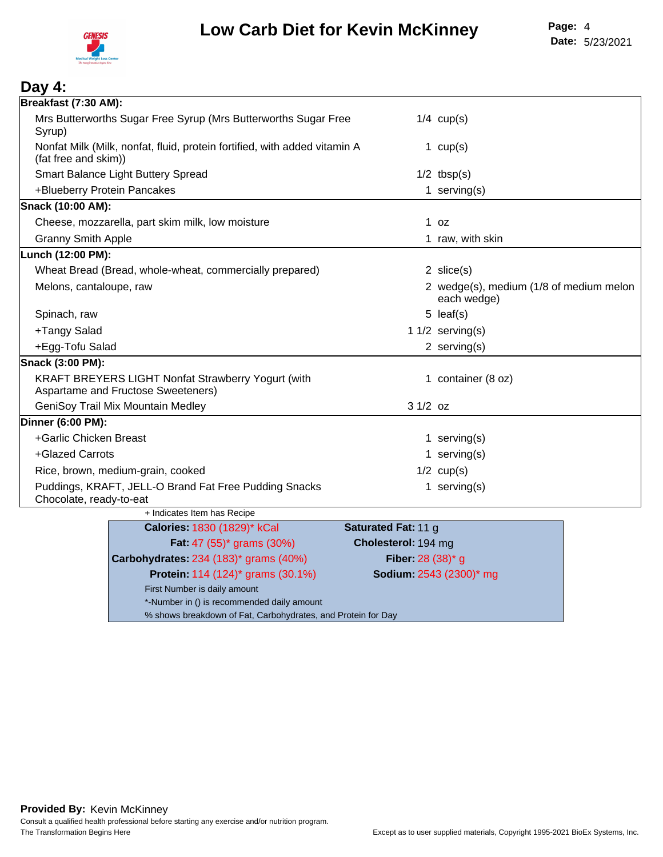

| Day 4:                                                                                                          |  |
|-----------------------------------------------------------------------------------------------------------------|--|
| Breakfast (7:30 AM):                                                                                            |  |
| Mrs Butterworths Sugar Free Syrup (Mrs Butterworths Sugar Free<br>$1/4$ cup(s)<br>Syrup)                        |  |
| Nonfat Milk (Milk, nonfat, fluid, protein fortified, with added vitamin A<br>1 $cup(s)$<br>(fat free and skim)) |  |
| Smart Balance Light Buttery Spread<br>$1/2$ tbsp(s)                                                             |  |
| +Blueberry Protein Pancakes<br>1 serving $(s)$                                                                  |  |
| Snack (10:00 AM):                                                                                               |  |
| Cheese, mozzarella, part skim milk, low moisture<br>1 oz                                                        |  |
| <b>Granny Smith Apple</b><br>1 raw, with skin                                                                   |  |
| Lunch (12:00 PM):                                                                                               |  |
| Wheat Bread (Bread, whole-wheat, commercially prepared)<br>$2 \text{ slice}(s)$                                 |  |
| 2 wedge(s), medium (1/8 of medium melon<br>Melons, cantaloupe, raw<br>each wedge)                               |  |
| $5$ leaf(s)<br>Spinach, raw                                                                                     |  |
| +Tangy Salad<br>1 $1/2$ serving(s)                                                                              |  |
| +Egg-Tofu Salad<br>2 serving $(s)$                                                                              |  |
| Snack (3:00 PM):                                                                                                |  |
| KRAFT BREYERS LIGHT Nonfat Strawberry Yogurt (with<br>1 container (8 oz)<br>Aspartame and Fructose Sweeteners)  |  |
| GeniSoy Trail Mix Mountain Medley<br>$31/2$ oz                                                                  |  |
| Dinner (6:00 PM):                                                                                               |  |
| +Garlic Chicken Breast<br>1 serving $(s)$                                                                       |  |
| +Glazed Carrots<br>1 serving $(s)$                                                                              |  |
| $1/2$ cup(s)<br>Rice, brown, medium-grain, cooked                                                               |  |
| Puddings, KRAFT, JELL-O Brand Fat Free Pudding Snacks<br>1 serving $(s)$<br>Chocolate, ready-to-eat             |  |
| + Indicates Item has Recipe                                                                                     |  |
| Saturated Fat: 11 g<br>Calories: 1830 (1829)* kCal                                                              |  |
| <b>Fat:</b> 47 (55) <sup>*</sup> grams (30%)<br>Cholesterol: 194 mg                                             |  |
| Fiber: 28 (38)* g<br>Carbohydrates: 234 (183)* grams (40%)                                                      |  |
| <b>Protein: 114 (124)* grams (30.1%)</b><br>Sodium: 2543 (2300)* mg                                             |  |
| First Number is daily amount<br>*-Number in () is recommended daily amount                                      |  |
| % shows breakdown of Fat, Carbohydrates, and Protein for Day                                                    |  |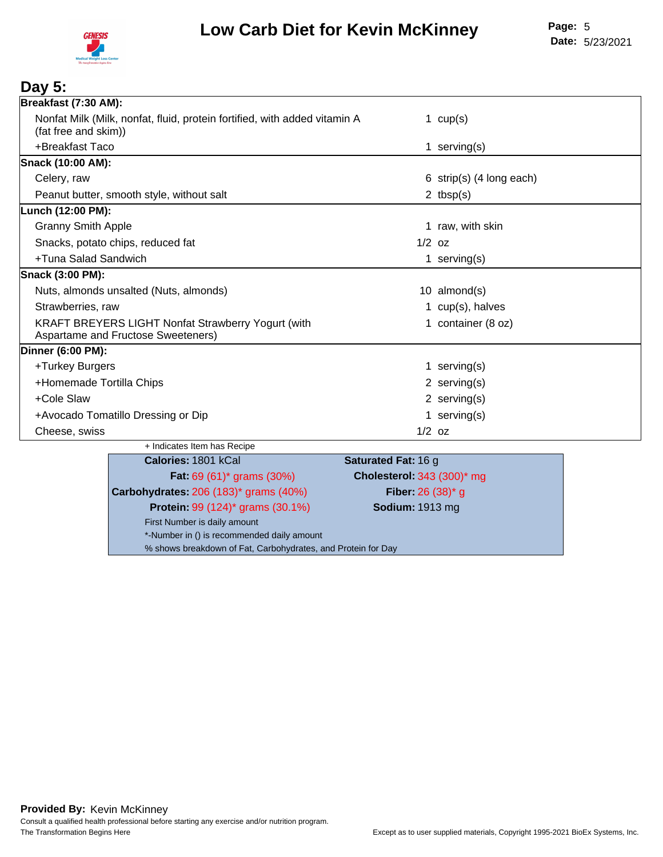

#### **Day 5: Breakfast (7:30 AM):** Nonfat Milk (Milk, nonfat, fluid, protein fortified, with added vitamin A (fat free and skim)) 1 cup(s) +Breakfast Taco 1 serving(s) **Snack (10:00 AM):** Celery, raw 6 strip(s) (4 long each) Peanut butter, smooth style, without salt 2 tbsp(s) **Lunch (12:00 PM):** Granny Smith Apple **1 Granny Smith Apple** 1 **raw**, with skin Snacks, potato chips, reduced fat 1/2 oz 1/2 oz 1/2 oz +Tuna Salad Sandwich 1 serving(s) **Snack (3:00 PM):** Nuts, almonds unsalted (Nuts, almonds) 10 almond(s) Strawberries, raw 1 cup(s), halves KRAFT BREYERS LIGHT Nonfat Strawberry Yogurt (with Aspartame and Fructose Sweeteners) 1 container (8 oz) **Dinner (6:00 PM):** +Turkey Burgers 1 serving(s) +Homemade Tortilla Chips 2 serving(s) +Cole Slaw 2 serving(s) +Avocado Tomatillo Dressing or Dip 1 serving(s) 1 serving(s) Cheese, swiss 1/2 oz + Indicates Item has Recipe **Calories:** 1801 kCal **Saturated Fat:** 16 g **Fat:** 69 (61)\* grams (30%) **Cholesterol:** 343 (300)\* mg **Carbohydrates:** 206 (183)\* grams (40%) **Fiber:** 26 (38)\* g **Protein:** 99 (124)\* grams (30.1%) **Sodium:** 1913 mg First Number is daily amount \*-Number in () is recommended daily amount % shows breakdown of Fat, Carbohydrates, and Protein for Day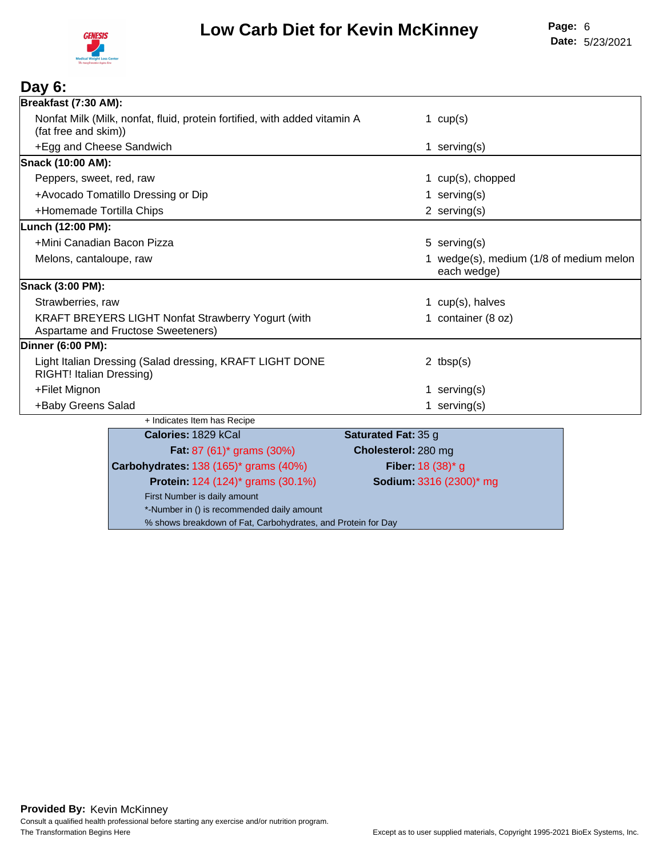

#### **Day 6: Breakfast (7:30 AM):** Nonfat Milk (Milk, nonfat, fluid, protein fortified, with added vitamin A (fat free and skim)) 1  $cup(s)$ +Egg and Cheese Sandwich 1 serving(s) 1 serving(s) **Snack (10:00 AM):** Peppers, sweet, red, raw 1 cup(s), chopped +Avocado Tomatillo Dressing or Dip 1 serving(s) +Homemade Tortilla Chips 2 serving(s) **Lunch (12:00 PM):** +Mini Canadian Bacon Pizza 5 serving(s) Melons, cantaloupe, raw 1 wedge(s), medium (1/8 of medium melon each wedge) **Snack (3:00 PM):** Strawberries, raw and the strawberries, raw and the strawberries, raw and the strawberries, raw and the strawberries of the strawberries of the strategy of the strategy of the strategy of the strategy of the strategy of th KRAFT BREYERS LIGHT Nonfat Strawberry Yogurt (with Aspartame and Fructose Sweeteners) 1 container (8 oz) **Dinner (6:00 PM):** Light Italian Dressing (Salad dressing, KRAFT LIGHT DONE RIGHT! Italian Dressing) 2 tbsp(s) +Filet Mignon 1 serving(s) + Filet Mignon 1 serving(s) +Baby Greens Salad 1 serving(s) and 1 serving(s) +Baby Greens Salad + Indicates Item has Recipe **Calories:** 1829 kCal **Saturated Fat:** 35 g **Fat:** 87 (61)\* grams (30%) **Cholesterol:** 280 mg **Carbohydrates:** 138 (165)\* grams (40%) **Fiber:** 18 (38)\* g **Protein:** 124 (124)\* grams (30.1%) **Sodium:** 3316 (2300)\* mg First Number is daily amount

\*-Number in () is recommended daily amount % shows breakdown of Fat, Carbohydrates, and Protein for Day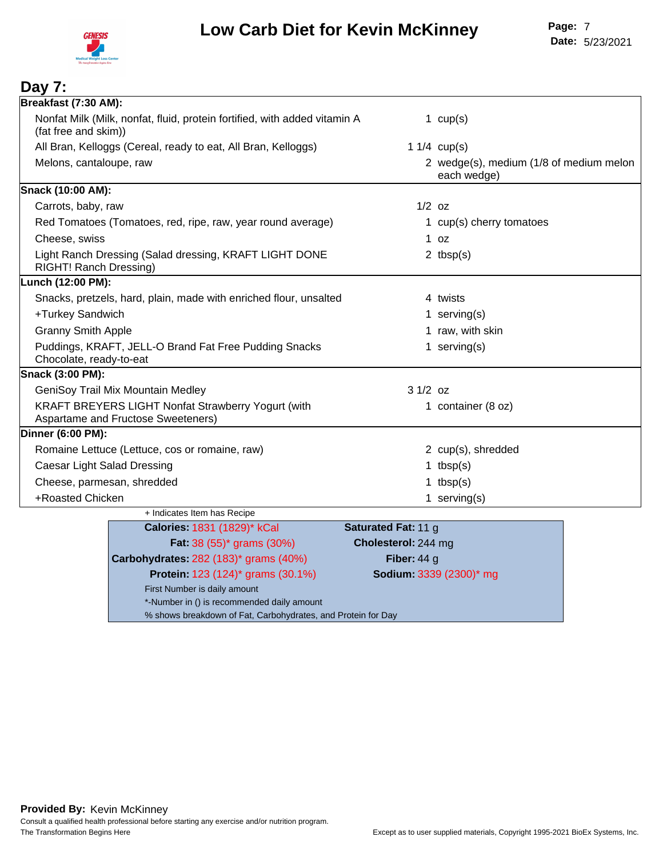

| Day 7:                             |                                                                                                 |                            |                                                        |
|------------------------------------|-------------------------------------------------------------------------------------------------|----------------------------|--------------------------------------------------------|
| Breakfast (7:30 AM):               |                                                                                                 |                            |                                                        |
| (fat free and skim))               | Nonfat Milk (Milk, nonfat, fluid, protein fortified, with added vitamin A                       |                            | 1 $cup(s)$                                             |
|                                    | All Bran, Kelloggs (Cereal, ready to eat, All Bran, Kelloggs)                                   |                            | 1 $1/4$ cup(s)                                         |
| Melons, cantaloupe, raw            |                                                                                                 |                            | 2 wedge(s), medium (1/8 of medium melon<br>each wedge) |
| Snack (10:00 AM):                  |                                                                                                 |                            |                                                        |
| Carrots, baby, raw                 |                                                                                                 | $1/2$ oz                   |                                                        |
|                                    | Red Tomatoes (Tomatoes, red, ripe, raw, year round average)                                     |                            | 1 cup(s) cherry tomatoes                               |
| Cheese, swiss                      |                                                                                                 |                            | $1$ oz                                                 |
| RIGHT! Ranch Dressing)             | Light Ranch Dressing (Salad dressing, KRAFT LIGHT DONE                                          |                            | 2 $tbsp(s)$                                            |
| Lunch (12:00 PM):                  |                                                                                                 |                            |                                                        |
|                                    | Snacks, pretzels, hard, plain, made with enriched flour, unsalted                               |                            | 4 twists                                               |
| +Turkey Sandwich                   |                                                                                                 |                            | 1 serving $(s)$                                        |
| <b>Granny Smith Apple</b>          |                                                                                                 |                            | 1 raw, with skin                                       |
| Chocolate, ready-to-eat            | Puddings, KRAFT, JELL-O Brand Fat Free Pudding Snacks                                           |                            | 1 serving $(s)$                                        |
| Snack (3:00 PM):                   |                                                                                                 |                            |                                                        |
|                                    | GeniSoy Trail Mix Mountain Medley                                                               | $31/2$ oz                  |                                                        |
|                                    | <b>KRAFT BREYERS LIGHT Nonfat Strawberry Yogurt (with</b><br>Aspartame and Fructose Sweeteners) |                            | 1 container (8 oz)                                     |
| Dinner (6:00 PM):                  |                                                                                                 |                            |                                                        |
|                                    | Romaine Lettuce (Lettuce, cos or romaine, raw)                                                  |                            | 2 cup(s), shredded                                     |
| <b>Caesar Light Salad Dressing</b> |                                                                                                 |                            | 1 tbsp $(s)$                                           |
| Cheese, parmesan, shredded         |                                                                                                 |                            | 1 $tbsp(s)$                                            |
| +Roasted Chicken                   |                                                                                                 |                            | 1 serving $(s)$                                        |
|                                    | + Indicates Item has Recipe                                                                     |                            |                                                        |
|                                    | Calories: 1831 (1829)* kCal                                                                     | <b>Saturated Fat: 11 g</b> |                                                        |
|                                    | Fat: 38 (55)* grams (30%)                                                                       | Cholesterol: 244 mg        |                                                        |
|                                    | Carbohydrates: 282 (183)* grams (40%)                                                           | Fiber: $44 g$              |                                                        |
|                                    | Protein: 123 (124) <sup>*</sup> grams (30.1%)                                                   |                            | Sodium: 3339 (2300)* mg                                |
|                                    | First Number is daily amount                                                                    |                            |                                                        |

\*-Number in () is recommended daily amount

% shows breakdown of Fat, Carbohydrates, and Protein for Day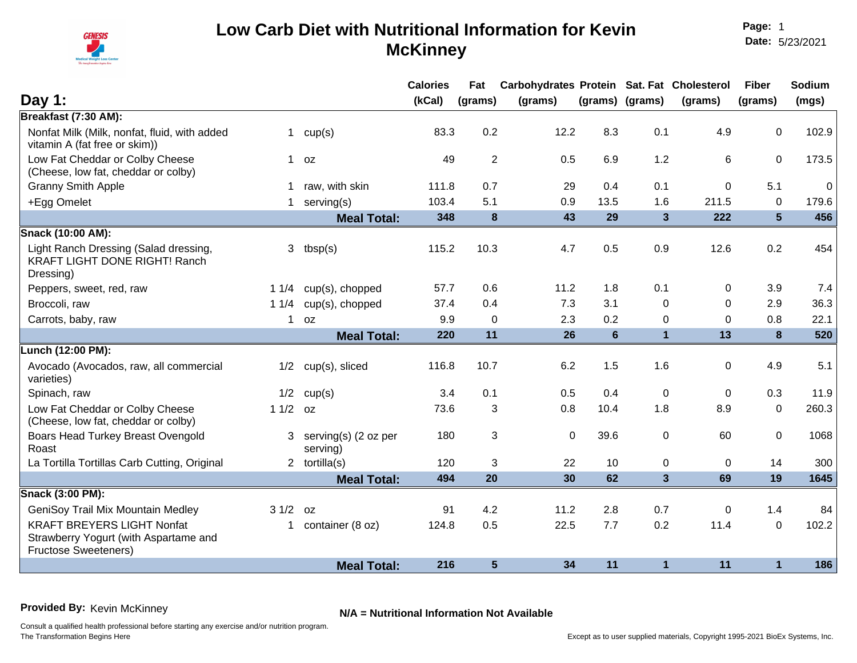

**Page:** 1 **Date:** 5/23/2021

|                                                                                                           |              |                                    | <b>Calories</b> | Fat            | Carbohydrates Protein Sat. Fat Cholesterol |                |                 |              | <b>Fiber</b>     | Sodium       |
|-----------------------------------------------------------------------------------------------------------|--------------|------------------------------------|-----------------|----------------|--------------------------------------------|----------------|-----------------|--------------|------------------|--------------|
| Day 1:                                                                                                    |              |                                    | (kCal)          | (grams)        | (grams)                                    |                | (grams) (grams) | (grams)      | (grams)          | (mgs)        |
| Breakfast (7:30 AM):                                                                                      |              |                                    |                 |                |                                            |                |                 |              |                  |              |
| Nonfat Milk (Milk, nonfat, fluid, with added<br>vitamin A (fat free or skim))                             | 1            | cup(s)                             | 83.3            | 0.2            | 12.2                                       | 8.3            | 0.1             | 4.9          | $\Omega$         | 102.9        |
| Low Fat Cheddar or Colby Cheese<br>(Cheese, low fat, cheddar or colby)                                    |              | $1$ oz                             | 49              | $\overline{2}$ | 0.5                                        | 6.9            | 1.2             | 6            | $\mathbf 0$      | 173.5        |
| <b>Granny Smith Apple</b>                                                                                 | 1            | raw, with skin                     | 111.8           | 0.7            | 29                                         | 0.4            | 0.1             | $\Omega$     | 5.1              | $\mathbf{0}$ |
| +Egg Omelet                                                                                               | 1            | serving(s)                         | 103.4           | 5.1            | 0.9                                        | 13.5           | 1.6             | 211.5        | $\Omega$         | 179.6        |
|                                                                                                           |              | <b>Meal Total:</b>                 | 348             | 8              | 43                                         | 29             | $\mathbf{3}$    | 222          | $5\phantom{1}$   | 456          |
| Snack (10:00 AM):                                                                                         |              |                                    |                 |                |                                            |                |                 |              |                  |              |
| Light Ranch Dressing (Salad dressing,<br><b>KRAFT LIGHT DONE RIGHT! Ranch</b><br>Dressing)                | 3            | tbsp(s)                            | 115.2           | 10.3           | 4.7                                        | 0.5            | 0.9             | 12.6         | 0.2              | 454          |
| Peppers, sweet, red, raw                                                                                  | 11/4         | cup(s), chopped                    | 57.7            | 0.6            | 11.2                                       | 1.8            | 0.1             | 0            | 3.9              | 7.4          |
| Broccoli, raw                                                                                             | 11/4         | cup(s), chopped                    | 37.4            | 0.4            | 7.3                                        | 3.1            | $\Omega$        | $\mathbf{0}$ | 2.9              | 36.3         |
| Carrots, baby, raw                                                                                        | $\mathbf{1}$ | 0Z                                 | 9.9             | $\Omega$       | 2.3                                        | 0.2            | $\mathbf 0$     | 0            | 0.8              | 22.1         |
|                                                                                                           |              | <b>Meal Total:</b>                 | 220             | 11             | 26                                         | $6\phantom{1}$ | $\mathbf{1}$    | 13           | 8                | 520          |
| Lunch (12:00 PM):                                                                                         |              |                                    |                 |                |                                            |                |                 |              |                  |              |
| Avocado (Avocados, raw, all commercial<br>varieties)                                                      | 1/2          | cup(s), sliced                     | 116.8           | 10.7           | 6.2                                        | 1.5            | 1.6             | 0            | 4.9              | 5.1          |
| Spinach, raw                                                                                              | 1/2          | cup(s)                             | 3.4             | 0.1            | 0.5                                        | 0.4            | $\mathbf{0}$    | $\mathbf{0}$ | 0.3              | 11.9         |
| Low Fat Cheddar or Colby Cheese<br>(Cheese, low fat, cheddar or colby)                                    | $11/2$ oz    |                                    | 73.6            | 3              | 0.8                                        | 10.4           | 1.8             | 8.9          | $\Omega$         | 260.3        |
| Boars Head Turkey Breast Ovengold<br>Roast                                                                |              | 3 serving(s) (2 oz per<br>serving) | 180             | 3              | $\mathbf 0$                                | 39.6           | $\mathbf 0$     | 60           | $\boldsymbol{0}$ | 1068         |
| La Tortilla Tortillas Carb Cutting, Original                                                              |              | 2 $totilla(s)$                     | 120             | 3              | 22                                         | 10             | $\pmb{0}$       | $\Omega$     | 14               | 300          |
|                                                                                                           |              | <b>Meal Total:</b>                 | 494             | 20             | 30                                         | 62             | $\mathbf{3}$    | 69           | 19               | 1645         |
| Snack (3:00 PM):                                                                                          |              |                                    |                 |                |                                            |                |                 |              |                  |              |
| <b>GeniSoy Trail Mix Mountain Medley</b>                                                                  | 31/2         | 0Z                                 | 91              | 4.2            | 11.2                                       | 2.8            | 0.7             | $\mathbf 0$  | 1.4              | 84           |
| <b>KRAFT BREYERS LIGHT Nonfat</b><br>Strawberry Yogurt (with Aspartame and<br><b>Fructose Sweeteners)</b> | $\mathbf{1}$ | container (8 oz)                   | 124.8           | 0.5            | 22.5                                       | 7.7            | 0.2             | 11.4         | $\mathbf{0}$     | 102.2        |
|                                                                                                           |              | <b>Meal Total:</b>                 | 216             | $5\phantom{1}$ | 34                                         | 11             | $\mathbf{1}$    | 11           | $\mathbf{1}$     | 186          |

**Provided By:** Kevin McKinney **N/A = Nutritional Information Not Available**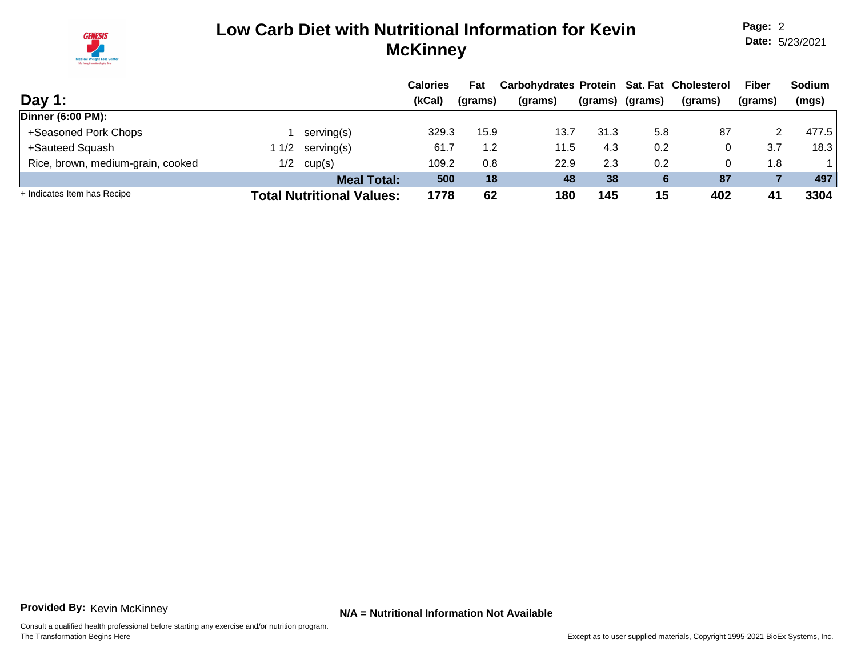

**Page:** 2 **Date:** 5/23/2021

|                                   |      |                                  | <b>Calories</b> | Fat     | Carbohydrates Protein Sat. Fat Cholesterol |      |                 |         | <b>Fiber</b> | <b>Sodium</b> |
|-----------------------------------|------|----------------------------------|-----------------|---------|--------------------------------------------|------|-----------------|---------|--------------|---------------|
| Day 1:                            |      |                                  | (kCal)          | (grams) | (grams)                                    |      | (grams) (grams) | (grams) | (grams)      | (mgs)         |
| Dinner (6:00 PM):                 |      |                                  |                 |         |                                            |      |                 |         |              |               |
| +Seasoned Pork Chops              |      | serving(s)                       | 329.3           | 15.9    | 13.7                                       | 31.3 | 5.8             | 87      |              | 477.5         |
| +Sauteed Squash                   | 11/2 | serving(s)                       | 61.7            | 1.2     | 11.5                                       | 4.3  | 0.2             |         | 3.7          | 18.3          |
| Rice, brown, medium-grain, cooked | 1/2  | cup(s)                           | 109.2           | 0.8     | 22.9                                       | 2.3  | 0.2             |         | 1.8          |               |
|                                   |      | <b>Meal Total:</b>               | 500             | 18      | 48                                         | 38   |                 | 87      |              | 497           |
| + Indicates Item has Recipe       |      | <b>Total Nutritional Values:</b> | 1778            | 62      | 180                                        | 145  | 15              | 402     | 41           | 3304          |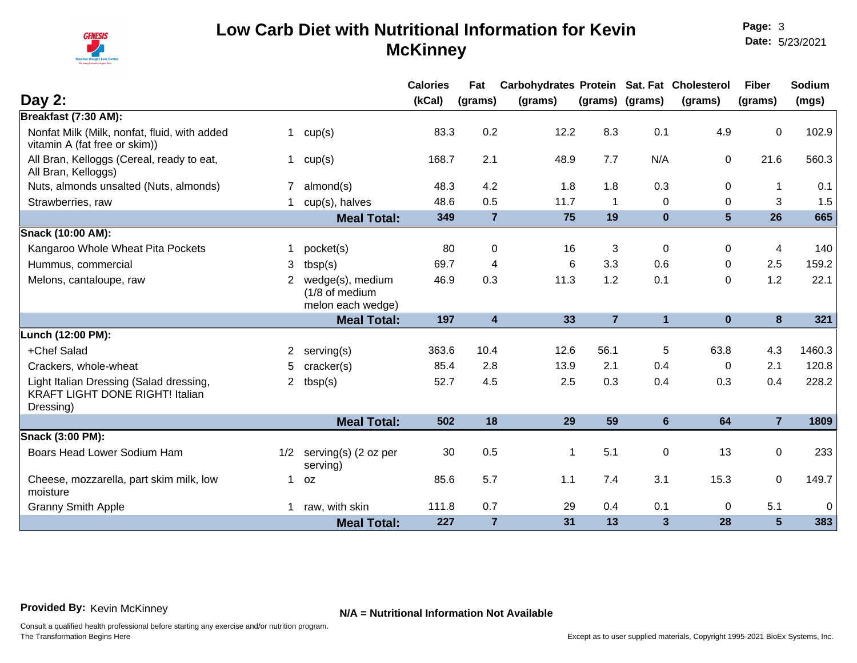

|                                                                                                |                       |                                                         | <b>Calories</b> | Fat            | Carbohydrates Protein Sat. Fat Cholesterol |                |                 |                 | <b>Fiber</b>   | Sodium      |
|------------------------------------------------------------------------------------------------|-----------------------|---------------------------------------------------------|-----------------|----------------|--------------------------------------------|----------------|-----------------|-----------------|----------------|-------------|
| Day 2:                                                                                         |                       |                                                         | (kCal)          | (grams)        | (grams)                                    |                | (grams) (grams) | (grams)         | (grams)        | (mgs)       |
| Breakfast (7:30 AM):                                                                           |                       |                                                         |                 |                |                                            |                |                 |                 |                |             |
| Nonfat Milk (Milk, nonfat, fluid, with added<br>vitamin A (fat free or skim))                  | $\mathbf 1$           | cup(s)                                                  | 83.3            | 0.2            | 12.2                                       | 8.3            | 0.1             | 4.9             | 0              | 102.9       |
| All Bran, Kelloggs (Cereal, ready to eat,<br>All Bran, Kelloggs)                               | 1                     | cup(s)                                                  | 168.7           | 2.1            | 48.9                                       | 7.7            | N/A             | $\mathbf 0$     | 21.6           | 560.3       |
| Nuts, almonds unsalted (Nuts, almonds)                                                         |                       | almond(s)                                               | 48.3            | 4.2            | 1.8                                        | 1.8            | 0.3             | $\Omega$        |                | 0.1         |
| Strawberries, raw                                                                              |                       | cup(s), halves                                          | 48.6            | 0.5            | 11.7                                       | $\mathbf{1}$   | 0               | $\Omega$        | 3              | 1.5         |
|                                                                                                |                       | <b>Meal Total:</b>                                      | 349             | $\overline{7}$ | 75                                         | 19             | $\bf{0}$        | $5\phantom{.0}$ | 26             | 665         |
| <b>Snack (10:00 AM):</b>                                                                       |                       |                                                         |                 |                |                                            |                |                 |                 |                |             |
| Kangaroo Whole Wheat Pita Pockets                                                              | 1.                    | pocket(s)                                               | 80              | $\mathbf 0$    | 16                                         | 3              | $\mathbf 0$     | 0               | 4              | 140         |
| Hummus, commercial                                                                             | 3                     | tbsp(s)                                                 | 69.7            | 4              | 6                                          | 3.3            | 0.6             | $\Omega$        | 2.5            | 159.2       |
| Melons, cantaloupe, raw                                                                        | $\overline{2}$        | wedge(s), medium<br>(1/8 of medium<br>melon each wedge) | 46.9            | 0.3            | 11.3                                       | 1.2            | 0.1             | $\Omega$        | 1.2            | 22.1        |
|                                                                                                |                       | <b>Meal Total:</b>                                      | 197             | $\overline{4}$ | 33                                         | $\overline{7}$ | $\mathbf{1}$    | $\mathbf{0}$    | 8              | 321         |
| Lunch (12:00 PM):                                                                              |                       |                                                         |                 |                |                                            |                |                 |                 |                |             |
| +Chef Salad                                                                                    | $\mathbf{2}^{\prime}$ | serving(s)                                              | 363.6           | 10.4           | 12.6                                       | 56.1           | 5               | 63.8            | 4.3            | 1460.3      |
| Crackers, whole-wheat                                                                          | 5                     | cracker(s)                                              | 85.4            | 2.8            | 13.9                                       | 2.1            | 0.4             | $\mathbf 0$     | 2.1            | 120.8       |
| Light Italian Dressing (Salad dressing,<br><b>KRAFT LIGHT DONE RIGHT! Italian</b><br>Dressing) | $\overline{2}$        | tbsp(s)                                                 | 52.7            | 4.5            | 2.5                                        | 0.3            | 0.4             | 0.3             | 0.4            | 228.2       |
|                                                                                                |                       | <b>Meal Total:</b>                                      | 502             | 18             | 29                                         | 59             | $6\phantom{a}$  | 64              | $\overline{7}$ | 1809        |
| Snack (3:00 PM):                                                                               |                       |                                                         |                 |                |                                            |                |                 |                 |                |             |
| Boars Head Lower Sodium Ham                                                                    | 1/2                   | serving(s) (2 oz per<br>serving)                        | 30              | 0.5            | 1                                          | 5.1            | $\pmb{0}$       | 13              | $\mathbf 0$    | 233         |
| Cheese, mozzarella, part skim milk, low<br>moisture                                            | $\mathbf 1$           | <b>OZ</b>                                               | 85.6            | 5.7            | 1.1                                        | 7.4            | 3.1             | 15.3            | $\mathbf 0$    | 149.7       |
| <b>Granny Smith Apple</b>                                                                      | $\mathbf 1$           | raw, with skin                                          | 111.8           | 0.7            | 29                                         | 0.4            | 0.1             | $\Omega$        | 5.1            | $\mathbf 0$ |
|                                                                                                |                       | <b>Meal Total:</b>                                      | 227             | $\overline{7}$ | 31                                         | 13             | 3               | 28              | 5              | 383         |

**Provided By:** Kevin McKinney **N/A = Nutritional Information Not Available**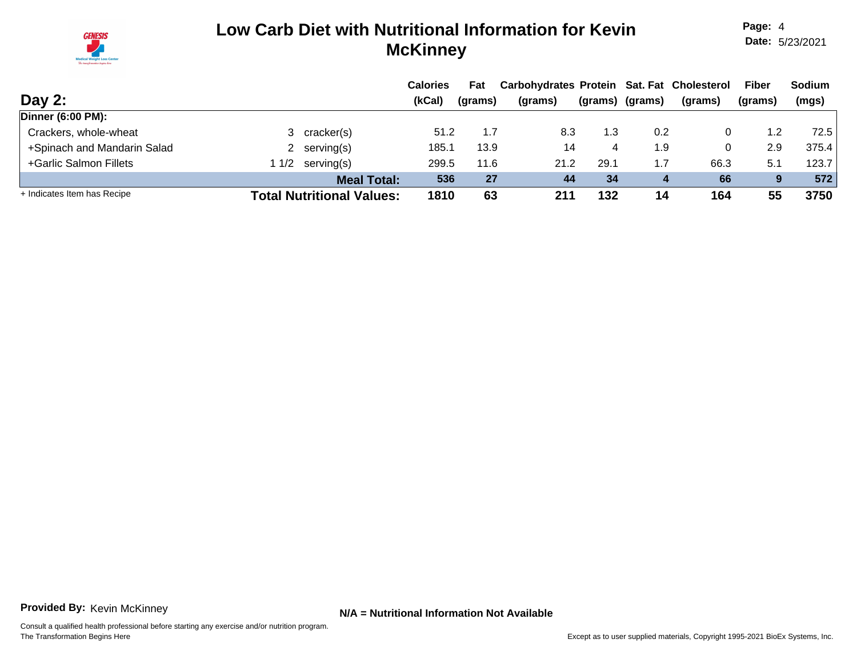

**Page:** 4 **Date:** 5/23/2021

|                             |                                  | <b>Calories</b> | Fat     | Carbohydrates Protein Sat. Fat Cholesterol |         |         |         | <b>Fiber</b> | <b>Sodium</b> |
|-----------------------------|----------------------------------|-----------------|---------|--------------------------------------------|---------|---------|---------|--------------|---------------|
| Day 2:                      |                                  | (kCal)          | (grams) | (grams)                                    | (grams) | (grams) | (grams) | (grams)      | (mgs)         |
| <b>Dinner (6:00 PM):</b>    |                                  |                 |         |                                            |         |         |         |              |               |
| Crackers, whole-wheat       | 3 cracker(s)                     | 51.2            | 1.7     | 8.3                                        | 1.3     | 0.2     |         | 1.2          | 72.5          |
| +Spinach and Mandarin Salad | 2 serving $(s)$                  | 185.1           | 13.9    | 14                                         | 4       | 1.9     |         | 2.9          | 375.4         |
| +Garlic Salmon Fillets      | $1/2$ serving(s)                 | 299.5           | 11.6    | 21.2                                       | 29.1    | 7. ا    | 66.3    | 5.1          | 123.7         |
|                             | <b>Meal Total:</b>               | 536             | 27      | 44                                         | 34      |         | 66      | 9            | 572           |
| + Indicates Item has Recipe | <b>Total Nutritional Values:</b> | 1810            | 63      | 211                                        | 132     | 14      | 164     | 55           | 3750          |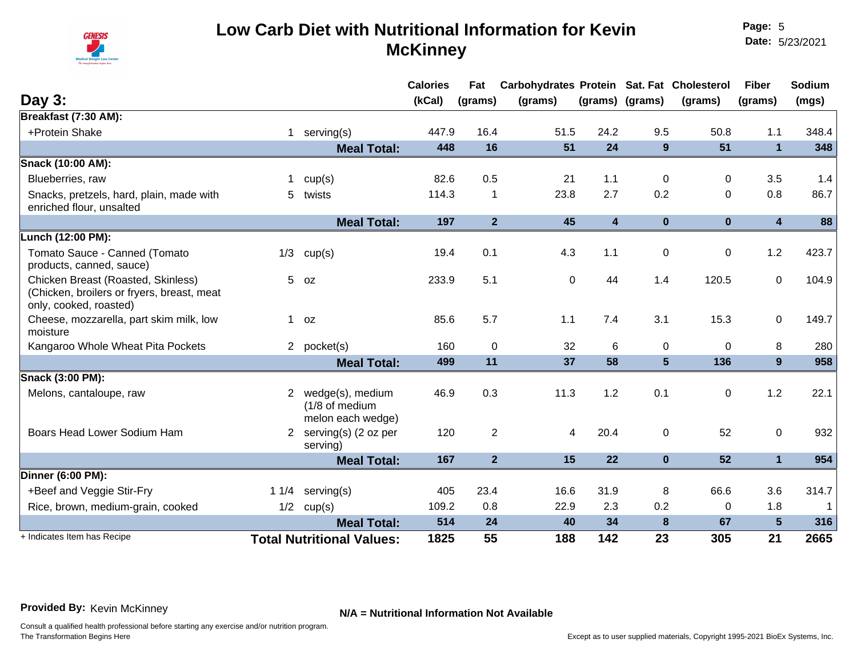

**Page:** 5 **Date:** 5/23/2021

|                                                                                                            |              |                                                         | <b>Calories</b> | Fat            | Carbohydrates Protein Sat. Fat Cholesterol |                         |                 |              | <b>Fiber</b>            | Sodium |
|------------------------------------------------------------------------------------------------------------|--------------|---------------------------------------------------------|-----------------|----------------|--------------------------------------------|-------------------------|-----------------|--------------|-------------------------|--------|
| Day 3:                                                                                                     |              |                                                         | (kCal)          | (grams)        | (grams)                                    |                         | (grams) (grams) | (grams)      | (grams)                 | (mgs)  |
| Breakfast (7:30 AM):                                                                                       |              |                                                         |                 |                |                                            |                         |                 |              |                         |        |
| +Protein Shake                                                                                             | $\mathbf{1}$ | serving(s)                                              | 447.9           | 16.4           | 51.5                                       | 24.2                    | 9.5             | 50.8         | 1.1                     | 348.4  |
|                                                                                                            |              | <b>Meal Total:</b>                                      | 448             | 16             | 51                                         | 24                      | 9               | 51           | $\mathbf{1}$            | 348    |
| Snack (10:00 AM):                                                                                          |              |                                                         |                 |                |                                            |                         |                 |              |                         |        |
| Blueberries, raw                                                                                           |              | cup(s)                                                  | 82.6            | 0.5            | 21                                         | 1.1                     | 0               | $\Omega$     | 3.5                     | 1.4    |
| Snacks, pretzels, hard, plain, made with<br>enriched flour, unsalted                                       |              | 5 twists                                                | 114.3           | 1              | 23.8                                       | 2.7                     | 0.2             | $\Omega$     | 0.8                     | 86.7   |
|                                                                                                            |              | <b>Meal Total:</b>                                      | 197             | $\overline{2}$ | 45                                         | $\overline{\mathbf{4}}$ | $\bf{0}$        | $\mathbf{0}$ | $\overline{\mathbf{4}}$ | 88     |
| Lunch (12:00 PM):                                                                                          |              |                                                         |                 |                |                                            |                         |                 |              |                         |        |
| Tomato Sauce - Canned (Tomato<br>products, canned, sauce)                                                  | 1/3          | cup(s)                                                  | 19.4            | 0.1            | 4.3                                        | 1.1                     | 0               | 0            | 1.2                     | 423.7  |
| Chicken Breast (Roasted, Skinless)<br>(Chicken, broilers or fryers, breast, meat<br>only, cooked, roasted) |              | $5$ $oz$                                                | 233.9           | 5.1            | $\mathbf 0$                                | 44                      | 1.4             | 120.5        | $\mathbf 0$             | 104.9  |
| Cheese, mozzarella, part skim milk, low<br>moisture                                                        | $\mathbf 1$  | 0Z                                                      | 85.6            | 5.7            | 1.1                                        | 7.4                     | 3.1             | 15.3         | $\mathbf 0$             | 149.7  |
| Kangaroo Whole Wheat Pita Pockets                                                                          |              | 2 pocket(s)                                             | 160             | $\mathbf 0$    | 32                                         | 6                       | 0               | $\Omega$     | 8                       | 280    |
|                                                                                                            |              | <b>Meal Total:</b>                                      | 499             | 11             | 37                                         | 58                      | $5\phantom{1}$  | 136          | 9                       | 958    |
| Snack (3:00 PM):                                                                                           |              |                                                         |                 |                |                                            |                         |                 |              |                         |        |
| Melons, cantaloupe, raw                                                                                    | 2            | wedge(s), medium<br>(1/8 of medium<br>melon each wedge) | 46.9            | 0.3            | 11.3                                       | 1.2                     | 0.1             | $\Omega$     | 1.2                     | 22.1   |
| Boars Head Lower Sodium Ham                                                                                |              | 2 serving(s) (2 oz per<br>serving)                      | 120             | $\overline{2}$ | 4                                          | 20.4                    | $\mathbf 0$     | 52           | $\mathbf 0$             | 932    |
|                                                                                                            |              | <b>Meal Total:</b>                                      | 167             | $\overline{2}$ | 15                                         | 22                      | $\bf{0}$        | 52           | $\mathbf{1}$            | 954    |
| <b>Dinner (6:00 PM):</b>                                                                                   |              |                                                         |                 |                |                                            |                         |                 |              |                         |        |
| +Beef and Veggie Stir-Fry                                                                                  |              | 1 $1/4$ serving(s)                                      | 405             | 23.4           | 16.6                                       | 31.9                    | 8               | 66.6         | 3.6                     | 314.7  |
| Rice, brown, medium-grain, cooked                                                                          | 1/2          | cup(s)                                                  | 109.2           | 0.8            | 22.9                                       | 2.3                     | 0.2             | $\Omega$     | 1.8                     | 1      |
|                                                                                                            |              | <b>Meal Total:</b>                                      | 514             | 24             | 40                                         | 34                      | 8               | 67           | 5                       | 316    |
| + Indicates Item has Recipe                                                                                |              | <b>Total Nutritional Values:</b>                        | 1825            | 55             | 188                                        | 142                     | 23              | 305          | 21                      | 2665   |

**Provided By:** Kevin McKinney **N/A = Nutritional Information Not Available**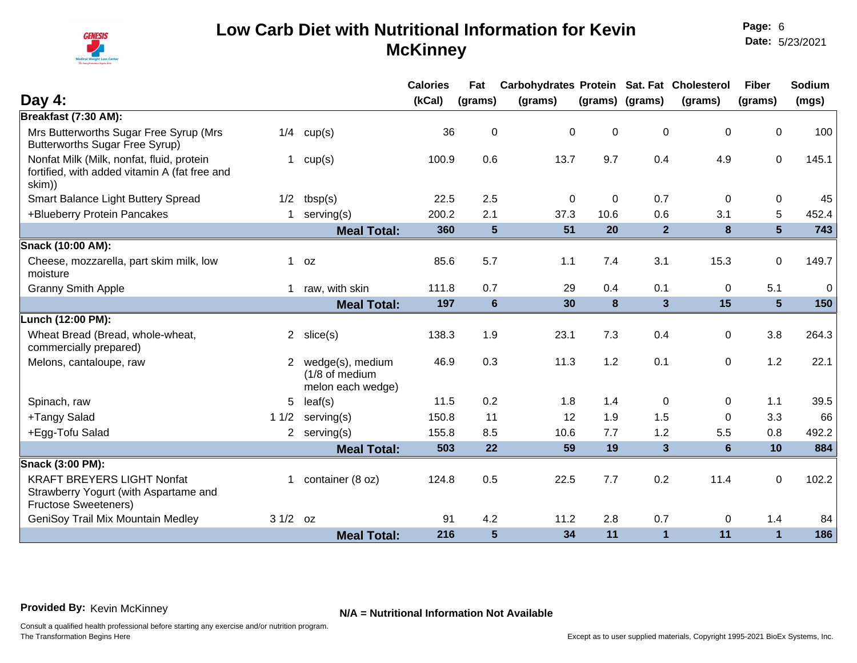

**Page:** 6 **Date:** 5/23/2021

|                                                                                                                           |                                                         | <b>Calories</b> | Fat             | Carbohydrates Protein Sat. Fat Cholesterol |             |                         |                | <b>Fiber</b>   | Sodium      |
|---------------------------------------------------------------------------------------------------------------------------|---------------------------------------------------------|-----------------|-----------------|--------------------------------------------|-------------|-------------------------|----------------|----------------|-------------|
| Day $4:$                                                                                                                  |                                                         | (kCal)          | (grams)         | (grams)                                    |             | (grams) (grams)         | (grams)        | (grams)        | (mgs)       |
| Breakfast (7:30 AM):                                                                                                      |                                                         |                 |                 |                                            |             |                         |                |                |             |
| Mrs Butterworths Sugar Free Syrup (Mrs<br>1/4<br><b>Butterworths Sugar Free Syrup)</b>                                    | cup(s)                                                  | 36              | $\pmb{0}$       | $\mathbf 0$                                | 0           | $\pmb{0}$               | $\mathbf 0$    | $\mathbf 0$    | 100         |
| Nonfat Milk (Milk, nonfat, fluid, protein<br>$\mathbf{1}$<br>fortified, with added vitamin A (fat free and<br>skim))      | cup(s)                                                  | 100.9           | 0.6             | 13.7                                       | 9.7         | 0.4                     | 4.9            | $\mathbf 0$    | 145.1       |
| Smart Balance Light Buttery Spread<br>1/2                                                                                 | tbsp(s)                                                 | 22.5            | 2.5             | $\overline{0}$                             | $\mathbf 0$ | 0.7                     | $\mathbf{0}$   | 0              | 45          |
| +Blueberry Protein Pancakes<br>$\mathbf 1$                                                                                | serving(s)                                              | 200.2           | 2.1             | 37.3                                       | 10.6        | 0.6                     | 3.1            | 5              | 452.4       |
|                                                                                                                           | <b>Meal Total:</b>                                      | 360             | $5\phantom{1}$  | 51                                         | 20          | 2 <sup>2</sup>          | 8              | $5\phantom{1}$ | 743         |
| Snack (10:00 AM):                                                                                                         |                                                         |                 |                 |                                            |             |                         |                |                |             |
| Cheese, mozzarella, part skim milk, low<br>$\mathbf{1}$<br>moisture                                                       | 0Z                                                      | 85.6            | 5.7             | 1.1                                        | 7.4         | 3.1                     | 15.3           | $\mathbf 0$    | 149.7       |
| <b>Granny Smith Apple</b><br>$\mathbf 1$                                                                                  | raw, with skin                                          | 111.8           | 0.7             | 29                                         | 0.4         | 0.1                     | 0              | 5.1            | $\mathbf 0$ |
|                                                                                                                           | <b>Meal Total:</b>                                      | 197             | $6\phantom{1}6$ | 30                                         | 8           | $\overline{\mathbf{3}}$ | 15             | $5\phantom{1}$ | 150         |
| Lunch (12:00 PM):                                                                                                         |                                                         |                 |                 |                                            |             |                         |                |                |             |
| Wheat Bread (Bread, whole-wheat,<br>$\overline{2}$<br>commercially prepared)                                              | slice(s)                                                | 138.3           | 1.9             | 23.1                                       | 7.3         | 0.4                     | 0              | 3.8            | 264.3       |
| Melons, cantaloupe, raw<br>$\overline{2}$                                                                                 | wedge(s), medium<br>(1/8 of medium<br>melon each wedge) | 46.9            | 0.3             | 11.3                                       | $1.2$       | 0.1                     | 0              | 1.2            | 22.1        |
| Spinach, raw<br>5                                                                                                         | leaf(s)                                                 | 11.5            | 0.2             | 1.8                                        | 1.4         | 0                       | 0              | 1.1            | 39.5        |
| +Tangy Salad<br>11/2                                                                                                      | serving(s)                                              | 150.8           | 11              | 12                                         | 1.9         | 1.5                     | $\Omega$       | 3.3            | 66          |
| +Egg-Tofu Salad                                                                                                           | 2 serving $(s)$                                         | 155.8           | 8.5             | 10.6                                       | 7.7         | 1.2                     | 5.5            | 0.8            | 492.2       |
|                                                                                                                           | <b>Meal Total:</b>                                      | 503             | 22              | 59                                         | 19          | $\mathbf{3}$            | $6\phantom{1}$ | 10             | 884         |
| Snack (3:00 PM):                                                                                                          |                                                         |                 |                 |                                            |             |                         |                |                |             |
| <b>KRAFT BREYERS LIGHT Nonfat</b><br>$\mathbf{1}$<br>Strawberry Yogurt (with Aspartame and<br><b>Fructose Sweeteners)</b> | container (8 oz)                                        | 124.8           | 0.5             | 22.5                                       | 7.7         | 0.2                     | 11.4           | $\mathbf 0$    | 102.2       |
| GeniSoy Trail Mix Mountain Medley<br>$31/2$ oz                                                                            |                                                         | 91              | 4.2             | 11.2                                       | 2.8         | 0.7                     | $\mathbf 0$    | 1.4            | 84          |
|                                                                                                                           | <b>Meal Total:</b>                                      | 216             | $5\phantom{1}$  | 34                                         | 11          | $\mathbf{1}$            | 11             | $\mathbf{1}$   | 186         |

**Provided By:** Kevin McKinney **N/A = Nutritional Information Not Available**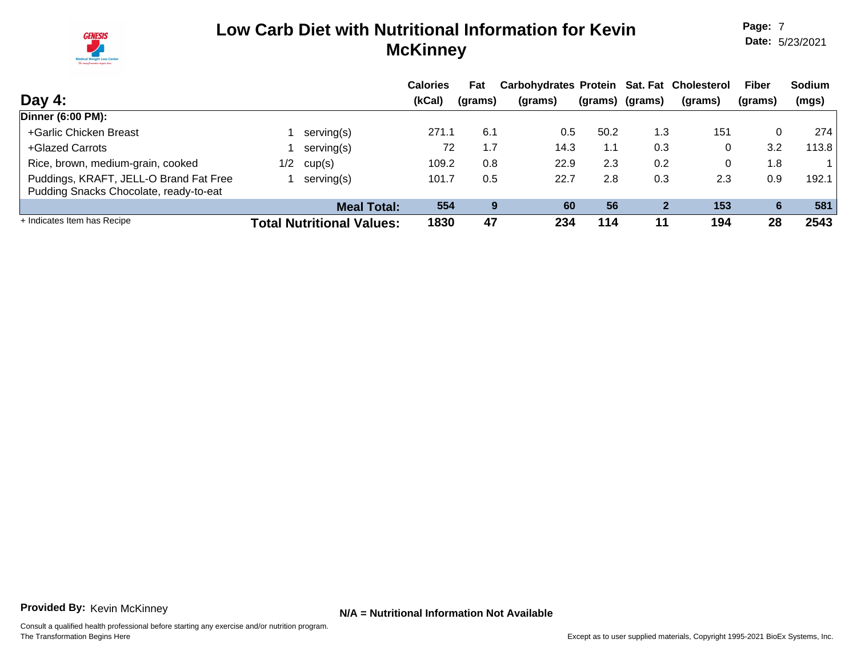

**Page:** 7 **Date:** 5/23/2021

|                                                                                  |     |                                  | <b>Calories</b> | Fat     | Carbohydrates Protein Sat. Fat Cholesterol |      |                 |         | <b>Fiber</b> | <b>Sodium</b> |
|----------------------------------------------------------------------------------|-----|----------------------------------|-----------------|---------|--------------------------------------------|------|-----------------|---------|--------------|---------------|
| Day 4:                                                                           |     |                                  | (kCal)          | (grams) | (grams)                                    |      | (grams) (grams) | (grams) | (grams)      | (mgs)         |
| Dinner (6:00 PM):                                                                |     |                                  |                 |         |                                            |      |                 |         |              |               |
| +Garlic Chicken Breast                                                           |     | serving(s)                       | 271.1           | 6.1     | 0.5                                        | 50.2 | 1.3             | 151     | $\Omega$     | 274           |
| +Glazed Carrots                                                                  |     | serving(s)                       | 72              | 1.7     | 14.3                                       | 1.1  | 0.3             | 0       | 3.2          | 113.8         |
| Rice, brown, medium-grain, cooked                                                | 1/2 | cup(s)                           | 109.2           | 0.8     | 22.9                                       | 2.3  | 0.2             | 0       | 1.8          |               |
| Puddings, KRAFT, JELL-O Brand Fat Free<br>Pudding Snacks Chocolate, ready-to-eat |     | serving(s)                       | 101.7           | 0.5     | 22.7                                       | 2.8  | 0.3             | 2.3     | 0.9          | 192.1         |
|                                                                                  |     | <b>Meal Total:</b>               | 554             | 9       | 60                                         | 56   | 2               | 153     | 6            | 581           |
| + Indicates Item has Recipe                                                      |     | <b>Total Nutritional Values:</b> | 1830            | 47      | 234                                        | 114  | 11              | 194     | 28           | 2543          |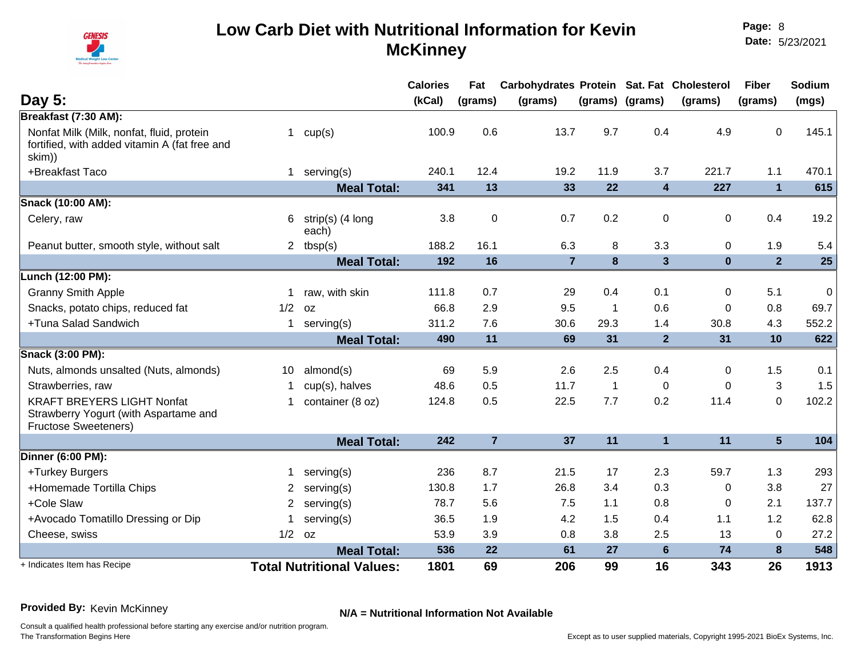

|                                                                                                           |                |                                  | <b>Calories</b> | Fat            | Carbohydrates Protein Sat. Fat Cholesterol |                |                         |             | <b>Fiber</b>   | Sodium      |
|-----------------------------------------------------------------------------------------------------------|----------------|----------------------------------|-----------------|----------------|--------------------------------------------|----------------|-------------------------|-------------|----------------|-------------|
| Day 5:                                                                                                    |                |                                  | (kCal)          | (grams)        | (grams)                                    |                | (grams) (grams)         | (grams)     | (grams)        | (mgs)       |
| Breakfast (7:30 AM):                                                                                      |                |                                  |                 |                |                                            |                |                         |             |                |             |
| Nonfat Milk (Milk, nonfat, fluid, protein<br>fortified, with added vitamin A (fat free and<br>skim))      | $\mathbf{1}$   | cup(s)                           | 100.9           | 0.6            | 13.7                                       | 9.7            | 0.4                     | 4.9         | $\mathbf 0$    | 145.1       |
| +Breakfast Taco                                                                                           | $\mathbf{1}$   | serving(s)                       | 240.1           | 12.4           | 19.2                                       | 11.9           | 3.7                     | 221.7       | 1.1            | 470.1       |
|                                                                                                           |                | <b>Meal Total:</b>               | 341             | 13             | 33                                         | 22             | $\overline{\mathbf{4}}$ | 227         | $\overline{1}$ | 615         |
| Snack (10:00 AM):                                                                                         |                |                                  |                 |                |                                            |                |                         |             |                |             |
| Celery, raw                                                                                               | 6              | strip(s) (4 long<br>each)        | 3.8             | $\mathbf 0$    | 0.7                                        | 0.2            | 0                       | 0           | 0.4            | 19.2        |
| Peanut butter, smooth style, without salt                                                                 |                | 2 $tbsp(s)$                      | 188.2           | 16.1           | 6.3                                        | 8              | 3.3                     | 0           | 1.9            | 5.4         |
|                                                                                                           |                | <b>Meal Total:</b>               | 192             | 16             | $\overline{7}$                             | $\bf{8}$       | $\overline{\mathbf{3}}$ | $\mathbf 0$ | 2 <sup>2</sup> | 25          |
| Lunch (12:00 PM):                                                                                         |                |                                  |                 |                |                                            |                |                         |             |                |             |
| <b>Granny Smith Apple</b>                                                                                 | 1              | raw, with skin                   | 111.8           | 0.7            | 29                                         | 0.4            | 0.1                     | 0           | 5.1            | $\mathbf 0$ |
| Snacks, potato chips, reduced fat                                                                         | 1/2            | 0Z                               | 66.8            | 2.9            | 9.5                                        | $\overline{1}$ | 0.6                     | $\Omega$    | 0.8            | 69.7        |
| +Tuna Salad Sandwich                                                                                      | $\mathbf{1}$   | serving(s)                       | 311.2           | 7.6            | 30.6                                       | 29.3           | 1.4                     | 30.8        | 4.3            | 552.2       |
|                                                                                                           |                | <b>Meal Total:</b>               | 490             | 11             | 69                                         | 31             | 2 <sup>2</sup>          | 31          | 10             | 622         |
| Snack (3:00 PM):                                                                                          |                |                                  |                 |                |                                            |                |                         |             |                |             |
| Nuts, almonds unsalted (Nuts, almonds)                                                                    | 10             | almond(s)                        | 69              | 5.9            | 2.6                                        | 2.5            | 0.4                     | 0           | 1.5            | 0.1         |
| Strawberries, raw                                                                                         |                | cup(s), halves                   | 48.6            | 0.5            | 11.7                                       | $\overline{1}$ | $\Omega$                | $\Omega$    | 3              | 1.5         |
| <b>KRAFT BREYERS LIGHT Nonfat</b><br>Strawberry Yogurt (with Aspartame and<br><b>Fructose Sweeteners)</b> | 1              | container (8 oz)                 | 124.8           | 0.5            | 22.5                                       | 7.7            | 0.2                     | 11.4        | $\mathbf 0$    | 102.2       |
|                                                                                                           |                | <b>Meal Total:</b>               | 242             | $\overline{7}$ | 37                                         | 11             | $\mathbf{1}$            | 11          | 5 <sup>5</sup> | 104         |
| Dinner (6:00 PM):                                                                                         |                |                                  |                 |                |                                            |                |                         |             |                |             |
| +Turkey Burgers                                                                                           |                | serving(s)                       | 236             | 8.7            | 21.5                                       | 17             | 2.3                     | 59.7        | 1.3            | 293         |
| +Homemade Tortilla Chips                                                                                  | 2              | serving(s)                       | 130.8           | 1.7            | 26.8                                       | 3.4            | 0.3                     | 0           | 3.8            | 27          |
| +Cole Slaw                                                                                                | $\overline{2}$ | serving(s)                       | 78.7            | 5.6            | 7.5                                        | 1.1            | 0.8                     | 0           | 2.1            | 137.7       |
| +Avocado Tomatillo Dressing or Dip                                                                        |                | serving(s)                       | 36.5            | 1.9            | 4.2                                        | 1.5            | 0.4                     | 1.1         | 1.2            | 62.8        |
| Cheese, swiss                                                                                             | 1/2            | 0Z                               | 53.9            | 3.9            | 0.8                                        | 3.8            | 2.5                     | 13          | $\mathbf 0$    | 27.2        |
|                                                                                                           |                | <b>Meal Total:</b>               | 536             | 22             | 61                                         | 27             | $6\phantom{1}$          | 74          | 8              | 548         |
| + Indicates Item has Recipe                                                                               |                | <b>Total Nutritional Values:</b> | 1801            | 69             | 206                                        | 99             | 16                      | 343         | 26             | 1913        |

**Provided By:** Kevin McKinney **N/A = Nutritional Information Not Available**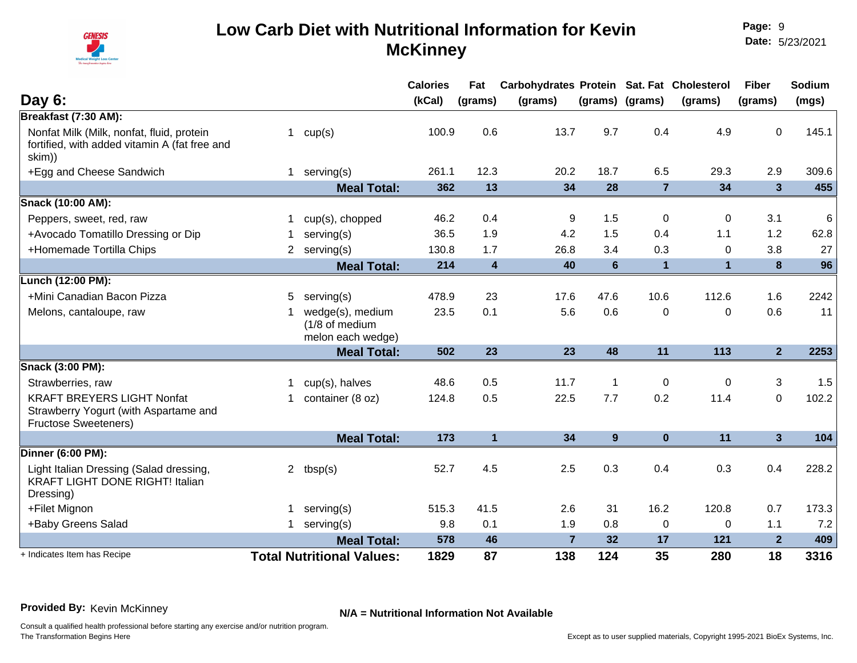

|                                                                                                           |    |                                                         | <b>Calories</b> | Fat              | Carbohydrates Protein Sat. Fat Cholesterol |                 |                 |              | <b>Fiber</b>   | Sodium |
|-----------------------------------------------------------------------------------------------------------|----|---------------------------------------------------------|-----------------|------------------|--------------------------------------------|-----------------|-----------------|--------------|----------------|--------|
| Day $6:$                                                                                                  |    |                                                         | (kCal)          | (grams)          | (grams)                                    |                 | (grams) (grams) | (grams)      | (grams)        | (mgs)  |
| Breakfast (7:30 AM):                                                                                      |    |                                                         |                 |                  |                                            |                 |                 |              |                |        |
| Nonfat Milk (Milk, nonfat, fluid, protein<br>fortified, with added vitamin A (fat free and<br>skim))      | 1  | cup(s)                                                  | 100.9           | 0.6              | 13.7                                       | 9.7             | 0.4             | 4.9          | $\mathbf{0}$   | 145.1  |
| +Egg and Cheese Sandwich                                                                                  |    | 1 serving $(s)$                                         | 261.1           | 12.3             | 20.2                                       | 18.7            | 6.5             | 29.3         | 2.9            | 309.6  |
|                                                                                                           |    | <b>Meal Total:</b>                                      | 362             | 13               | 34                                         | 28              | $\overline{7}$  | 34           | $\overline{3}$ | 455    |
| Snack (10:00 AM):                                                                                         |    |                                                         |                 |                  |                                            |                 |                 |              |                |        |
| Peppers, sweet, red, raw                                                                                  |    | cup(s), chopped                                         | 46.2            | 0.4              | 9                                          | 1.5             | 0               | 0            | 3.1            | $\,6$  |
| +Avocado Tomatillo Dressing or Dip                                                                        |    | serving(s)                                              | 36.5            | 1.9              | 4.2                                        | 1.5             | 0.4             | 1.1          | 1.2            | 62.8   |
| +Homemade Tortilla Chips                                                                                  |    | 2 serving(s)                                            | 130.8           | 1.7              | 26.8                                       | 3.4             | 0.3             | $\Omega$     | 3.8            | 27     |
|                                                                                                           |    | <b>Meal Total:</b>                                      | 214             | $\boldsymbol{4}$ | 40                                         | $6\phantom{1}6$ | $\mathbf{1}$    | $\mathbf{1}$ | 8              | 96     |
| Lunch (12:00 PM):                                                                                         |    |                                                         |                 |                  |                                            |                 |                 |              |                |        |
| +Mini Canadian Bacon Pizza                                                                                | 5  | serving(s)                                              | 478.9           | 23               | 17.6                                       | 47.6            | 10.6            | 112.6        | 1.6            | 2242   |
| Melons, cantaloupe, raw                                                                                   |    | wedge(s), medium<br>(1/8 of medium<br>melon each wedge) | 23.5            | 0.1              | 5.6                                        | 0.6             | 0               | $\Omega$     | 0.6            | 11     |
|                                                                                                           |    | <b>Meal Total:</b>                                      | 502             | 23               | 23                                         | 48              | 11              | 113          | 2 <sup>1</sup> | 2253   |
| Snack (3:00 PM):                                                                                          |    |                                                         |                 |                  |                                            |                 |                 |              |                |        |
| Strawberries, raw                                                                                         |    | cup(s), halves                                          | 48.6            | 0.5              | 11.7                                       | $\overline{1}$  | $\mathbf 0$     | 0            | 3              | 1.5    |
| <b>KRAFT BREYERS LIGHT Nonfat</b><br>Strawberry Yogurt (with Aspartame and<br><b>Fructose Sweeteners)</b> | 1. | container (8 oz)                                        | 124.8           | 0.5              | 22.5                                       | 7.7             | 0.2             | 11.4         | $\mathbf 0$    | 102.2  |
|                                                                                                           |    | <b>Meal Total:</b>                                      | 173             | $\mathbf{1}$     | 34                                         | 9               | $\bf{0}$        | 11           | 3 <sup>5</sup> | 104    |
| Dinner (6:00 PM):                                                                                         |    |                                                         |                 |                  |                                            |                 |                 |              |                |        |
| Light Italian Dressing (Salad dressing,<br><b>KRAFT LIGHT DONE RIGHT! Italian</b><br>Dressing)            |    | 2 $tbsp(s)$                                             | 52.7            | 4.5              | 2.5                                        | 0.3             | 0.4             | 0.3          | 0.4            | 228.2  |
| +Filet Mignon                                                                                             |    | serving(s)                                              | 515.3           | 41.5             | 2.6                                        | 31              | 16.2            | 120.8        | 0.7            | 173.3  |
| +Baby Greens Salad                                                                                        |    | serving(s)                                              | 9.8             | 0.1              | 1.9                                        | 0.8             | 0               | 0            | 1.1            | 7.2    |
|                                                                                                           |    | <b>Meal Total:</b>                                      | 578             | 46               | $\overline{7}$                             | 32              | 17              | 121          | $\mathbf{2}$   | 409    |
| + Indicates Item has Recipe                                                                               |    | <b>Total Nutritional Values:</b>                        | 1829            | 87               | 138                                        | 124             | 35              | 280          | 18             | 3316   |

**Provided By:** Kevin McKinney **N/A = Nutritional Information Not Available**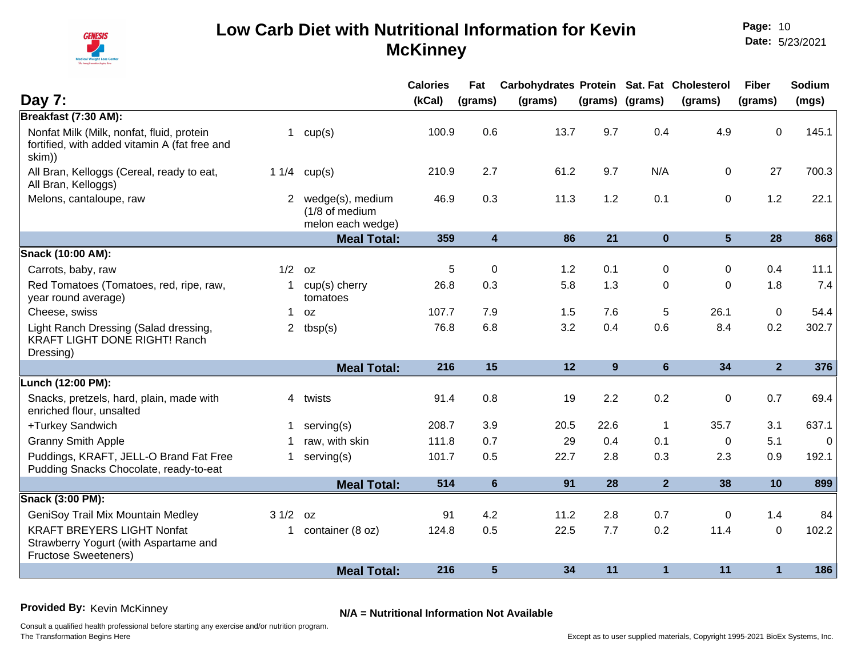

|                                                                                                           |              |                                                         | <b>Calories</b> | Fat                     | Carbohydrates Protein Sat. Fat Cholesterol |       |                 |             | <b>Fiber</b>   | Sodium      |
|-----------------------------------------------------------------------------------------------------------|--------------|---------------------------------------------------------|-----------------|-------------------------|--------------------------------------------|-------|-----------------|-------------|----------------|-------------|
| Day 7:                                                                                                    |              |                                                         | (kCal)          | (grams)                 | (grams)                                    |       | (grams) (grams) | (grams)     | (grams)        | (mgs)       |
| Breakfast (7:30 AM):                                                                                      |              |                                                         |                 |                         |                                            |       |                 |             |                |             |
| Nonfat Milk (Milk, nonfat, fluid, protein<br>fortified, with added vitamin A (fat free and<br>skim))      | $\mathbf{1}$ | cup(s)                                                  | 100.9           | 0.6                     | 13.7                                       | 9.7   | 0.4             | 4.9         | $\mathbf 0$    | 145.1       |
| All Bran, Kelloggs (Cereal, ready to eat,<br>All Bran, Kelloggs)                                          | 11/4         | cup(s)                                                  | 210.9           | 2.7                     | 61.2                                       | 9.7   | N/A             | 0           | 27             | 700.3       |
| Melons, cantaloupe, raw                                                                                   | $2^{\circ}$  | wedge(s), medium<br>(1/8 of medium<br>melon each wedge) | 46.9            | 0.3                     | 11.3                                       | $1.2$ | 0.1             | 0           | 1.2            | 22.1        |
|                                                                                                           |              | <b>Meal Total:</b>                                      | 359             | $\overline{\mathbf{4}}$ | 86                                         | 21    | $\mathbf 0$     | 5           | 28             | 868         |
| Snack (10:00 AM):                                                                                         |              |                                                         |                 |                         |                                            |       |                 |             |                |             |
| Carrots, baby, raw                                                                                        | 1/2          | 0Z                                                      | 5               | $\Omega$                | 1.2                                        | 0.1   | 0               | $\Omega$    | 0.4            | 11.1        |
| Red Tomatoes (Tomatoes, red, ripe, raw,<br>year round average)                                            | $\mathbf{1}$ | cup(s) cherry<br>tomatoes                               | 26.8            | 0.3                     | 5.8                                        | 1.3   | 0               | $\Omega$    | 1.8            | 7.4         |
| Cheese, swiss                                                                                             | $\mathbf 1$  | 0Z                                                      | 107.7           | 7.9                     | 1.5                                        | 7.6   | 5               | 26.1        | $\mathbf 0$    | 54.4        |
| Light Ranch Dressing (Salad dressing,<br><b>KRAFT LIGHT DONE RIGHT! Ranch</b><br>Dressing)                | $\mathbf{2}$ | tbsp(s)                                                 | 76.8            | 6.8                     | 3.2                                        | 0.4   | 0.6             | 8.4         | 0.2            | 302.7       |
|                                                                                                           |              | <b>Meal Total:</b>                                      | 216             | 15                      | 12                                         | 9     | $6\phantom{1}$  | 34          | $\overline{2}$ | 376         |
| Lunch (12:00 PM):                                                                                         |              |                                                         |                 |                         |                                            |       |                 |             |                |             |
| Snacks, pretzels, hard, plain, made with<br>enriched flour, unsalted                                      | 4            | twists                                                  | 91.4            | 0.8                     | 19                                         | 2.2   | 0.2             | 0           | 0.7            | 69.4        |
| +Turkey Sandwich                                                                                          | $\mathbf 1$  | serving(s)                                              | 208.7           | 3.9                     | 20.5                                       | 22.6  | 1               | 35.7        | 3.1            | 637.1       |
| <b>Granny Smith Apple</b>                                                                                 | 1            | raw, with skin                                          | 111.8           | 0.7                     | 29                                         | 0.4   | 0.1             | $\mathbf 0$ | 5.1            | $\mathbf 0$ |
| Puddings, KRAFT, JELL-O Brand Fat Free<br>Pudding Snacks Chocolate, ready-to-eat                          | $\mathbf 1$  | serving(s)                                              | 101.7           | 0.5                     | 22.7                                       | 2.8   | 0.3             | 2.3         | 0.9            | 192.1       |
|                                                                                                           |              | <b>Meal Total:</b>                                      | 514             | 6                       | 91                                         | 28    | $\overline{2}$  | 38          | 10             | 899         |
| Snack (3:00 PM):                                                                                          |              |                                                         |                 |                         |                                            |       |                 |             |                |             |
| GeniSoy Trail Mix Mountain Medley                                                                         | 31/2         | OZ.                                                     | 91              | 4.2                     | 11.2                                       | 2.8   | 0.7             | $\Omega$    | 1.4            | 84          |
| <b>KRAFT BREYERS LIGHT Nonfat</b><br>Strawberry Yogurt (with Aspartame and<br><b>Fructose Sweeteners)</b> | $\mathbf{1}$ | container (8 oz)                                        | 124.8           | 0.5                     | 22.5                                       | 7.7   | 0.2             | 11.4        | $\mathbf 0$    | 102.2       |
|                                                                                                           |              | <b>Meal Total:</b>                                      | 216             | 5                       | 34                                         | 11    | 1               | 11          | $\mathbf 1$    | 186         |
|                                                                                                           |              |                                                         |                 |                         |                                            |       |                 |             |                |             |

**Provided By:** Kevin McKinney **N/A = Nutritional Information Not Available**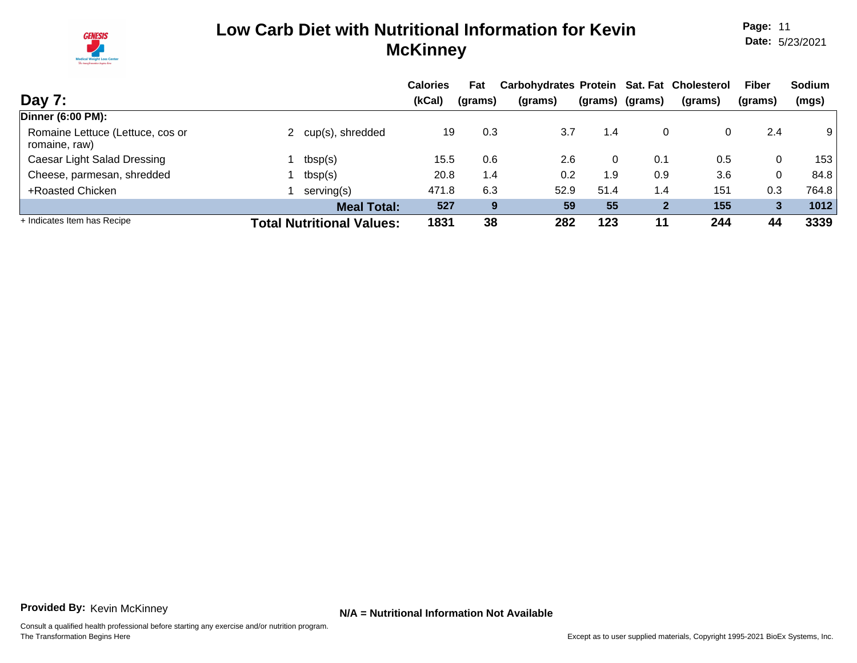

**Page:** 11 **Date:** 5/23/2021

|                                                   |                                  | <b>Calories</b> | Fat     | Carbohydrates Protein Sat. Fat Cholesterol |      |                  |         | Fiber        | <b>Sodium</b> |
|---------------------------------------------------|----------------------------------|-----------------|---------|--------------------------------------------|------|------------------|---------|--------------|---------------|
| Day 7:                                            |                                  | (kCal)          | (grams) | (grams)                                    |      | (grams) (grams)  | (grams) | (grams)      | (mgs)         |
| Dinner (6:00 PM):                                 |                                  |                 |         |                                            |      |                  |         |              |               |
| Romaine Lettuce (Lettuce, cos or<br>romaine, raw) | cup(s), shredded                 | 19              | 0.3     | 3.7                                        | 1.4  | 0                |         | 2.4          | 9             |
| Caesar Light Salad Dressing                       | tbsp(s)                          | 15.5            | 0.6     | 2.6                                        | 0    | 0.1              | 0.5     | 0            | 153           |
| Cheese, parmesan, shredded                        | tbsp(s)                          | 20.8            | 1.4     | 0.2                                        | 1.9  | 0.9              | 3.6     | 0            | 84.8          |
| +Roasted Chicken                                  | serving(s)                       | 471.8           | 6.3     | 52.9                                       | 51.4 | $\overline{1.4}$ | 151     | 0.3          | 764.8         |
|                                                   | <b>Meal Total:</b>               | 527             | 9       | 59                                         | 55   | $\mathbf{2}$     | 155     | $\mathbf{3}$ | 1012          |
| + Indicates Item has Recipe                       | <b>Total Nutritional Values:</b> | 1831            | 38      | 282                                        | 123  | 11               | 244     | 44           | 3339          |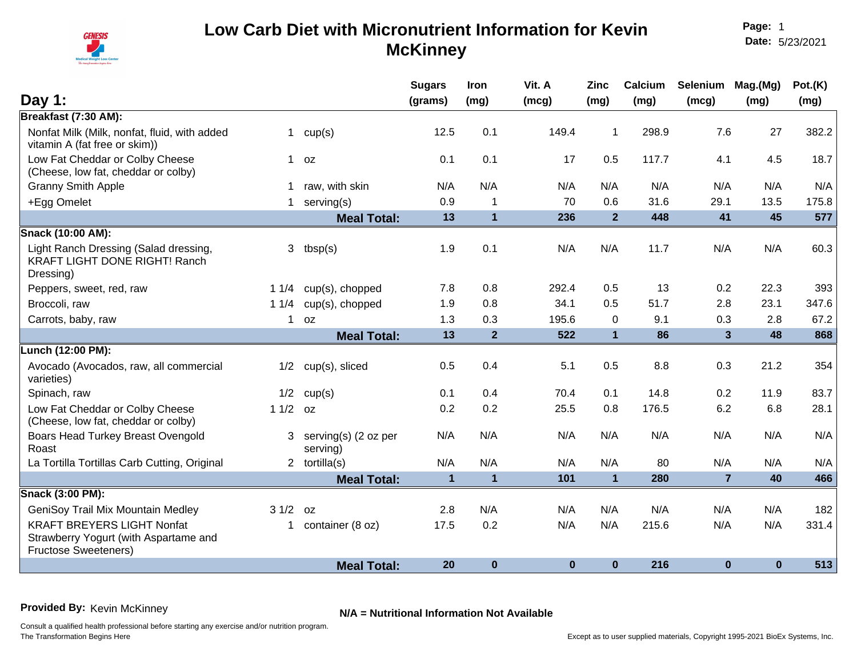

**Page:** 1 **Date:** 5/23/2021

| Day 1:                                                                                                    |              |                                  | <b>Sugars</b><br>(grams) | Iron<br>(mg)   | Vit. A<br>(mcg) | <b>Zinc</b><br>(mg) | Calcium<br>(mg) | Selenium<br>(mcg)       | Mag.(Mg)<br>(mg) | Pot.(K)<br>(mg) |
|-----------------------------------------------------------------------------------------------------------|--------------|----------------------------------|--------------------------|----------------|-----------------|---------------------|-----------------|-------------------------|------------------|-----------------|
| Breakfast (7:30 AM):                                                                                      |              |                                  |                          |                |                 |                     |                 |                         |                  |                 |
| Nonfat Milk (Milk, nonfat, fluid, with added<br>vitamin A (fat free or skim))                             | $\mathbf{1}$ | cup(s)                           | 12.5                     | 0.1            | 149.4           | $\mathbf{1}$        | 298.9           | 7.6                     | 27               | 382.2           |
| Low Fat Cheddar or Colby Cheese<br>(Cheese, low fat, cheddar or colby)                                    | $\mathbf{1}$ | 0Z                               | 0.1                      | 0.1            | 17              | 0.5                 | 117.7           | 4.1                     | 4.5              | 18.7            |
| <b>Granny Smith Apple</b>                                                                                 |              | raw, with skin                   | N/A                      | N/A            | N/A             | N/A                 | N/A             | N/A                     | N/A              | N/A             |
| +Egg Omelet                                                                                               | 1            | serving(s)                       | 0.9                      | $\mathbf 1$    | 70              | 0.6                 | 31.6            | 29.1                    | 13.5             | 175.8           |
|                                                                                                           |              | <b>Meal Total:</b>               | 13                       | $\overline{1}$ | 236             | 2 <sup>2</sup>      | 448             | 41                      | 45               | 577             |
| Snack (10:00 AM):                                                                                         |              |                                  |                          |                |                 |                     |                 |                         |                  |                 |
| Light Ranch Dressing (Salad dressing,<br><b>KRAFT LIGHT DONE RIGHT! Ranch</b><br>Dressing)                | 3            | tbsp(s)                          | 1.9                      | 0.1            | N/A             | N/A                 | 11.7            | N/A                     | N/A              | 60.3            |
| Peppers, sweet, red, raw                                                                                  | 11/4         | cup(s), chopped                  | 7.8                      | 0.8            | 292.4           | 0.5                 | 13              | 0.2                     | 22.3             | 393             |
| Broccoli, raw                                                                                             | 11/4         | cup(s), chopped                  | 1.9                      | 0.8            | 34.1            | 0.5                 | 51.7            | 2.8                     | 23.1             | 347.6           |
| Carrots, baby, raw                                                                                        | $\mathbf 1$  | 0Z                               | 1.3                      | 0.3            | 195.6           | 0                   | 9.1             | 0.3                     | 2.8              | 67.2            |
|                                                                                                           |              | <b>Meal Total:</b>               | 13                       | $\overline{2}$ | 522             | $\mathbf{1}$        | 86              | $\overline{\mathbf{3}}$ | 48               | 868             |
| Lunch (12:00 PM):                                                                                         |              |                                  |                          |                |                 |                     |                 |                         |                  |                 |
| Avocado (Avocados, raw, all commercial<br>varieties)                                                      | 1/2          | cup(s), sliced                   | 0.5                      | 0.4            | 5.1             | 0.5                 | 8.8             | 0.3                     | 21.2             | 354             |
| Spinach, raw                                                                                              | 1/2          | cup(s)                           | 0.1                      | 0.4            | 70.4            | 0.1                 | 14.8            | 0.2                     | 11.9             | 83.7            |
| Low Fat Cheddar or Colby Cheese<br>(Cheese, low fat, cheddar or colby)                                    | $11/2$ oz    |                                  | 0.2                      | 0.2            | 25.5            | 0.8                 | 176.5           | 6.2                     | 6.8              | 28.1            |
| Boars Head Turkey Breast Ovengold<br>Roast                                                                | 3            | serving(s) (2 oz per<br>serving) | N/A                      | N/A            | N/A             | N/A                 | N/A             | N/A                     | N/A              | N/A             |
| La Tortilla Tortillas Carb Cutting, Original                                                              |              | 2 $tortilla(s)$                  | N/A                      | N/A            | N/A             | N/A                 | 80              | N/A                     | N/A              | N/A             |
|                                                                                                           |              | <b>Meal Total:</b>               | $\mathbf{1}$             | $\mathbf{1}$   | 101             | $\mathbf{1}$        | 280             | $\overline{7}$          | 40               | 466             |
| Snack (3:00 PM):                                                                                          |              |                                  |                          |                |                 |                     |                 |                         |                  |                 |
| GeniSoy Trail Mix Mountain Medley                                                                         | 31/2         | 0Z                               | 2.8                      | N/A            | N/A             | N/A                 | N/A             | N/A                     | N/A              | 182             |
| <b>KRAFT BREYERS LIGHT Nonfat</b><br>Strawberry Yogurt (with Aspartame and<br><b>Fructose Sweeteners)</b> | 1.           | container (8 oz)                 | 17.5                     | 0.2            | N/A             | N/A                 | 215.6           | N/A                     | N/A              | 331.4           |
|                                                                                                           |              | <b>Meal Total:</b>               | 20                       | $\bf{0}$       | $\bf{0}$        | $\bf{0}$            | 216             | $\bf{0}$                | $\bf{0}$         | 513             |

**Provided By:** Kevin McKinney **N/A = Nutritional Information Not Available**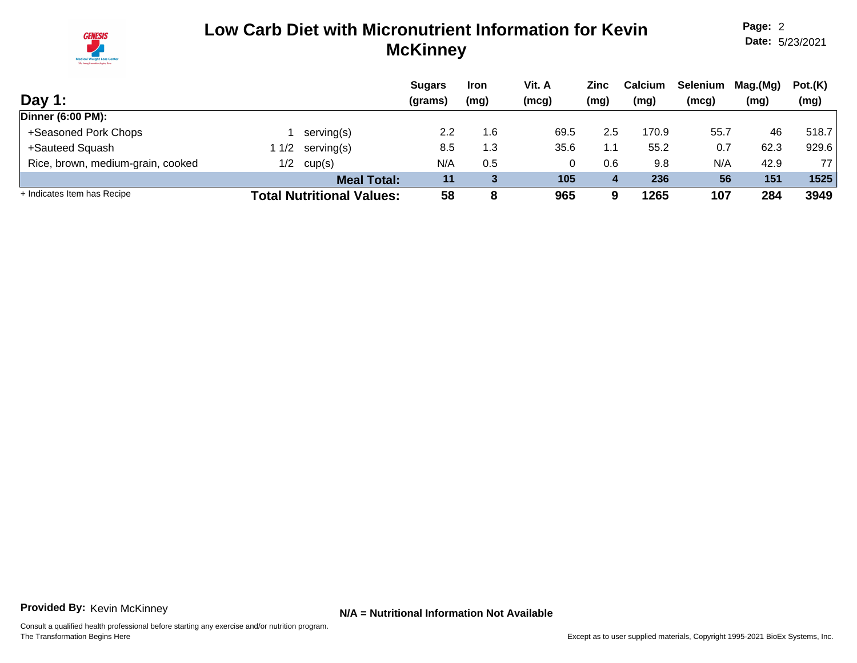

**Page:** 2 **Date:** 5/23/2021

|                                   |     |                                  | <b>Sugars</b> | <b>Iron</b> | Vit. A | Zinc | <b>Calcium</b> | Selenium | Mag.(Mg) | Pot.(K) |
|-----------------------------------|-----|----------------------------------|---------------|-------------|--------|------|----------------|----------|----------|---------|
| Day 1:                            |     |                                  | (grams)       | (mg)        | (mcg)  | (mg) | (mg)           | (mcg)    | (mg)     | (mg)    |
| <b>Dinner (6:00 PM):</b>          |     |                                  |               |             |        |      |                |          |          |         |
| +Seasoned Pork Chops              |     | serving(s)                       | 2.2           | 1.6         | 69.5   | 2.5  | 170.9          | 55.7     | 46       | 518.7   |
| +Sauteed Squash                   | 1/2 | serving(s)                       | 8.5           | 1.3         | 35.6   | 1.1  | 55.2           | 0.7      | 62.3     | 929.6   |
| Rice, brown, medium-grain, cooked | 1/2 | cup(s)                           | N/A           | 0.5         |        | 0.6  | 9.8            | N/A      | 42.9     | 77      |
|                                   |     | <b>Meal Total:</b>               | 11            |             | 105    | 4    | 236            | 56       | 151      | 1525    |
| + Indicates Item has Recipe       |     | <b>Total Nutritional Values:</b> | 58            | 8           | 965    | 9    | 1265           | 107      | 284      | 3949    |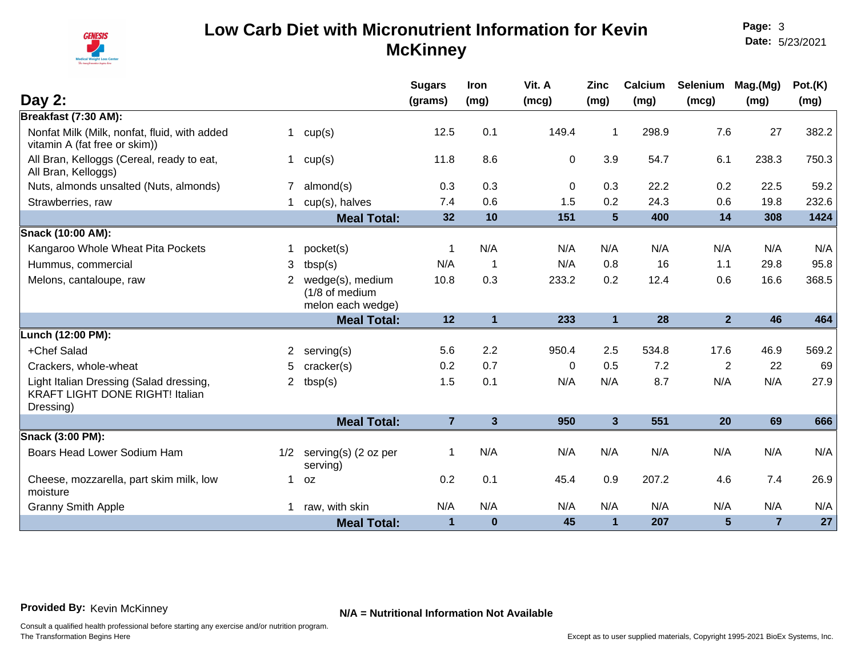

**Page:** 3 **Date:** 5/23/2021

|                                                                                                |    |                                        | <b>Sugars</b>  | Iron           | Vit. A      | <b>Zinc</b>             | Calcium | Selenium       | Mag.(Mg)       | Pot.(K) |
|------------------------------------------------------------------------------------------------|----|----------------------------------------|----------------|----------------|-------------|-------------------------|---------|----------------|----------------|---------|
| Day 2:                                                                                         |    |                                        | (grams)        | (mg)           | (mcg)       | (mg)                    | (mg)    | (mcg)          | (mg)           | (mg)    |
| Breakfast (7:30 AM):                                                                           |    |                                        |                |                |             |                         |         |                |                |         |
| Nonfat Milk (Milk, nonfat, fluid, with added<br>vitamin A (fat free or skim))                  | 1  | cup(s)                                 | 12.5           | 0.1            | 149.4       | 1                       | 298.9   | 7.6            | 27             | 382.2   |
| All Bran, Kelloggs (Cereal, ready to eat,<br>All Bran, Kelloggs)                               |    | cup(s)                                 | 11.8           | 8.6            | $\mathbf 0$ | 3.9                     | 54.7    | 6.1            | 238.3          | 750.3   |
| Nuts, almonds unsalted (Nuts, almonds)                                                         |    | almond(s)                              | 0.3            | 0.3            | $\mathbf 0$ | 0.3                     | 22.2    | 0.2            | 22.5           | 59.2    |
| Strawberries, raw                                                                              |    | cup(s), halves                         | 7.4            | 0.6            | 1.5         | 0.2                     | 24.3    | 0.6            | 19.8           | 232.6   |
|                                                                                                |    | <b>Meal Total:</b>                     | 32             | 10             | 151         | $5\phantom{.0}$         | 400     | 14             | 308            | 1424    |
| Snack (10:00 AM):                                                                              |    |                                        |                |                |             |                         |         |                |                |         |
| Kangaroo Whole Wheat Pita Pockets                                                              | 1. | pocket(s)                              | -1             | N/A            | N/A         | N/A                     | N/A     | N/A            | N/A            | N/A     |
| Hummus, commercial                                                                             | 3  | tbsp(s)                                | N/A            | $\overline{1}$ | N/A         | 0.8                     | 16      | 1.1            | 29.8           | 95.8    |
| Melons, cantaloupe, raw                                                                        | 2  | wedge(s), medium                       | 10.8           | 0.3            | 233.2       | 0.2                     | 12.4    | 0.6            | 16.6           | 368.5   |
|                                                                                                |    | (1/8 of medium                         |                |                |             |                         |         |                |                |         |
|                                                                                                |    | melon each wedge)                      |                |                |             |                         |         |                |                |         |
|                                                                                                |    | <b>Meal Total:</b>                     | 12             | $\mathbf{1}$   | 233         | $\mathbf{1}$            | 28      | 2 <sup>1</sup> | 46             | 464     |
| Lunch (12:00 PM):                                                                              |    |                                        |                |                |             |                         |         |                |                |         |
| +Chef Salad                                                                                    | 2  | serving(s)                             | 5.6            | 2.2            | 950.4       | 2.5                     | 534.8   | 17.6           | 46.9           | 569.2   |
| Crackers, whole-wheat                                                                          | 5. | cracker(s)                             | 0.2            | 0.7            | 0           | 0.5                     | 7.2     | $\overline{2}$ | 22             | 69      |
| Light Italian Dressing (Salad dressing,<br><b>KRAFT LIGHT DONE RIGHT! Italian</b><br>Dressing) | 2  | tbsp(s)                                | 1.5            | 0.1            | N/A         | N/A                     | 8.7     | N/A            | N/A            | 27.9    |
|                                                                                                |    | <b>Meal Total:</b>                     | $\overline{7}$ | $\mathbf{3}$   | 950         | $\overline{\mathbf{3}}$ | 551     | 20             | 69             | 666     |
| Snack (3:00 PM):                                                                               |    |                                        |                |                |             |                         |         |                |                |         |
| Boars Head Lower Sodium Ham                                                                    |    | $1/2$ serving(s) (2 oz per<br>serving) | -1             | N/A            | N/A         | N/A                     | N/A     | N/A            | N/A            | N/A     |
| Cheese, mozzarella, part skim milk, low<br>moisture                                            | 1  | 0Z                                     | 0.2            | 0.1            | 45.4        | 0.9                     | 207.2   | 4.6            | 7.4            | 26.9    |
| <b>Granny Smith Apple</b>                                                                      | 1. | raw, with skin                         | N/A            | N/A            | N/A         | N/A                     | N/A     | N/A            | N/A            | N/A     |
|                                                                                                |    | <b>Meal Total:</b>                     | $\mathbf 1$    | $\bf{0}$       | 45          | $\mathbf{1}$            | 207     | 5              | $\overline{7}$ | 27      |

**Provided By:** Kevin McKinney **N/A = Nutritional Information Not Available**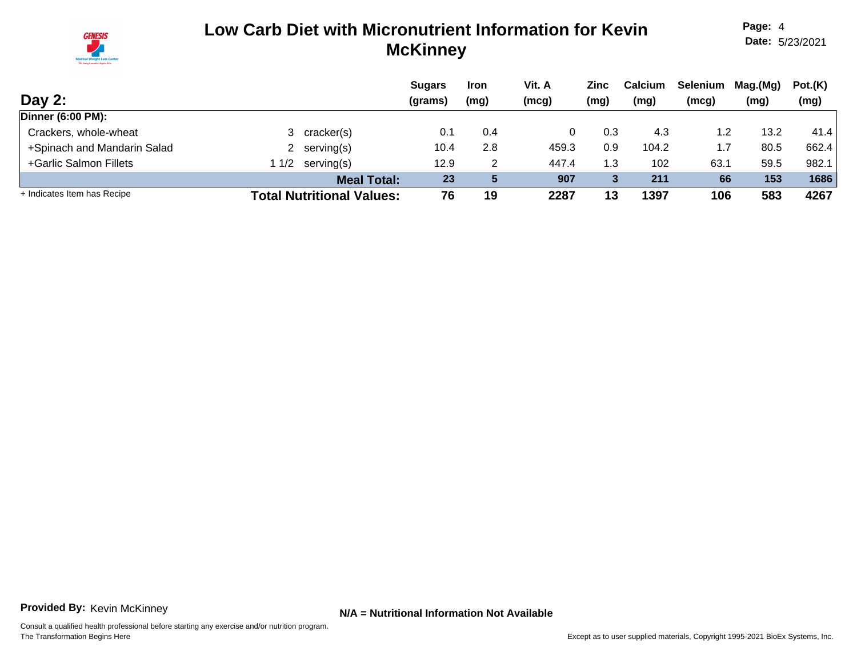

**Page:** 4 **Date:** 5/23/2021

|                             |     |                                  | <b>Sugars</b> | <b>Iron</b> | Vit. A | Zinc | <b>Calcium</b> | Selenium | Mag.(Mg) | Pot.(K) |
|-----------------------------|-----|----------------------------------|---------------|-------------|--------|------|----------------|----------|----------|---------|
| Day $2:$                    |     |                                  | (grams)       | (mg)        | (mcg)  | (mg) | (mg)           | (mcg)    | (mg)     | (mg)    |
| <b>Dinner (6:00 PM):</b>    |     |                                  |               |             |        |      |                |          |          |         |
| Crackers, whole-wheat       |     | cracker(s)                       | 0.1           | 0.4         |        | 0.3  | 4.3            |          | 13.2     | 41.4    |
| +Spinach and Mandarin Salad |     | 2 serving $(s)$                  | 10.4          | 2.8         | 459.3  | 0.9  | 104.2          |          | 80.5     | 662.4   |
| +Garlic Salmon Fillets      | 1/2 | serving(s)                       | 12.9          | 2           | 447.4  | 1.3  | 102            | 63.1     | 59.5     | 982.1   |
|                             |     | <b>Meal Total:</b>               | 23            |             | 907    |      | 211            | 66       | 153      | 1686    |
| + Indicates Item has Recipe |     | <b>Total Nutritional Values:</b> | 76            | 19          | 2287   | 13   | 1397           | 106      | 583      | 4267    |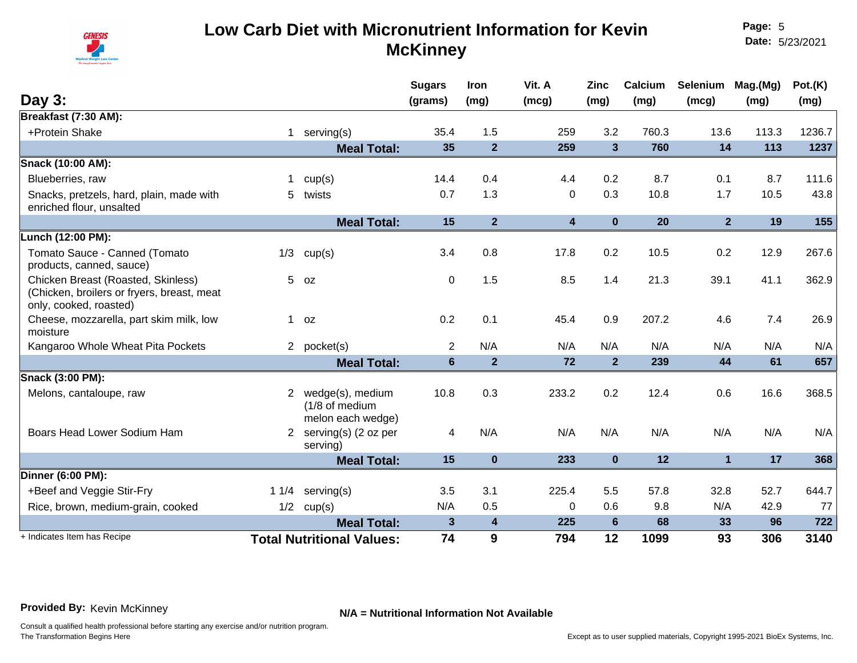

**Page:** 5 **Date:** 5/23/2021

|                                                                                                            |              |                                                         | <b>Sugars</b>  | <b>Iron</b>    | Vit. A                  | <b>Zinc</b>    | Calcium | Selenium       | Mag.(Mg) | Pot.(K) |
|------------------------------------------------------------------------------------------------------------|--------------|---------------------------------------------------------|----------------|----------------|-------------------------|----------------|---------|----------------|----------|---------|
| Day 3:                                                                                                     |              |                                                         | (grams)        | (mg)           | (mcg)                   | (mg)           | (mg)    | (mcg)          | (mg)     | (mg)    |
| Breakfast (7:30 AM):                                                                                       |              |                                                         |                |                |                         |                |         |                |          |         |
| +Protein Shake                                                                                             | $\mathbf{1}$ | serving(s)                                              | 35.4           | 1.5            | 259                     | 3.2            | 760.3   | 13.6           | 113.3    | 1236.7  |
|                                                                                                            |              | <b>Meal Total:</b>                                      | 35             | $\overline{2}$ | 259                     | $\overline{3}$ | 760     | 14             | 113      | 1237    |
| Snack (10:00 AM):                                                                                          |              |                                                         |                |                |                         |                |         |                |          |         |
| Blueberries, raw                                                                                           |              | cup(s)                                                  | 14.4           | 0.4            | 4.4                     | 0.2            | 8.7     | 0.1            | 8.7      | 111.6   |
| Snacks, pretzels, hard, plain, made with<br>enriched flour, unsalted                                       | 5            | twists                                                  | 0.7            | 1.3            | $\mathbf 0$             | 0.3            | 10.8    | 1.7            | 10.5     | 43.8    |
|                                                                                                            |              | <b>Meal Total:</b>                                      | 15             | $\overline{2}$ | $\overline{\mathbf{4}}$ | $\bf{0}$       | 20      | 2 <sup>1</sup> | 19       | 155     |
| Lunch (12:00 PM):                                                                                          |              |                                                         |                |                |                         |                |         |                |          |         |
| Tomato Sauce - Canned (Tomato<br>products, canned, sauce)                                                  | 1/3          | cup(s)                                                  | 3.4            | 0.8            | 17.8                    | 0.2            | 10.5    | 0.2            | 12.9     | 267.6   |
| Chicken Breast (Roasted, Skinless)<br>(Chicken, broilers or fryers, breast, meat<br>only, cooked, roasted) |              | $5$ $oz$                                                | $\mathbf 0$    | 1.5            | 8.5                     | 1.4            | 21.3    | 39.1           | 41.1     | 362.9   |
| Cheese, mozzarella, part skim milk, low<br>moisture                                                        |              | $1$ oz                                                  | 0.2            | 0.1            | 45.4                    | 0.9            | 207.2   | 4.6            | 7.4      | 26.9    |
| Kangaroo Whole Wheat Pita Pockets                                                                          |              | 2 pocket(s)                                             | $\overline{2}$ | N/A            | N/A                     | N/A            | N/A     | N/A            | N/A      | N/A     |
|                                                                                                            |              | <b>Meal Total:</b>                                      | $6\phantom{1}$ | $\overline{2}$ | 72                      | $\overline{2}$ | 239     | 44             | 61       | 657     |
| Snack (3:00 PM):                                                                                           |              |                                                         |                |                |                         |                |         |                |          |         |
| Melons, cantaloupe, raw                                                                                    | 2            | wedge(s), medium<br>(1/8 of medium<br>melon each wedge) | 10.8           | 0.3            | 233.2                   | 0.2            | 12.4    | 0.6            | 16.6     | 368.5   |
| Boars Head Lower Sodium Ham                                                                                |              | 2 serving(s) (2 oz per<br>serving)                      | 4              | N/A            | N/A                     | N/A            | N/A     | N/A            | N/A      | N/A     |
|                                                                                                            |              | <b>Meal Total:</b>                                      | 15             | $\bf{0}$       | 233                     | $\mathbf 0$    | 12      | 1              | 17       | 368     |
| Dinner (6:00 PM):                                                                                          |              |                                                         |                |                |                         |                |         |                |          |         |
| +Beef and Veggie Stir-Fry                                                                                  |              | 1 $1/4$ serving(s)                                      | 3.5            | 3.1            | 225.4                   | 5.5            | 57.8    | 32.8           | 52.7     | 644.7   |
| Rice, brown, medium-grain, cooked                                                                          |              | $1/2$ cup(s)                                            | N/A            | 0.5            | $\Omega$                | 0.6            | 9.8     | N/A            | 42.9     | 77      |
|                                                                                                            |              | <b>Meal Total:</b>                                      | 3              | 4              | 225                     | 6              | 68      | 33             | 96       | 722     |
| + Indicates Item has Recipe                                                                                |              | <b>Total Nutritional Values:</b>                        | 74             | 9              | 794                     | 12             | 1099    | 93             | 306      | 3140    |

**Provided By:** Kevin McKinney **N/A = Nutritional Information Not Available**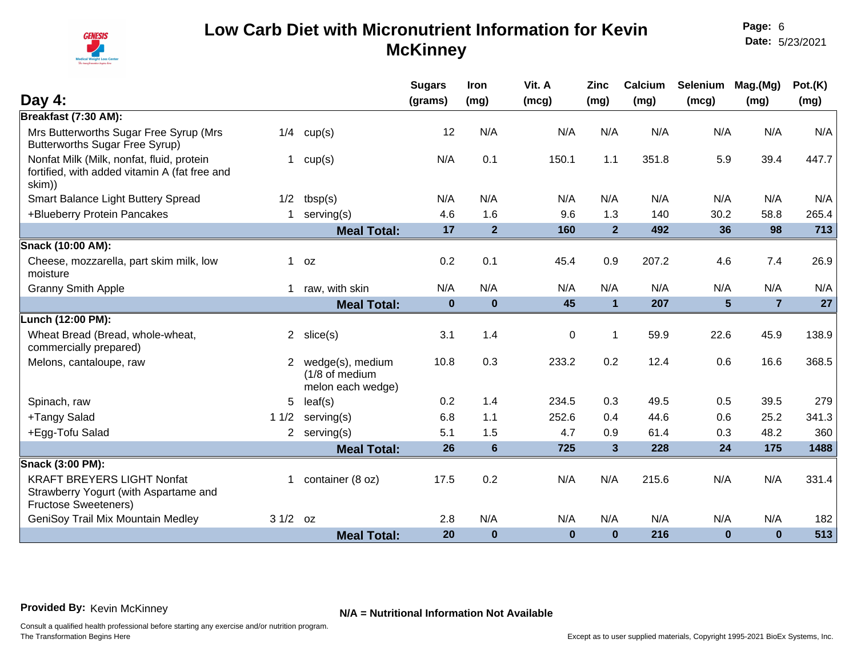

**Page:** 6 **Date:** 5/23/2021

|                                                                                                           |             |                                                         | <b>Sugars</b> | <b>Iron</b>    | Vit. A      | <b>Zinc</b>    | Calcium | Selenium       | Mag.(Mg)       | Pot.(K) |
|-----------------------------------------------------------------------------------------------------------|-------------|---------------------------------------------------------|---------------|----------------|-------------|----------------|---------|----------------|----------------|---------|
| Day $4:$                                                                                                  |             |                                                         | (grams)       | (mg)           | (mcg)       | (mg)           | (mg)    | (mcg)          | (mg)           | (mg)    |
| Breakfast (7:30 AM):                                                                                      |             |                                                         |               |                |             |                |         |                |                |         |
| Mrs Butterworths Sugar Free Syrup (Mrs<br><b>Butterworths Sugar Free Syrup)</b>                           | 1/4         | cup(s)                                                  | 12            | N/A            | N/A         | N/A            | N/A     | N/A            | N/A            | N/A     |
| Nonfat Milk (Milk, nonfat, fluid, protein<br>fortified, with added vitamin A (fat free and<br>skim))      | $\mathbf 1$ | cup(s)                                                  | N/A           | 0.1            | 150.1       | 1.1            | 351.8   | 5.9            | 39.4           | 447.7   |
| Smart Balance Light Buttery Spread                                                                        | 1/2         | tbsp(s)                                                 | N/A           | N/A            | N/A         | N/A            | N/A     | N/A            | N/A            | N/A     |
| +Blueberry Protein Pancakes                                                                               | $\mathbf 1$ | serving(s)                                              | 4.6           | 1.6            | 9.6         | 1.3            | 140     | 30.2           | 58.8           | 265.4   |
|                                                                                                           |             | <b>Meal Total:</b>                                      | 17            | $\overline{2}$ | 160         | $\overline{2}$ | 492     | 36             | 98             | 713     |
| Snack (10:00 AM):                                                                                         |             |                                                         |               |                |             |                |         |                |                |         |
| Cheese, mozzarella, part skim milk, low<br>moisture                                                       | 1           | 0Z                                                      | 0.2           | 0.1            | 45.4        | 0.9            | 207.2   | 4.6            | 7.4            | 26.9    |
| <b>Granny Smith Apple</b>                                                                                 |             | 1 raw, with skin                                        | N/A           | N/A            | N/A         | N/A            | N/A     | N/A            | N/A            | N/A     |
|                                                                                                           |             | <b>Meal Total:</b>                                      | $\mathbf 0$   | $\bf{0}$       | 45          | $\mathbf{1}$   | 207     | $5\phantom{1}$ | $\overline{7}$ | 27      |
| Lunch (12:00 PM):                                                                                         |             |                                                         |               |                |             |                |         |                |                |         |
| Wheat Bread (Bread, whole-wheat,<br>commercially prepared)                                                |             | 2 $slice(s)$                                            | 3.1           | 1.4            | $\mathbf 0$ | $\mathbf 1$    | 59.9    | 22.6           | 45.9           | 138.9   |
| Melons, cantaloupe, raw                                                                                   | $2^{\circ}$ | wedge(s), medium<br>(1/8 of medium<br>melon each wedge) | 10.8          | 0.3            | 233.2       | 0.2            | 12.4    | 0.6            | 16.6           | 368.5   |
| Spinach, raw                                                                                              | 5           | leaf(s)                                                 | 0.2           | 1.4            | 234.5       | 0.3            | 49.5    | 0.5            | 39.5           | 279     |
| +Tangy Salad                                                                                              | 11/2        | serving(s)                                              | 6.8           | 1.1            | 252.6       | 0.4            | 44.6    | 0.6            | 25.2           | 341.3   |
| +Egg-Tofu Salad                                                                                           |             | 2 serving(s)                                            | 5.1           | 1.5            | 4.7         | 0.9            | 61.4    | 0.3            | 48.2           | 360     |
|                                                                                                           |             | <b>Meal Total:</b>                                      | 26            | $6\phantom{1}$ | 725         | $\mathbf{3}$   | 228     | 24             | 175            | 1488    |
| Snack (3:00 PM):                                                                                          |             |                                                         |               |                |             |                |         |                |                |         |
| <b>KRAFT BREYERS LIGHT Nonfat</b><br>Strawberry Yogurt (with Aspartame and<br><b>Fructose Sweeteners)</b> | $\mathbf 1$ | container (8 oz)                                        | 17.5          | 0.2            | N/A         | N/A            | 215.6   | N/A            | N/A            | 331.4   |
| GeniSoy Trail Mix Mountain Medley                                                                         | $31/2$ oz   |                                                         | 2.8           | N/A            | N/A         | N/A            | N/A     | N/A            | N/A            | 182     |
|                                                                                                           |             | <b>Meal Total:</b>                                      | 20            | $\bf{0}$       | $\bf{0}$    | $\mathbf 0$    | 216     | $\bf{0}$       | $\bf{0}$       | 513     |

**Provided By:** Kevin McKinney **N/A = Nutritional Information Not Available**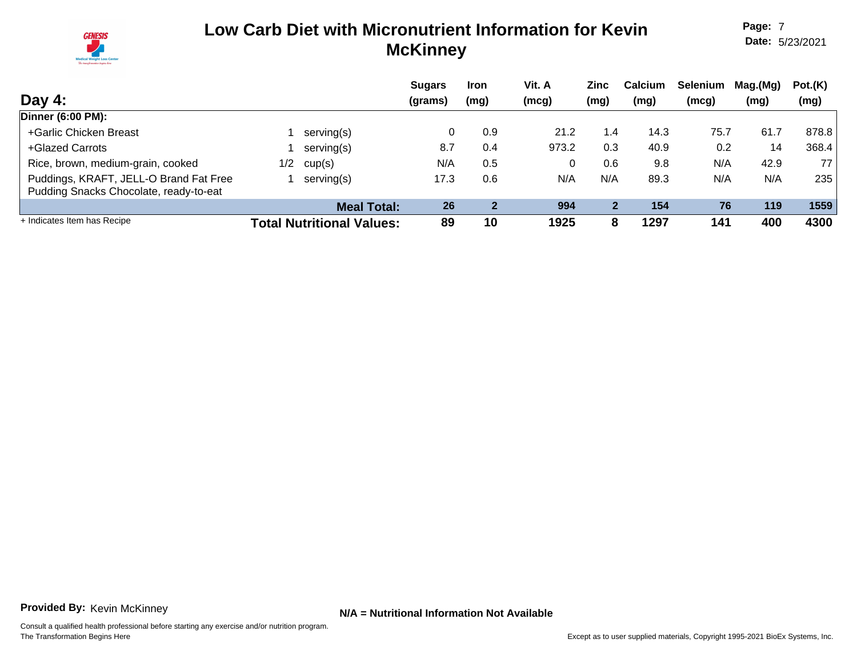

**Page:** 7 **Date:** 5/23/2021

| Day $4:$                                                                         |     |                                  | <b>Sugars</b><br>(grams) | <b>Iron</b><br>(mg) | Vit. A<br>(mcg) | Zinc<br>(mg) | <b>Calcium</b><br>(mg) | <b>Selenium</b><br>(mcg) | Mag.(Mg)<br>(mg) | Pot.(K)<br>(mg) |
|----------------------------------------------------------------------------------|-----|----------------------------------|--------------------------|---------------------|-----------------|--------------|------------------------|--------------------------|------------------|-----------------|
| Dinner (6:00 PM):                                                                |     |                                  |                          |                     |                 |              |                        |                          |                  |                 |
| +Garlic Chicken Breast                                                           |     | serving(s)                       |                          | 0.9                 | 21.2            | 1.4          | 14.3                   | 75.7                     | 61.7             | 878.8           |
| +Glazed Carrots                                                                  |     | serving(s)                       | 8.7                      | 0.4                 | 973.2           | 0.3          | 40.9                   | 0.2                      | 14               | 368.4           |
| Rice, brown, medium-grain, cooked                                                | 1/2 | cup(s)                           | N/A                      | 0.5                 |                 | 0.6          | 9.8                    | N/A                      | 42.9             | 77              |
| Puddings, KRAFT, JELL-O Brand Fat Free<br>Pudding Snacks Chocolate, ready-to-eat |     | serving(s)                       | 17.3                     | 0.6                 | N/A             | N/A          | 89.3                   | N/A                      | N/A              | 235             |
|                                                                                  |     | <b>Meal Total:</b>               | 26                       |                     | 994             | $\mathbf{2}$ | 154                    | 76                       | 119              | 1559            |
| + Indicates Item has Recipe                                                      |     | <b>Total Nutritional Values:</b> | 89                       | 10                  | 1925            |              | 1297                   | 141                      | 400              | 4300            |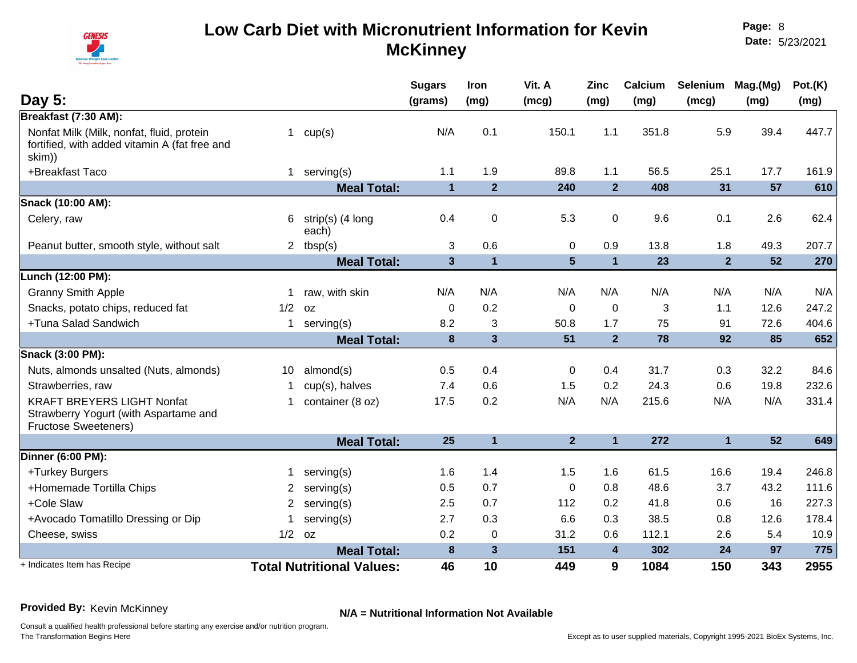

**Page:** 8 **Date:** 5/23/2021

| Day 5:                                                                                                    |                |                                  | <b>Sugars</b><br>(grams) | Iron<br>(mg)            | Vit. A<br>(mcg) | <b>Zinc</b><br>(mg) | Calcium<br>(mg) | Selenium<br>(mcg) | Mag.(Mg)<br>(mg) | Pot.(K)<br>(mg) |
|-----------------------------------------------------------------------------------------------------------|----------------|----------------------------------|--------------------------|-------------------------|-----------------|---------------------|-----------------|-------------------|------------------|-----------------|
| Breakfast (7:30 AM):                                                                                      |                |                                  |                          |                         |                 |                     |                 |                   |                  |                 |
| Nonfat Milk (Milk, nonfat, fluid, protein<br>fortified, with added vitamin A (fat free and<br>skim))      | 1              | cup(s)                           | N/A                      | 0.1                     | 150.1           | 1.1                 | 351.8           | 5.9               | 39.4             | 447.7           |
| +Breakfast Taco                                                                                           | $\mathbf 1$    | serving(s)                       | 1.1                      | 1.9                     | 89.8            | 1.1                 | 56.5            | 25.1              | 17.7             | 161.9           |
|                                                                                                           |                | <b>Meal Total:</b>               | $\mathbf{1}$             | $\overline{2}$          | 240             | $\overline{2}$      | 408             | 31                | 57               | 610             |
| Snack (10:00 AM):                                                                                         |                |                                  |                          |                         |                 |                     |                 |                   |                  |                 |
| Celery, raw                                                                                               | 6              | strip(s) (4 long<br>each)        | 0.4                      | 0                       | 5.3             | $\mathbf 0$         | 9.6             | 0.1               | 2.6              | 62.4            |
| Peanut butter, smooth style, without salt                                                                 |                | 2 $tbsp(s)$                      | 3                        | 0.6                     | $\mathbf 0$     | 0.9                 | 13.8            | 1.8               | 49.3             | 207.7           |
|                                                                                                           |                | <b>Meal Total:</b>               | $\mathbf{3}$             | $\mathbf{1}$            | $5\phantom{1}$  | $\mathbf{1}$        | 23              | $\overline{2}$    | 52               | 270             |
| Lunch (12:00 PM):                                                                                         |                |                                  |                          |                         |                 |                     |                 |                   |                  |                 |
| <b>Granny Smith Apple</b>                                                                                 |                | raw, with skin                   | N/A                      | N/A                     | N/A             | N/A                 | N/A             | N/A               | N/A              | N/A             |
| Snacks, potato chips, reduced fat                                                                         | 1/2            | OZ                               | $\mathbf{0}$             | 0.2                     | $\mathbf 0$     | $\mathbf 0$         | 3               | 1.1               | 12.6             | 247.2           |
| +Tuna Salad Sandwich                                                                                      | 1              | serving(s)                       | 8.2                      | 3                       | 50.8            | 1.7                 | 75              | 91                | 72.6             | 404.6           |
|                                                                                                           |                | <b>Meal Total:</b>               | 8                        | $\overline{\mathbf{3}}$ | 51              | $\overline{2}$      | 78              | 92                | 85               | 652             |
| Snack (3:00 PM):                                                                                          |                |                                  |                          |                         |                 |                     |                 |                   |                  |                 |
| Nuts, almonds unsalted (Nuts, almonds)                                                                    | 10             | almond(s)                        | 0.5                      | 0.4                     | $\mathbf 0$     | 0.4                 | 31.7            | 0.3               | 32.2             | 84.6            |
| Strawberries, raw                                                                                         |                | cup(s), halves                   | 7.4                      | 0.6                     | 1.5             | 0.2                 | 24.3            | 0.6               | 19.8             | 232.6           |
| <b>KRAFT BREYERS LIGHT Nonfat</b><br>Strawberry Yogurt (with Aspartame and<br><b>Fructose Sweeteners)</b> |                | container (8 oz)                 | 17.5                     | 0.2                     | N/A             | N/A                 | 215.6           | N/A               | N/A              | 331.4           |
|                                                                                                           |                | <b>Meal Total:</b>               | 25                       | $\mathbf{1}$            | 2 <sup>1</sup>  | $\mathbf{1}$        | 272             | $\mathbf{1}$      | 52               | 649             |
| Dinner (6:00 PM):                                                                                         |                |                                  |                          |                         |                 |                     |                 |                   |                  |                 |
| +Turkey Burgers                                                                                           |                | serving(s)                       | 1.6                      | 1.4                     | 1.5             | 1.6                 | 61.5            | 16.6              | 19.4             | 246.8           |
| +Homemade Tortilla Chips                                                                                  | $\overline{2}$ | serving(s)                       | 0.5                      | 0.7                     | 0               | 0.8                 | 48.6            | 3.7               | 43.2             | 111.6           |
| +Cole Slaw                                                                                                | $\overline{2}$ | serving(s)                       | 2.5                      | 0.7                     | 112             | 0.2                 | 41.8            | 0.6               | 16               | 227.3           |
| +Avocado Tomatillo Dressing or Dip                                                                        |                | serving(s)                       | 2.7                      | 0.3                     | 6.6             | 0.3                 | 38.5            | 0.8               | 12.6             | 178.4           |
| Cheese, swiss                                                                                             | 1/2            | 0Z                               | 0.2                      | 0                       | 31.2            | 0.6                 | 112.1           | 2.6               | 5.4              | 10.9            |
|                                                                                                           |                | <b>Meal Total:</b>               | 8                        | 3                       | 151             | $\overline{4}$      | 302             | 24                | 97               | 775             |
| + Indicates Item has Recipe                                                                               |                | <b>Total Nutritional Values:</b> | 46                       | 10                      | 449             | 9                   | 1084            | 150               | 343              | 2955            |

### **Provided By:** Kevin McKinney **N/A = Nutritional Information Not Available**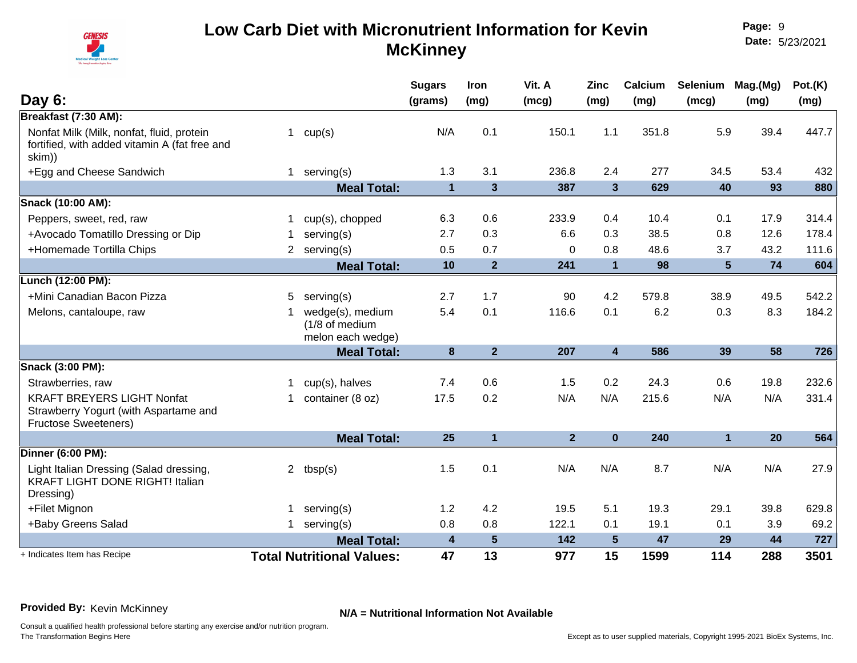

| Day 6:                                                                                                    |             |                                                         | <b>Sugars</b><br>(grams) | Iron<br>(mg)   | Vit. A<br>(mcg) | <b>Zinc</b><br>(mg) | Calcium<br>(mg) | Selenium<br>(mcg) | Mag.(Mg)<br>(mg) | Pot.(K)<br>(mg) |
|-----------------------------------------------------------------------------------------------------------|-------------|---------------------------------------------------------|--------------------------|----------------|-----------------|---------------------|-----------------|-------------------|------------------|-----------------|
| Breakfast (7:30 AM):                                                                                      |             |                                                         |                          |                |                 |                     |                 |                   |                  |                 |
| Nonfat Milk (Milk, nonfat, fluid, protein<br>fortified, with added vitamin A (fat free and<br>skim))      | 1           | cup(s)                                                  | N/A                      | 0.1            | 150.1           | 1.1                 | 351.8           | 5.9               | 39.4             | 447.7           |
| +Egg and Cheese Sandwich                                                                                  | 1           | serving(s)                                              | 1.3                      | 3.1            | 236.8           | 2.4                 | 277             | 34.5              | 53.4             | 432             |
|                                                                                                           |             | <b>Meal Total:</b>                                      | $\overline{1}$           | $\mathbf{3}$   | 387             | $\overline{3}$      | 629             | 40                | 93               | 880             |
| Snack (10:00 AM):                                                                                         |             |                                                         |                          |                |                 |                     |                 |                   |                  |                 |
| Peppers, sweet, red, raw                                                                                  |             | cup(s), chopped                                         | 6.3                      | 0.6            | 233.9           | 0.4                 | 10.4            | 0.1               | 17.9             | 314.4           |
| +Avocado Tomatillo Dressing or Dip                                                                        |             | serving(s)                                              | 2.7                      | 0.3            | 6.6             | 0.3                 | 38.5            | 0.8               | 12.6             | 178.4           |
| +Homemade Tortilla Chips                                                                                  |             | serving(s)                                              | 0.5                      | 0.7            | $\mathbf 0$     | 0.8                 | 48.6            | 3.7               | 43.2             | 111.6           |
|                                                                                                           |             | <b>Meal Total:</b>                                      | 10                       | $\overline{2}$ | 241             | $\overline{1}$      | 98              | $5\phantom{.0}$   | 74               | 604             |
| Lunch (12:00 PM):                                                                                         |             |                                                         |                          |                |                 |                     |                 |                   |                  |                 |
| +Mini Canadian Bacon Pizza                                                                                | 5           | serving(s)                                              | 2.7                      | 1.7            | 90              | 4.2                 | 579.8           | 38.9              | 49.5             | 542.2           |
| Melons, cantaloupe, raw                                                                                   |             | wedge(s), medium<br>(1/8 of medium<br>melon each wedge) | 5.4                      | 0.1            | 116.6           | 0.1                 | 6.2             | 0.3               | 8.3              | 184.2           |
|                                                                                                           |             | <b>Meal Total:</b>                                      | 8                        | $\overline{2}$ | 207             | $\overline{4}$      | 586             | 39                | 58               | 726             |
| Snack (3:00 PM):                                                                                          |             |                                                         |                          |                |                 |                     |                 |                   |                  |                 |
| Strawberries, raw                                                                                         | $\mathbf 1$ | cup(s), halves                                          | 7.4                      | 0.6            | 1.5             | 0.2                 | 24.3            | 0.6               | 19.8             | 232.6           |
| <b>KRAFT BREYERS LIGHT Nonfat</b><br>Strawberry Yogurt (with Aspartame and<br><b>Fructose Sweeteners)</b> | 1           | container (8 oz)                                        | 17.5                     | 0.2            | N/A             | N/A                 | 215.6           | N/A               | N/A              | 331.4           |
|                                                                                                           |             | <b>Meal Total:</b>                                      | 25                       | $\mathbf{1}$   | 2 <sup>1</sup>  | $\mathbf 0$         | 240             | $\mathbf{1}$      | 20               | 564             |
| Dinner (6:00 PM):                                                                                         |             |                                                         |                          |                |                 |                     |                 |                   |                  |                 |
| Light Italian Dressing (Salad dressing,<br><b>KRAFT LIGHT DONE RIGHT! Italian</b><br>Dressing)            | $2^{\circ}$ | tbsp(s)                                                 | 1.5                      | 0.1            | N/A             | N/A                 | 8.7             | N/A               | N/A              | 27.9            |
| +Filet Mignon                                                                                             |             | serving(s)                                              | 1.2                      | 4.2            | 19.5            | 5.1                 | 19.3            | 29.1              | 39.8             | 629.8           |
| +Baby Greens Salad                                                                                        | 1           | serving(s)                                              | 0.8                      | 0.8            | 122.1           | 0.1                 | 19.1            | 0.1               | 3.9              | 69.2            |
|                                                                                                           |             | <b>Meal Total:</b>                                      | 4                        | $\sqrt{5}$     | 142             | $5\phantom{.0}$     | 47              | 29                | 44               | 727             |
| + Indicates Item has Recipe                                                                               |             | <b>Total Nutritional Values:</b>                        | 47                       | 13             | 977             | 15                  | 1599            | 114               | 288              | 3501            |

### **Provided By:** Kevin McKinney **N/A = Nutritional Information Not Available**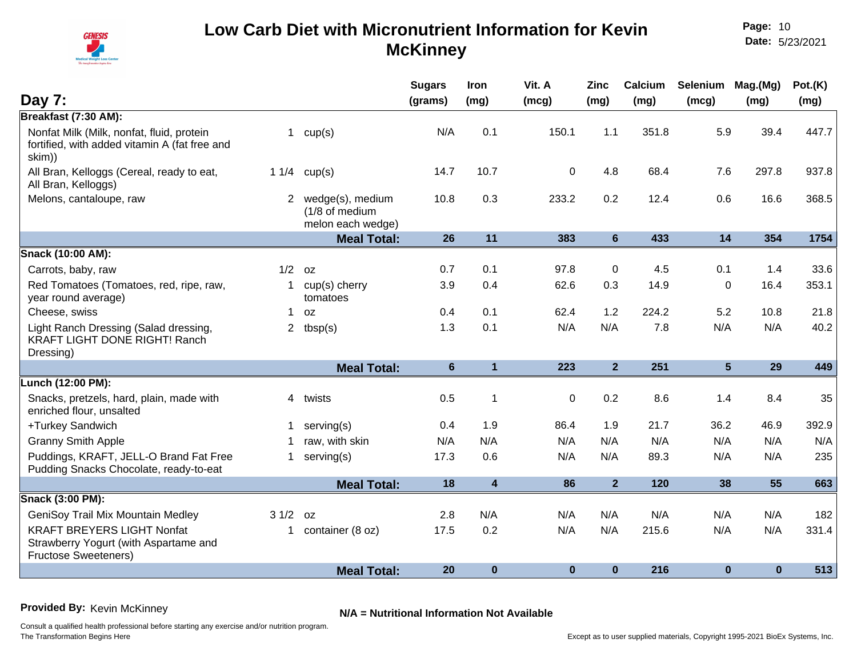

**Page:** 10 **Date:** 5/23/2021

| Day 7:                                                                                                    |                |                                                         | <b>Sugars</b><br>(grams) | Iron<br>(mg)            | Vit. A<br>(mcg) | <b>Zinc</b><br>(mg) | Calcium<br>(mg) | Selenium Mag.(Mg)<br>(mcg) | (mg)     | Pot.(K)<br>(mg) |
|-----------------------------------------------------------------------------------------------------------|----------------|---------------------------------------------------------|--------------------------|-------------------------|-----------------|---------------------|-----------------|----------------------------|----------|-----------------|
| Breakfast (7:30 AM):                                                                                      |                |                                                         |                          |                         |                 |                     |                 |                            |          |                 |
| Nonfat Milk (Milk, nonfat, fluid, protein<br>fortified, with added vitamin A (fat free and<br>skim))      | $\mathbf{1}$   | cup(s)                                                  | N/A                      | 0.1                     | 150.1           | 1.1                 | 351.8           | 5.9                        | 39.4     | 447.7           |
| All Bran, Kelloggs (Cereal, ready to eat,<br>All Bran, Kelloggs)                                          | 11/4           | cup(s)                                                  | 14.7                     | 10.7                    | $\mathbf 0$     | 4.8                 | 68.4            | 7.6                        | 297.8    | 937.8           |
| Melons, cantaloupe, raw                                                                                   | $\overline{2}$ | wedge(s), medium<br>(1/8 of medium<br>melon each wedge) | 10.8                     | 0.3                     | 233.2           | 0.2                 | 12.4            | 0.6                        | 16.6     | 368.5           |
|                                                                                                           |                | <b>Meal Total:</b>                                      | 26                       | 11                      | 383             | 6                   | 433             | 14                         | 354      | 1754            |
| Snack (10:00 AM):                                                                                         |                |                                                         |                          |                         |                 |                     |                 |                            |          |                 |
| Carrots, baby, raw                                                                                        | 1/2            | 0Z                                                      | 0.7                      | 0.1                     | 97.8            | 0                   | 4.5             | 0.1                        | 1.4      | 33.6            |
| Red Tomatoes (Tomatoes, red, ripe, raw,<br>year round average)                                            | 1              | cup(s) cherry<br>tomatoes                               | 3.9                      | 0.4                     | 62.6            | 0.3                 | 14.9            | $\mathbf 0$                | 16.4     | 353.1           |
| Cheese, swiss                                                                                             | $\mathbf 1$    | 0Z                                                      | 0.4                      | 0.1                     | 62.4            | 1.2                 | 224.2           | 5.2                        | 10.8     | 21.8            |
| Light Ranch Dressing (Salad dressing,<br>KRAFT LIGHT DONE RIGHT! Ranch<br>Dressing)                       | $\mathbf{2}$   | tbsp(s)                                                 | 1.3                      | 0.1                     | N/A             | N/A                 | 7.8             | N/A                        | N/A      | 40.2            |
|                                                                                                           |                | <b>Meal Total:</b>                                      | $6\phantom{1}$           | $\mathbf{1}$            | 223             | $\overline{2}$      | 251             | 5                          | 29       | 449             |
| Lunch (12:00 PM):                                                                                         |                |                                                         |                          |                         |                 |                     |                 |                            |          |                 |
| Snacks, pretzels, hard, plain, made with<br>enriched flour, unsalted                                      |                | 4 twists                                                | 0.5                      | $\overline{1}$          | $\mathbf 0$     | 0.2                 | 8.6             | 1.4                        | 8.4      | 35              |
| +Turkey Sandwich                                                                                          |                | serving(s)                                              | 0.4                      | 1.9                     | 86.4            | 1.9                 | 21.7            | 36.2                       | 46.9     | 392.9           |
| <b>Granny Smith Apple</b>                                                                                 |                | raw, with skin                                          | N/A                      | N/A                     | N/A             | N/A                 | N/A             | N/A                        | N/A      | N/A             |
| Puddings, KRAFT, JELL-O Brand Fat Free<br>Pudding Snacks Chocolate, ready-to-eat                          | $\mathbf 1$    | serving(s)                                              | 17.3                     | 0.6                     | N/A             | N/A                 | 89.3            | N/A                        | N/A      | 235             |
|                                                                                                           |                | <b>Meal Total:</b>                                      | 18                       | $\overline{\mathbf{4}}$ | 86              | 2 <sup>2</sup>      | 120             | 38                         | 55       | 663             |
| Snack (3:00 PM):                                                                                          |                |                                                         |                          |                         |                 |                     |                 |                            |          |                 |
| GeniSoy Trail Mix Mountain Medley                                                                         | 31/2           | 0Z                                                      | 2.8                      | N/A                     | N/A             | N/A                 | N/A             | N/A                        | N/A      | 182             |
| <b>KRAFT BREYERS LIGHT Nonfat</b><br>Strawberry Yogurt (with Aspartame and<br><b>Fructose Sweeteners)</b> | $\mathbf 1$    | container (8 oz)                                        | 17.5                     | 0.2                     | N/A             | N/A                 | 215.6           | N/A                        | N/A      | 331.4           |
|                                                                                                           |                | <b>Meal Total:</b>                                      | 20                       | $\bf{0}$                | $\mathbf{0}$    | $\bf{0}$            | 216             | $\bf{0}$                   | $\bf{0}$ | 513             |

**Provided By:** Kevin McKinney **N/A = Nutritional Information Not Available**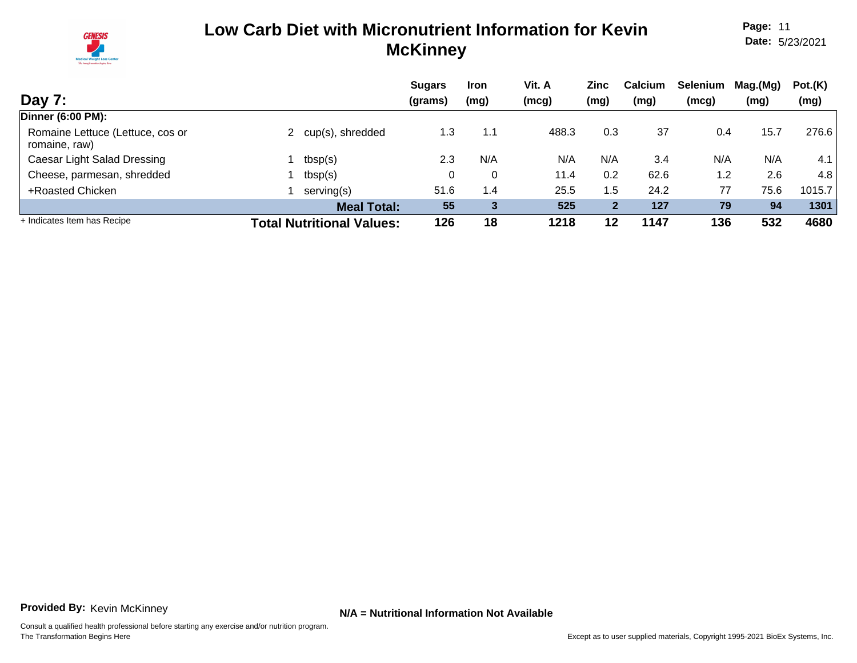

**Page:** 11 **Date:** 5/23/2021

| Day 7:                                            |                                  | <b>Sugars</b><br>(grams) | <b>Iron</b><br>(mg) | Vit. A<br>(mcg) | Zinc<br>(mg) | Calcium<br>(mg) | <b>Selenium</b><br>(mcg) | Mag.(Mg)<br>(mg) | Pot.(K)<br>(mg) |
|---------------------------------------------------|----------------------------------|--------------------------|---------------------|-----------------|--------------|-----------------|--------------------------|------------------|-----------------|
| <b>Dinner (6:00 PM):</b>                          |                                  |                          |                     |                 |              |                 |                          |                  |                 |
| Romaine Lettuce (Lettuce, cos or<br>romaine, raw) | cup(s), shredded                 | 1.3                      | 1.1                 | 488.3           | 0.3          | 37              | 0.4                      | 15.7             | 276.6           |
| Caesar Light Salad Dressing                       | tbsp(s)                          | 2.3                      | N/A                 | N/A             | N/A          | 3.4             | N/A                      | N/A              | 4.1             |
| Cheese, parmesan, shredded                        | tbsp(s)                          |                          | 0                   | 11.4            | 0.2          | 62.6            | 1.2                      | 2.6              | 4.8             |
| +Roasted Chicken                                  | serving(s)                       | 51.6                     | 1.4                 | 25.5            | 1.5          | 24.2            | 77                       | 75.6             | 1015.7          |
|                                                   | <b>Meal Total:</b>               | 55                       | 3                   | 525             | $\mathbf{2}$ | 127             | 79                       | 94               | 1301            |
| + Indicates Item has Recipe                       | <b>Total Nutritional Values:</b> | 126                      | 18                  | 1218            | 12           | 1147            | 136                      | 532              | 4680            |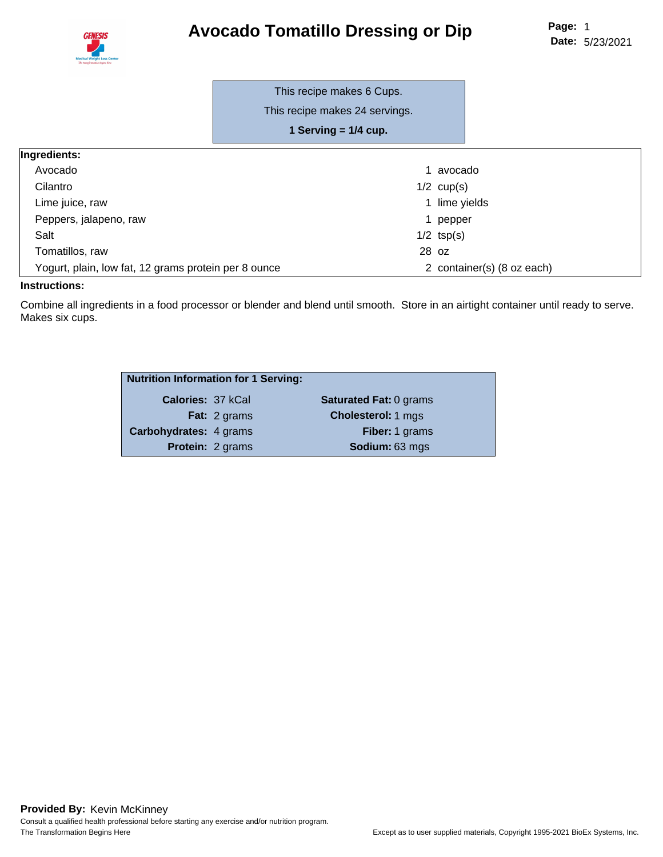# **Avocado Tomatillo Dressing or Dip**



|                                                      | This recipe makes 6 Cups.      |       |                            |
|------------------------------------------------------|--------------------------------|-------|----------------------------|
|                                                      | This recipe makes 24 servings. |       |                            |
|                                                      | 1 Serving $= 1/4$ cup.         |       |                            |
| Ingredients:                                         |                                |       |                            |
| Avocado                                              |                                |       | avocado                    |
| Cilantro                                             |                                |       | $1/2$ cup(s)               |
| Lime juice, raw                                      |                                |       | 1 lime yields              |
| Peppers, jalapeno, raw                               |                                | 1.    | pepper                     |
| Salt                                                 |                                |       | $1/2$ tsp(s)               |
| Tomatillos, raw                                      |                                | 28 oz |                            |
| Yogurt, plain, low fat, 12 grams protein per 8 ounce |                                |       | 2 container(s) (8 oz each) |

#### **Instructions:**

Combine all ingredients in a food processor or blender and blend until smooth. Store in an airtight container until ready to serve. Makes six cups.

| <b>Nutrition Information for 1 Serving:</b> |                         |                               |
|---------------------------------------------|-------------------------|-------------------------------|
| Calories: 37 kCal                           |                         | <b>Saturated Fat: 0 grams</b> |
|                                             | <b>Fat:</b> 2 grams     | <b>Cholesterol: 1 mgs</b>     |
| <b>Carbohydrates: 4 grams</b>               |                         | Fiber: 1 grams                |
|                                             | <b>Protein: 2 grams</b> | Sodium: 63 mgs                |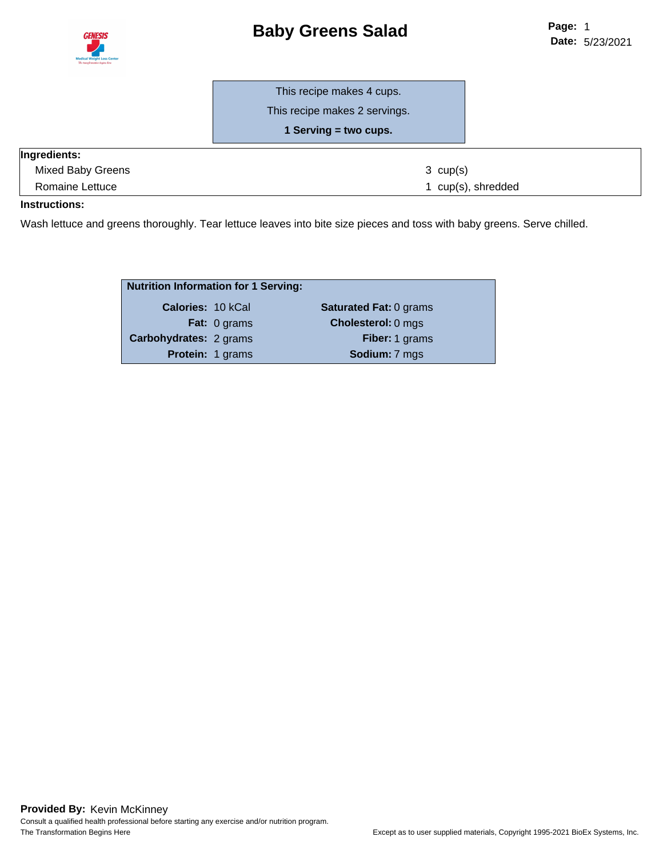

# **Baby Greens Salad**

This recipe makes 4 cups.

This recipe makes 2 servings.

**1 Serving = two cups.**

| <b>Ingredients:</b> |                    |
|---------------------|--------------------|
| Mixed Baby Greens   | $3 \text{ cup}(s)$ |
| Romaine Lettuce     | 1 cup(s), shredded |

#### **Instructions:**

Wash lettuce and greens thoroughly. Tear lettuce leaves into bite size pieces and toss with baby greens. Serve chilled.

| <b>Nutrition Information for 1 Serving:</b> |                     |                               |
|---------------------------------------------|---------------------|-------------------------------|
| <b>Calories: 10 kCal</b>                    |                     | <b>Saturated Fat: 0 grams</b> |
|                                             | <b>Fat:</b> 0 grams | <b>Cholesterol: 0 mgs</b>     |
| <b>Carbohydrates: 2 grams</b>               |                     | Fiber: 1 grams                |
|                                             | Protein: 1 grams    | Sodium: 7 mgs                 |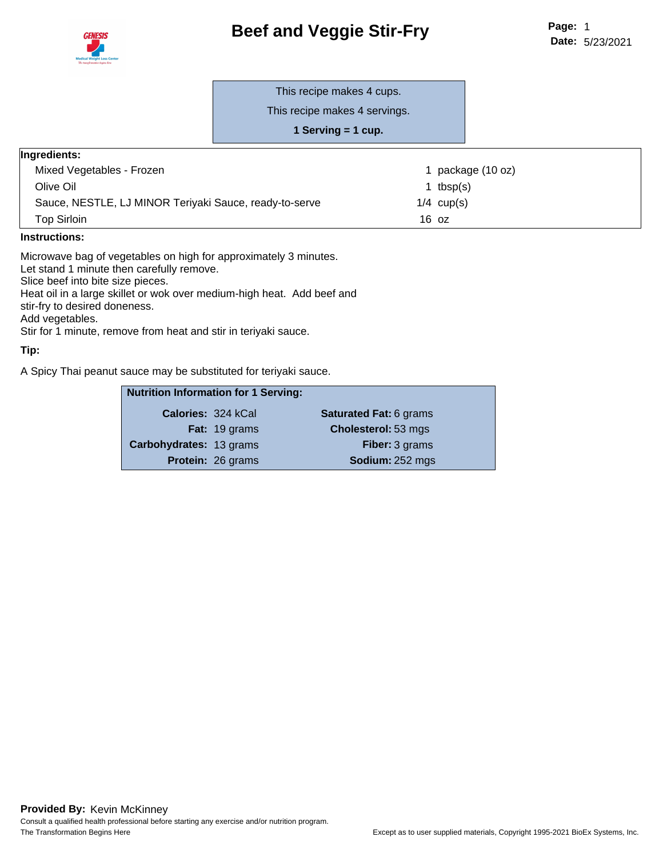



This recipe makes 4 cups.

This recipe makes 4 servings.

**1 Serving = 1 cup.**

#### **Ingredients:**

| Mixed Vegetables - Frozen                              | package (10 oz) |
|--------------------------------------------------------|-----------------|
| Olive Oil                                              | tbsp(s)         |
| Sauce, NESTLE, LJ MINOR Teriyaki Sauce, ready-to-serve | $1/4$ cup(s)    |
| Top Sirloin                                            | 16 oz           |
|                                                        |                 |

#### **Instructions:**

Microwave bag of vegetables on high for approximately 3 minutes. Let stand 1 minute then carefully remove. Slice beef into bite size pieces. Heat oil in a large skillet or wok over medium-high heat. Add beef and stir-fry to desired doneness. Add vegetables. Stir for 1 minute, remove from heat and stir in teriyaki sauce.

#### **Tip:**

A Spicy Thai peanut sauce may be substituted for teriyaki sauce.

| <b>Nutrition Information for 1 Serving:</b> |                          |                               |
|---------------------------------------------|--------------------------|-------------------------------|
| <b>Calories: 324 kCal</b>                   |                          | <b>Saturated Fat: 6 grams</b> |
|                                             | <b>Fat:</b> 19 grams     | <b>Cholesterol: 53 mgs</b>    |
| Carbohydrates: 13 grams                     |                          | <b>Fiber:</b> 3 grams         |
|                                             | <b>Protein: 26 grams</b> | Sodium: 252 mgs               |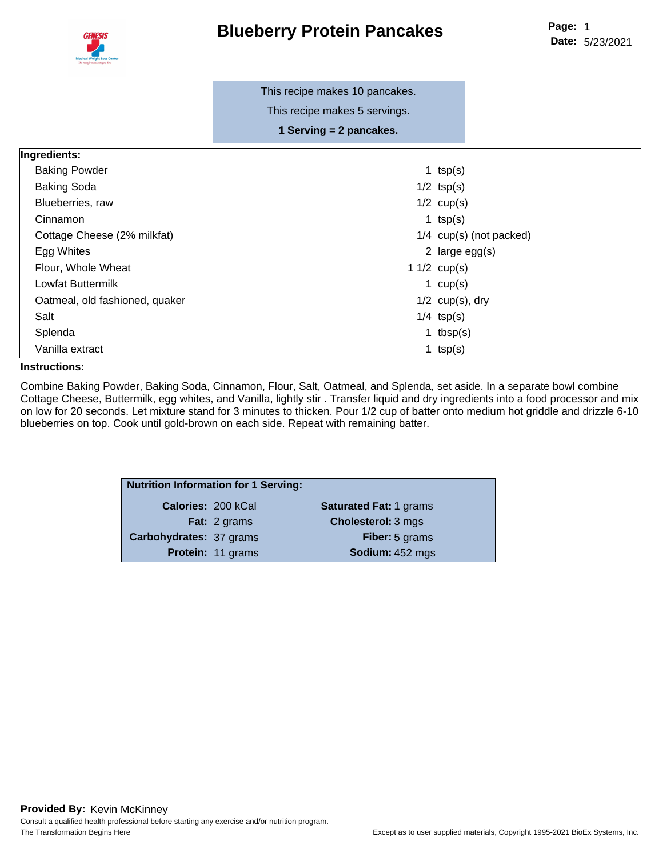

This recipe makes 10 pancakes.

This recipe makes 5 servings.

**1 Serving = 2 pancakes.**

| Ingredients:                   |                |                           |
|--------------------------------|----------------|---------------------------|
| <b>Baking Powder</b>           | 1 $tsp(s)$     |                           |
| <b>Baking Soda</b>             | $1/2$ tsp(s)   |                           |
| Blueberries, raw               | $1/2$ cup(s)   |                           |
| Cinnamon                       | 1 $tsp(s)$     |                           |
| Cottage Cheese (2% milkfat)    |                | $1/4$ cup(s) (not packed) |
| Egg Whites                     |                | 2 large $egg(s)$          |
| Flour, Whole Wheat             | 1 $1/2$ cup(s) |                           |
| Lowfat Buttermilk              | 1 $cup(s)$     |                           |
| Oatmeal, old fashioned, quaker |                | $1/2$ cup(s), dry         |
| Salt                           | $1/4$ tsp(s)   |                           |
| Splenda                        |                | 1 tbsp $(s)$              |
| Vanilla extract                | 1 $tsp(s)$     |                           |

#### **Instructions:**

Combine Baking Powder, Baking Soda, Cinnamon, Flour, Salt, Oatmeal, and Splenda, set aside. In a separate bowl combine Cottage Cheese, Buttermilk, egg whites, and Vanilla, lightly stir . Transfer liquid and dry ingredients into a food processor and mix on low for 20 seconds. Let mixture stand for 3 minutes to thicken. Pour 1/2 cup of batter onto medium hot griddle and drizzle 6-10 blueberries on top. Cook until gold-brown on each side. Repeat with remaining batter.

| <b>Nutrition Information for 1 Serving:</b> |                           |                               |  |  |  |  |
|---------------------------------------------|---------------------------|-------------------------------|--|--|--|--|
|                                             | <b>Calories: 200 kCal</b> | <b>Saturated Fat: 1 grams</b> |  |  |  |  |
|                                             | Fat: 2 grams              | <b>Cholesterol: 3 mgs</b>     |  |  |  |  |
| Carbohydrates: 37 grams                     |                           | <b>Fiber:</b> 5 grams         |  |  |  |  |
|                                             | Protein: 11 grams         | Sodium: 452 mgs               |  |  |  |  |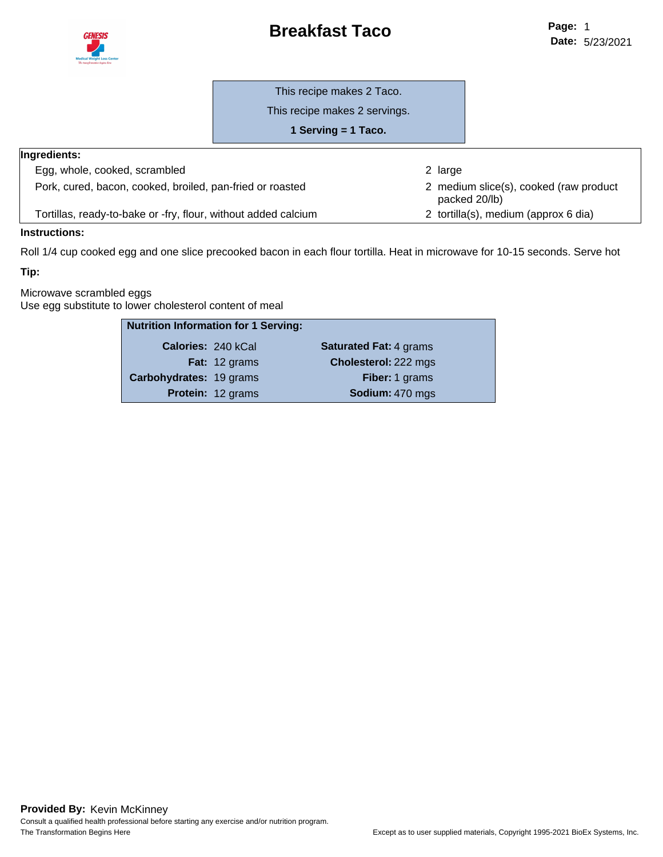### **Breakfast Taco**



This recipe makes 2 Taco.

This recipe makes 2 servings.

**1 Serving = 1 Taco.**

| <b>Ingredients:</b>                                            |                                                         |
|----------------------------------------------------------------|---------------------------------------------------------|
| Egg, whole, cooked, scrambled                                  | 2 large                                                 |
| Pork, cured, bacon, cooked, broiled, pan-fried or roasted      | 2 medium slice(s), cooked (raw product<br>packed 20/lb) |
| Tortillas, ready-to-bake or -fry, flour, without added calcium | 2 tortilla(s), medium (approx 6 dia)                    |

#### **Instructions:**

Roll 1/4 cup cooked egg and one slice precooked bacon in each flour tortilla. Heat in microwave for 10-15 seconds. Serve hot

#### **Tip:**

Microwave scrambled eggs Use egg substitute to lower cholesterol content of meal

| <b>Nutrition Information for 1 Serving:</b> |                      |                               |
|---------------------------------------------|----------------------|-------------------------------|
| <b>Calories: 240 kCal</b>                   |                      | <b>Saturated Fat: 4 grams</b> |
|                                             | <b>Fat:</b> 12 grams | Cholesterol: 222 mgs          |
| Carbohydrates: 19 grams                     |                      | Fiber: 1 grams                |
|                                             | Protein: 12 grams    | Sodium: 470 mgs               |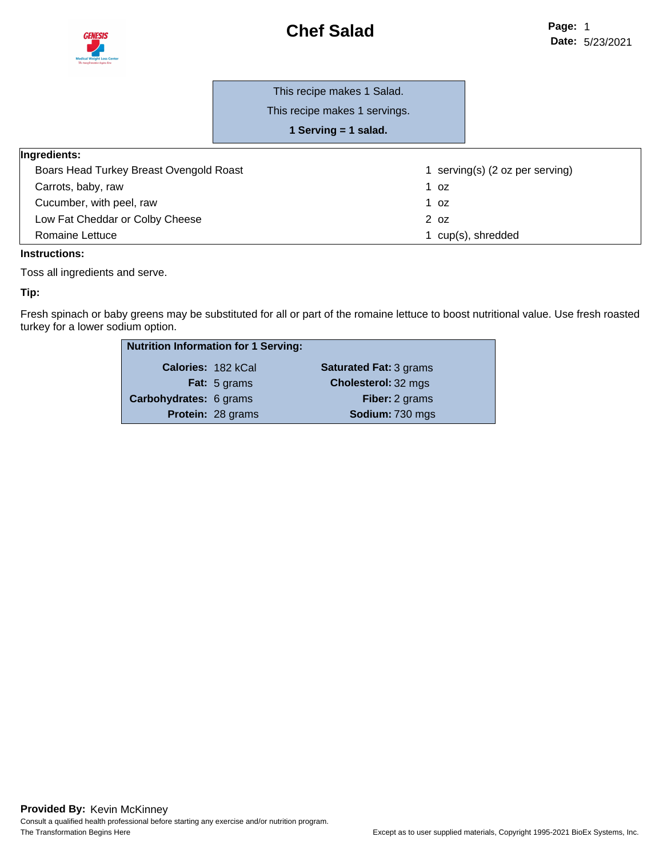

#### This recipe makes 1 Salad.

This recipe makes 1 servings.

**1 Serving = 1 salad.**

| Ingredients:                            |                                         |
|-----------------------------------------|-----------------------------------------|
| Boars Head Turkey Breast Ovengold Roast | serving(s) $(2 \text{ oz per serving})$ |
| Carrots, baby, raw                      | 1 oz                                    |
| Cucumber, with peel, raw                | 1 oz                                    |
| Low Fat Cheddar or Colby Cheese         | 2 <sub>oz</sub>                         |
| Romaine Lettuce                         | cup(s), shredded                        |

#### **Instructions:**

Toss all ingredients and serve.

#### **Tip:**

Fresh spinach or baby greens may be substituted for all or part of the romaine lettuce to boost nutritional value. Use fresh roasted turkey for a lower sodium option.

| <b>Nutrition Information for 1 Serving:</b> |                          |                               |
|---------------------------------------------|--------------------------|-------------------------------|
| <b>Calories: 182 kCal</b>                   |                          | <b>Saturated Fat: 3 grams</b> |
|                                             | <b>Fat:</b> 5 grams      | Cholesterol: 32 mgs           |
| Carbohydrates: 6 grams                      |                          | <b>Fiber:</b> 2 grams         |
|                                             | <b>Protein: 28 grams</b> | Sodium: 730 mgs               |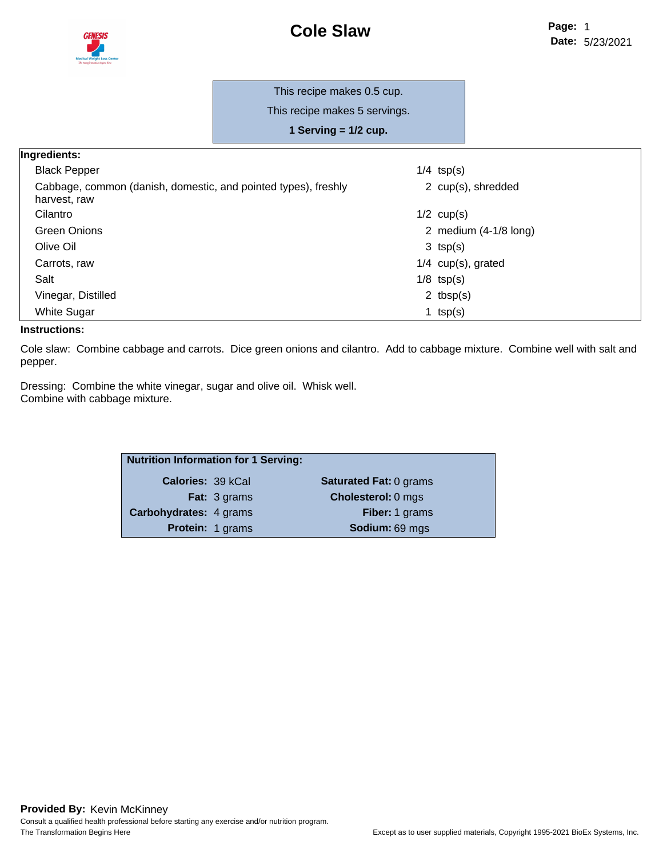

#### This recipe makes 0.5 cup.

This recipe makes 5 servings.

**1 Serving = 1/2 cup.**

| Ingredients:                                                                   |                                 |
|--------------------------------------------------------------------------------|---------------------------------|
| <b>Black Pepper</b>                                                            | $1/4$ tsp(s)                    |
| Cabbage, common (danish, domestic, and pointed types), freshly<br>harvest, raw | 2 cup(s), shredded              |
| Cilantro                                                                       | $1/2$ cup(s)                    |
| <b>Green Onions</b>                                                            | 2 medium $(4-1/8 \text{ long})$ |
| Olive Oil                                                                      | $3$ tsp(s)                      |
| Carrots, raw                                                                   | $1/4$ cup(s), grated            |
| Salt                                                                           | $1/8$ tsp(s)                    |
| Vinegar, Distilled                                                             | 2 $tbsp(s)$                     |
| <b>White Sugar</b>                                                             | 1 $tsp(s)$                      |

#### **Instructions:**

Cole slaw: Combine cabbage and carrots. Dice green onions and cilantro. Add to cabbage mixture. Combine well with salt and pepper.

Dressing: Combine the white vinegar, sugar and olive oil. Whisk well. Combine with cabbage mixture.

| <b>Nutrition Information for 1 Serving:</b> |                         |                               |
|---------------------------------------------|-------------------------|-------------------------------|
| <b>Calories: 39 kCal</b>                    |                         | <b>Saturated Fat: 0 grams</b> |
|                                             | <b>Fat:</b> 3 grams     | <b>Cholesterol: 0 mgs</b>     |
| Carbohydrates: 4 grams                      |                         | Fiber: 1 grams                |
|                                             | <b>Protein: 1 grams</b> | Sodium: 69 mgs                |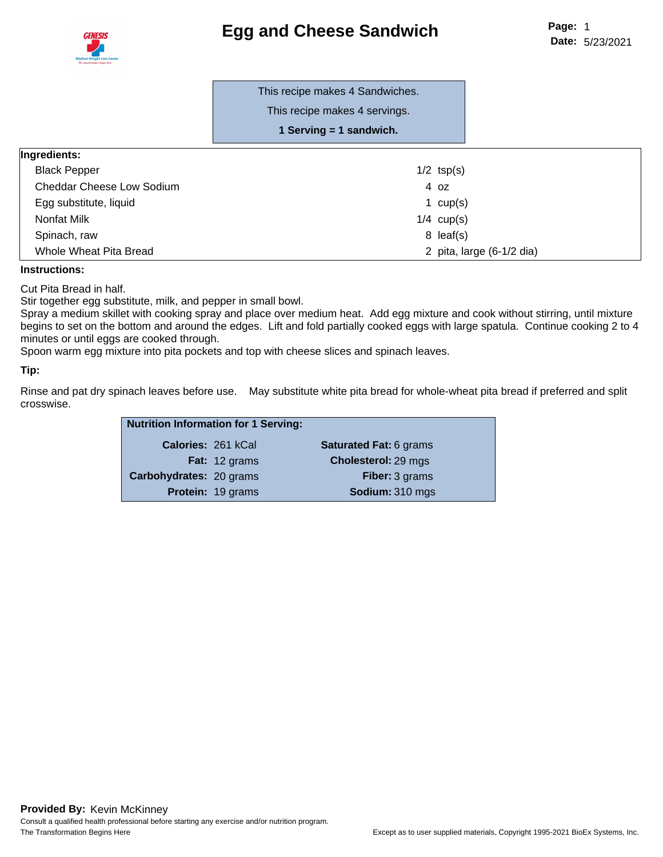

|                           | This recipe makes 4 Sandwiches.<br>This recipe makes 4 servings.<br>1 Serving = 1 sandwich. |                           |
|---------------------------|---------------------------------------------------------------------------------------------|---------------------------|
| Ingredients:              |                                                                                             |                           |
| <b>Black Pepper</b>       | $1/2$ tsp(s)                                                                                |                           |
| Cheddar Cheese Low Sodium | 4 oz                                                                                        |                           |
| Egg substitute, liquid    | 1 $cup(s)$                                                                                  |                           |
| Nonfat Milk               | $1/4$ cup(s)                                                                                |                           |
| Spinach, raw              | $8$ leaf(s)                                                                                 |                           |
| Whole Wheat Pita Bread    |                                                                                             | 2 pita, large (6-1/2 dia) |

#### **Instructions:**

Cut Pita Bread in half.

Stir together egg substitute, milk, and pepper in small bowl.

Spray a medium skillet with cooking spray and place over medium heat. Add egg mixture and cook without stirring, until mixture begins to set on the bottom and around the edges. Lift and fold partially cooked eggs with large spatula. Continue cooking 2 to 4 minutes or until eggs are cooked through.

Spoon warm egg mixture into pita pockets and top with cheese slices and spinach leaves.

#### **Tip:**

Rinse and pat dry spinach leaves before use. May substitute white pita bread for whole-wheat pita bread if preferred and split crosswise.

| <b>Nutrition Information for 1 Serving:</b> |                      |                               |
|---------------------------------------------|----------------------|-------------------------------|
| Calories: 261 kCal                          |                      | <b>Saturated Fat: 6 grams</b> |
|                                             | <b>Fat:</b> 12 grams | <b>Cholesterol: 29 mgs</b>    |
| Carbohydrates: 20 grams                     |                      | <b>Fiber: 3 grams</b>         |
|                                             | Protein: 19 grams    | Sodium: 310 mgs               |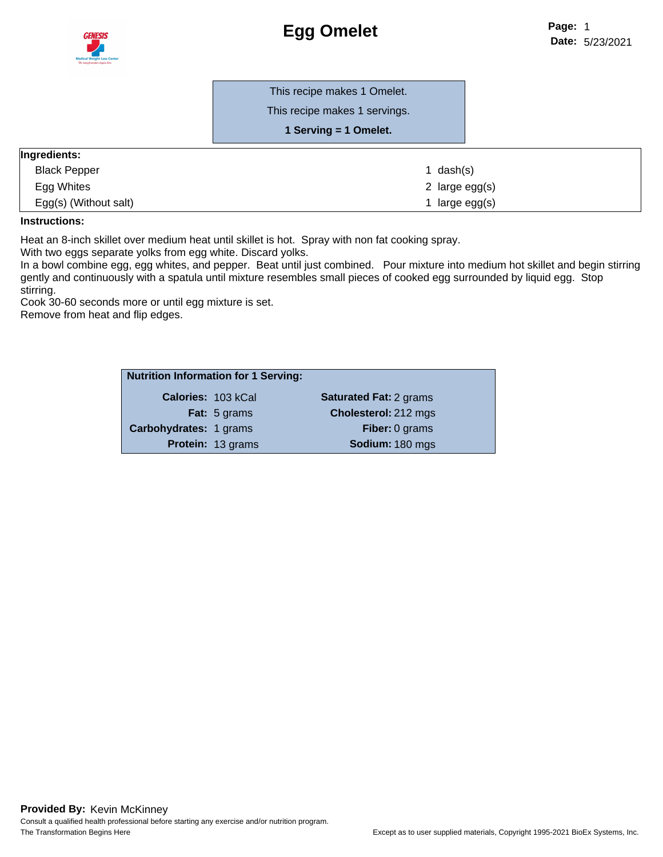

This recipe makes 1 Omelet.

This recipe makes 1 servings.

#### **1 Serving = 1 Omelet.**

| Ingredients:          |                  |  |
|-----------------------|------------------|--|
| <b>Black Pepper</b>   | l dash(s)        |  |
| Egg Whites            | 2 large $egg(s)$ |  |
| Egg(s) (Without salt) | l large egg(s)   |  |

#### **Instructions:**

Heat an 8-inch skillet over medium heat until skillet is hot. Spray with non fat cooking spray.

With two eggs separate yolks from egg white. Discard yolks.

In a bowl combine egg, egg whites, and pepper. Beat until just combined. Pour mixture into medium hot skillet and begin stirring gently and continuously with a spatula until mixture resembles small pieces of cooked egg surrounded by liquid egg. Stop stirring.

Cook 30-60 seconds more or until egg mixture is set.

Remove from heat and flip edges.

| <b>Nutrition Information for 1 Serving:</b> |                          |                               |
|---------------------------------------------|--------------------------|-------------------------------|
| <b>Calories: 103 kCal</b>                   |                          | <b>Saturated Fat: 2 grams</b> |
|                                             | <b>Fat:</b> 5 grams      | Cholesterol: 212 mgs          |
| Carbohydrates: 1 grams                      |                          | <b>Fiber: 0 grams</b>         |
|                                             | <b>Protein: 13 grams</b> | Sodium: 180 mgs               |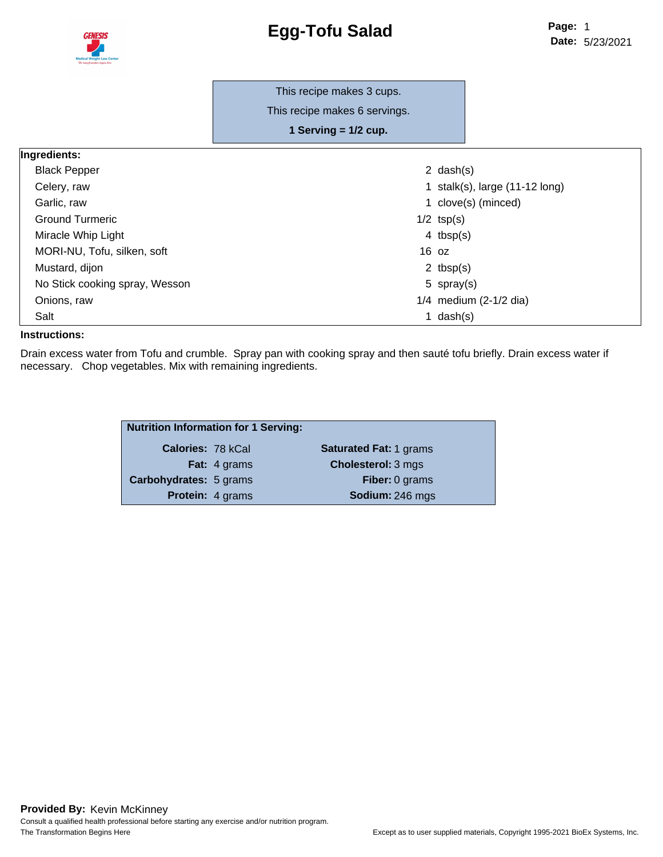

|                                | This recipe makes 3 cups.     |                                          |
|--------------------------------|-------------------------------|------------------------------------------|
|                                | This recipe makes 6 servings. |                                          |
|                                | 1 Serving $= 1/2$ cup.        |                                          |
| Ingredients:                   |                               |                                          |
| <b>Black Pepper</b>            |                               | 2 $dash(s)$                              |
| Celery, raw                    |                               | 1 stalk(s), large $(11-12 \text{ long})$ |
| Garlic, raw                    |                               | 1 clove(s) (minced)                      |
| <b>Ground Turmeric</b>         |                               | $1/2$ tsp(s)                             |
| Miracle Whip Light             |                               | 4 $tbsp(s)$                              |
| MORI-NU, Tofu, silken, soft    | $16$ oz                       |                                          |
| Mustard, dijon                 |                               | 2 tbsp $(s)$                             |
| No Stick cooking spray, Wesson |                               | 5 spray(s)                               |
| Onions, raw                    |                               | $1/4$ medium (2-1/2 dia)                 |
| Salt                           |                               | 1 $dash(s)$                              |

#### **Instructions:**

Drain excess water from Tofu and crumble. Spray pan with cooking spray and then sauté tofu briefly. Drain excess water if necessary. Chop vegetables. Mix with remaining ingredients.

| <b>Nutrition Information for 1 Serving:</b> |                         |                               |
|---------------------------------------------|-------------------------|-------------------------------|
| <b>Calories: 78 kCal</b>                    |                         | <b>Saturated Fat: 1 grams</b> |
|                                             | <b>Fat:</b> 4 grams     | <b>Cholesterol: 3 mgs</b>     |
| Carbohydrates: 5 grams                      |                         | <b>Fiber: 0 grams</b>         |
|                                             | <b>Protein: 4 grams</b> | Sodium: 246 mgs               |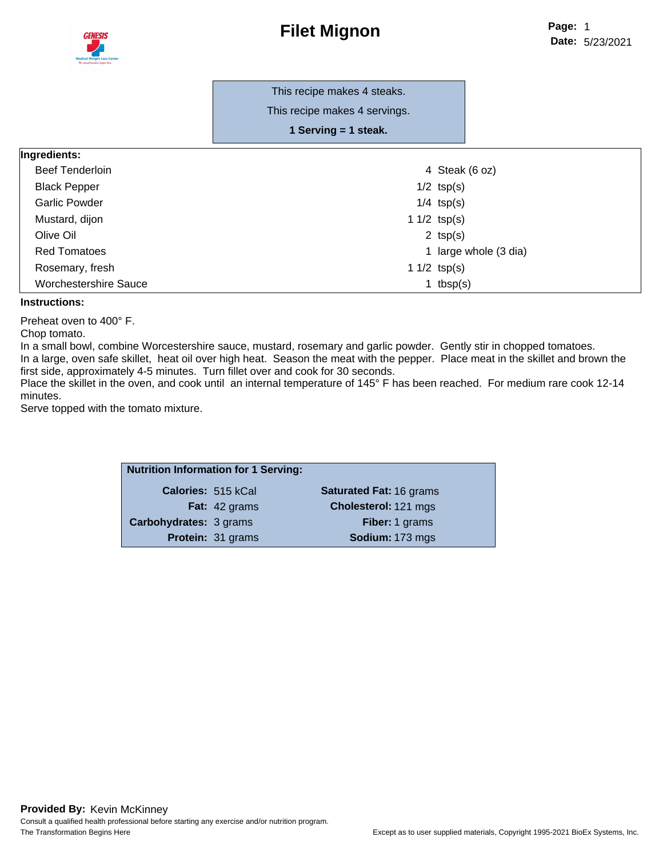

This recipe makes 4 steaks. This recipe makes 4 servings.

**1 Serving = 1 steak.**

#### **Ingredients:**

| <b>Beef Tenderloin</b>       | 4 Steak (6 oz)        |
|------------------------------|-----------------------|
| <b>Black Pepper</b>          | $1/2$ tsp(s)          |
| <b>Garlic Powder</b>         | $1/4$ tsp(s)          |
| Mustard, dijon               | 1 $1/2$ tsp(s)        |
| Olive Oil                    | 2 $tsp(s)$            |
| <b>Red Tomatoes</b>          | 1 large whole (3 dia) |
| Rosemary, fresh              | 1 $1/2$ tsp(s)        |
| <b>Worchestershire Sauce</b> | 1 $tbsp(s)$           |

#### **Instructions:**

Preheat oven to 400° F.

Chop tomato.

In a small bowl, combine Worcestershire sauce, mustard, rosemary and garlic powder. Gently stir in chopped tomatoes. In a large, oven safe skillet, heat oil over high heat. Season the meat with the pepper. Place meat in the skillet and brown the first side, approximately 4-5 minutes. Turn fillet over and cook for 30 seconds.

Place the skillet in the oven, and cook until an internal temperature of 145° F has been reached. For medium rare cook 12-14 minutes.

Serve topped with the tomato mixture.

| <b>Nutrition Information for 1 Serving:</b> |                          |                                |
|---------------------------------------------|--------------------------|--------------------------------|
| Calories: 515 kCal                          |                          | <b>Saturated Fat: 16 grams</b> |
|                                             | <b>Fat:</b> 42 grams     | Cholesterol: 121 mgs           |
| <b>Carbohydrates: 3 grams</b>               |                          | <b>Fiber: 1 grams</b>          |
|                                             | <b>Protein: 31 grams</b> | Sodium: 173 mgs                |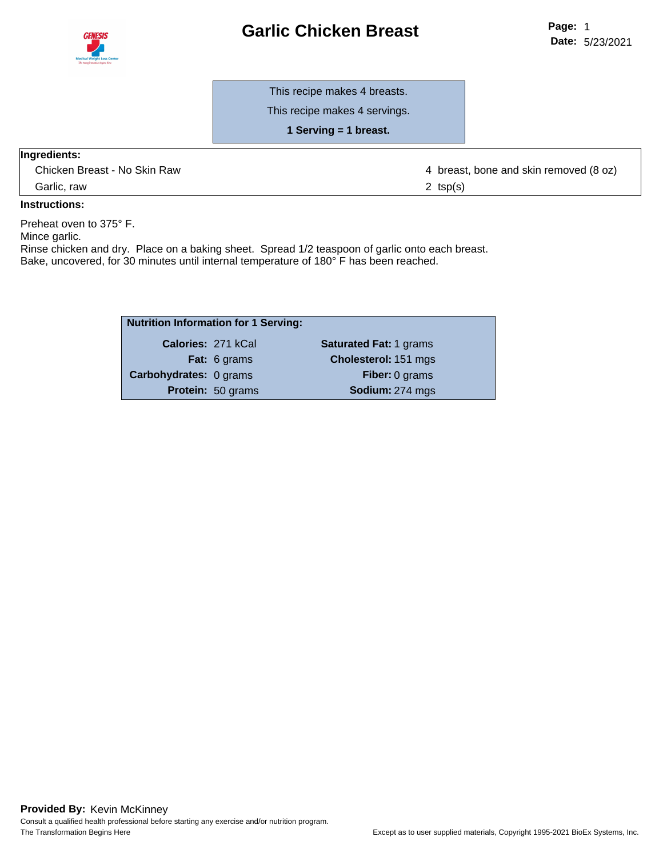



This recipe makes 4 breasts.

This recipe makes 4 servings.

**1 Serving = 1 breast.**

#### **Ingredients:**

Garlic, raw 2 tsp(s)

Chicken Breast - No Skin Raw  $\overline{a}$  and  $\overline{a}$  and  $\overline{a}$  breast, bone and skin removed (8 oz)

#### **Instructions:**

Preheat oven to 375° F.

Mince garlic.

Rinse chicken and dry. Place on a baking sheet. Spread 1/2 teaspoon of garlic onto each breast. Bake, uncovered, for 30 minutes until internal temperature of 180° F has been reached.

| <b>Nutrition Information for 1 Serving:</b> |                   |                               |
|---------------------------------------------|-------------------|-------------------------------|
| Calories: 271 kCal                          |                   | <b>Saturated Fat: 1 grams</b> |
|                                             | Fat: 6 grams      | Cholesterol: 151 mgs          |
| <b>Carbohydrates: 0 grams</b>               |                   | Fiber: 0 grams                |
|                                             | Protein: 50 grams | Sodium: 274 mgs               |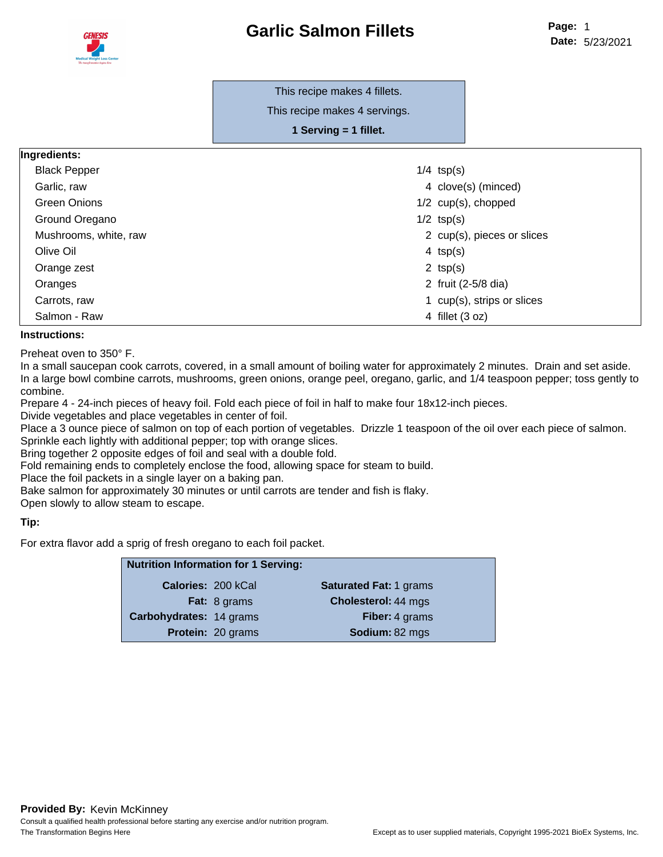

### **Garlic Salmon Fillets**

#### This recipe makes 4 fillets.

This recipe makes 4 servings.

**1 Serving = 1 fillet.**

#### **Ingredients:**

| <b>Black Pepper</b>   | $1/4$ tsp(s)               |
|-----------------------|----------------------------|
| Garlic, raw           | 4 clove(s) (minced)        |
| Green Onions          | $1/2$ cup(s), chopped      |
| Ground Oregano        | $1/2$ tsp(s)               |
| Mushrooms, white, raw | 2 cup(s), pieces or slices |
| Olive Oil             | 4 $tsp(s)$                 |
| Orange zest           | 2 $tsp(s)$                 |
| Oranges               | 2 fruit (2-5/8 dia)        |
| Carrots, raw          | 1 cup(s), strips or slices |
| Salmon - Raw          | 4 fillet (3 oz)            |

#### **Instructions:**

Preheat oven to 350° F.

In a small saucepan cook carrots, covered, in a small amount of boiling water for approximately 2 minutes. Drain and set aside. In a large bowl combine carrots, mushrooms, green onions, orange peel, oregano, garlic, and 1/4 teaspoon pepper; toss gently to combine.

Prepare 4 - 24-inch pieces of heavy foil. Fold each piece of foil in half to make four 18x12-inch pieces.

Divide vegetables and place vegetables in center of foil.

Place a 3 ounce piece of salmon on top of each portion of vegetables. Drizzle 1 teaspoon of the oil over each piece of salmon. Sprinkle each lightly with additional pepper; top with orange slices.

Bring together 2 opposite edges of foil and seal with a double fold.

Fold remaining ends to completely enclose the food, allowing space for steam to build.

Place the foil packets in a single layer on a baking pan.

Bake salmon for approximately 30 minutes or until carrots are tender and fish is flaky.

Open slowly to allow steam to escape.

#### **Tip:**

For extra flavor add a sprig of fresh oregano to each foil packet.

| <b>Nutrition Information for 1 Serving:</b> |                           |                               |
|---------------------------------------------|---------------------------|-------------------------------|
|                                             | <b>Calories: 200 kCal</b> | <b>Saturated Fat: 1 grams</b> |
|                                             | <b>Fat:</b> 8 grams       | <b>Cholesterol: 44 mgs</b>    |
| Carbohydrates: 14 grams                     |                           | Fiber: 4 grams                |
|                                             | Protein: 20 grams         | Sodium: 82 mgs                |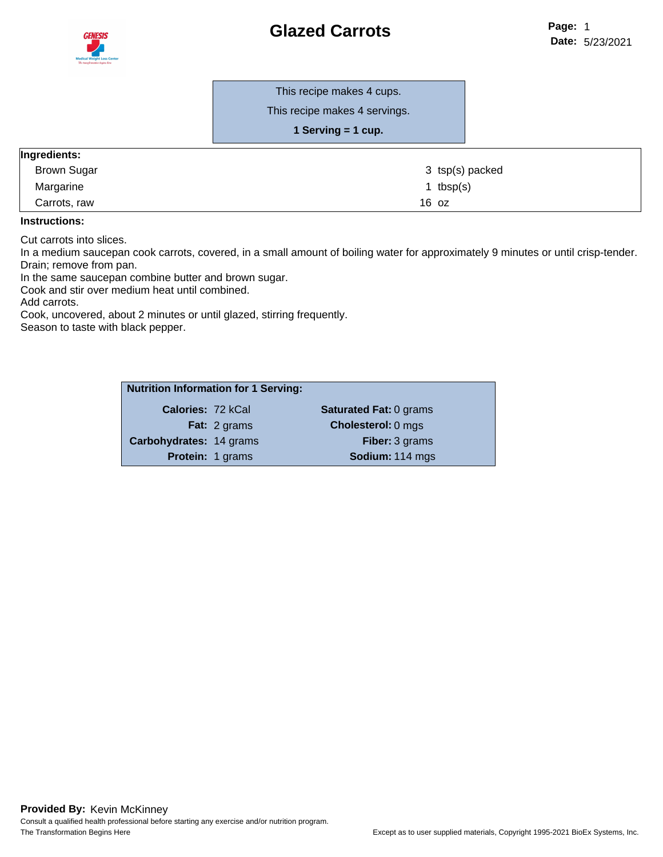

This recipe makes 4 cups.

This recipe makes 4 servings.

| 1 Serving = 1 cup. |  |
|--------------------|--|
|--------------------|--|

#### **Ingredients:**

| . .<br><b>Brown Sugar</b> | 3 tsp(s) packed |
|---------------------------|-----------------|
| Margarine                 | ' tbsp(s)       |
| Carrots, raw              | 16 oz           |

#### **Instructions:**

Cut carrots into slices.

In a medium saucepan cook carrots, covered, in a small amount of boiling water for approximately 9 minutes or until crisp-tender. Drain; remove from pan.

In the same saucepan combine butter and brown sugar.

Cook and stir over medium heat until combined.

Add carrots.

Cook, uncovered, about 2 minutes or until glazed, stirring frequently. Season to taste with black pepper.

|                         | <b>Nutrition Information for 1 Serving:</b> |                               |
|-------------------------|---------------------------------------------|-------------------------------|
| Calories: 72 kCal       |                                             | <b>Saturated Fat: 0 grams</b> |
|                         | <b>Fat:</b> 2 grams                         | <b>Cholesterol: 0 mgs</b>     |
| Carbohydrates: 14 grams |                                             | <b>Fiber: 3 grams</b>         |
|                         | <b>Protein: 1 grams</b>                     | Sodium: 114 mgs               |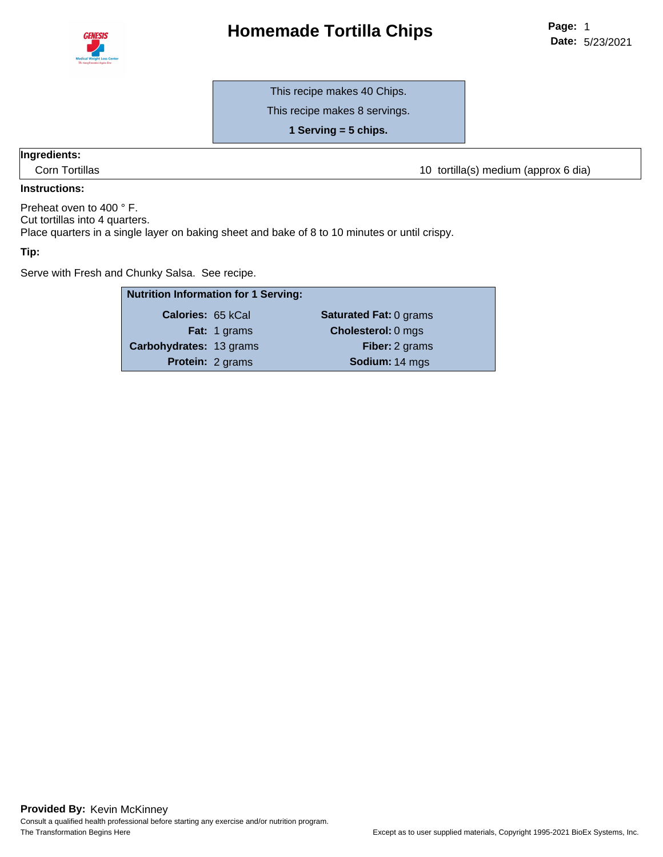

### **Homemade Tortilla Chips**

This recipe makes 40 Chips.

This recipe makes 8 servings.

**1 Serving = 5 chips.**

#### **Ingredients:**

Corn Tortillas **10 tortilla Corn Tortilla** (s) medium (approx 6 dia)

#### **Instructions:**

Preheat oven to 400 ° F.

Cut tortillas into 4 quarters.

Place quarters in a single layer on baking sheet and bake of 8 to 10 minutes or until crispy.

#### **Tip:**

Serve with Fresh and Chunky Salsa. See recipe.

|                          | <b>Nutrition Information for 1 Serving:</b> |                               |
|--------------------------|---------------------------------------------|-------------------------------|
| <b>Calories: 65 kCal</b> |                                             | <b>Saturated Fat: 0 grams</b> |
|                          | Fat: 1 grams                                | <b>Cholesterol: 0 mgs</b>     |
| Carbohydrates: 13 grams  |                                             | Fiber: 2 grams                |
|                          | <b>Protein: 2 grams</b>                     | Sodium: 14 mgs                |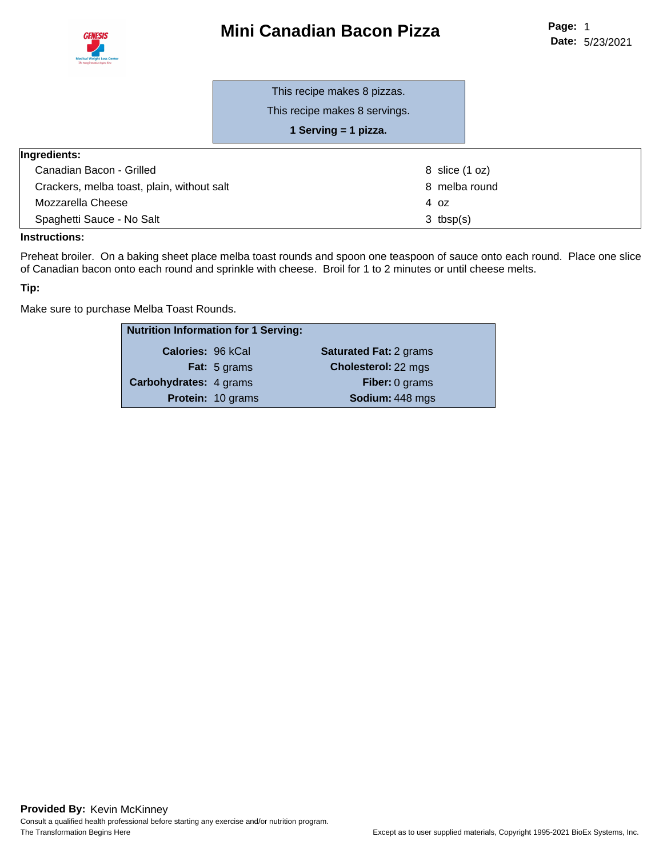## **Mini Canadian Bacon Pizza**



This recipe makes 8 pizzas.

This recipe makes 8 servings.

**1 Serving = 1 pizza.**

| Ingredients:                               |                |
|--------------------------------------------|----------------|
| Canadian Bacon - Grilled                   | 8 slice (1 oz) |
| Crackers, melba toast, plain, without salt | 8 melba round  |
| Mozzarella Cheese                          | 4 oz           |
| Spaghetti Sauce - No Salt                  | $3$ tbsp(s)    |

#### **Instructions:**

Preheat broiler. On a baking sheet place melba toast rounds and spoon one teaspoon of sauce onto each round. Place one slice of Canadian bacon onto each round and sprinkle with cheese. Broil for 1 to 2 minutes or until cheese melts.

#### **Tip:**

Make sure to purchase Melba Toast Rounds.

| <b>Nutrition Information for 1 Serving:</b> |                          |                               |
|---------------------------------------------|--------------------------|-------------------------------|
| Calories: 96 kCal                           |                          | <b>Saturated Fat: 2 grams</b> |
|                                             | <b>Fat:</b> 5 grams      | Cholesterol: 22 mgs           |
| Carbohydrates: 4 grams                      |                          | <b>Fiber: 0 grams</b>         |
|                                             | <b>Protein: 10 grams</b> | Sodium: 448 mgs               |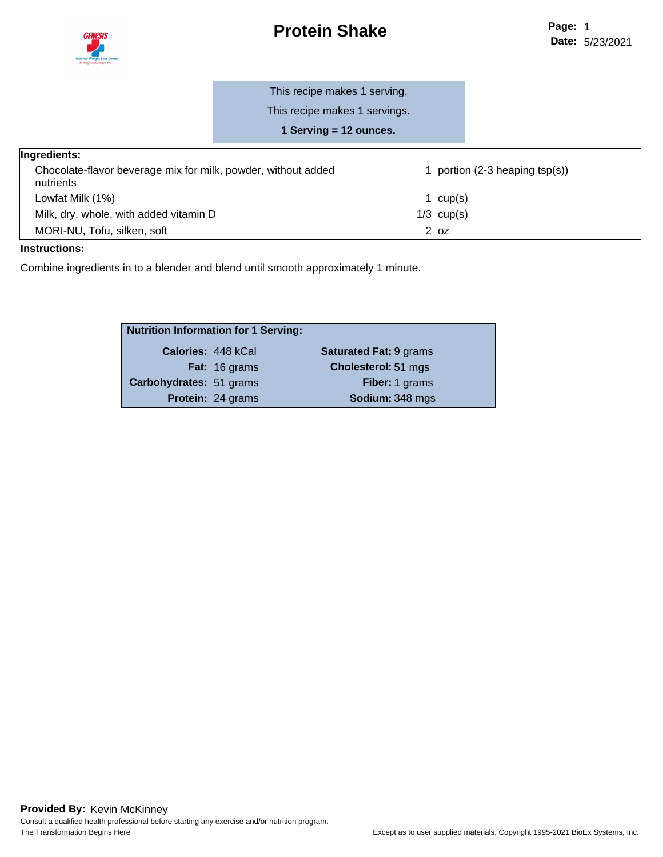

### **Protein Shake**

This recipe makes 1 serving.

This recipe makes 1 servings.

**1 Serving = 12 ounces.**

| iyi culcillə.                                                              |                                     |  |
|----------------------------------------------------------------------------|-------------------------------------|--|
| Chocolate-flavor beverage mix for milk, powder, without added<br>nutrients | portion $(2-3)$ heaping tsp $(s)$ ) |  |
| Lowfat Milk (1%)                                                           | cup(s)                              |  |
| Milk, dry, whole, with added vitamin D                                     | $1/3$ cup(s)                        |  |
| MORI-NU, Tofu, silken, soft                                                | 2 <sub>oz</sub>                     |  |

#### **Instructions:**

Combine ingredients in to a blender and blend until smooth approximately 1 minute.

| <b>Nutrition Information for 1 Serving:</b> |                          |                               |  |
|---------------------------------------------|--------------------------|-------------------------------|--|
| Calories: 448 kCal                          |                          | <b>Saturated Fat: 9 grams</b> |  |
|                                             | <b>Fat:</b> 16 grams     | Cholesterol: 51 mgs           |  |
| Carbohydrates: 51 grams                     |                          | Fiber: 1 grams                |  |
|                                             | <b>Protein: 24 grams</b> | Sodium: 348 mgs               |  |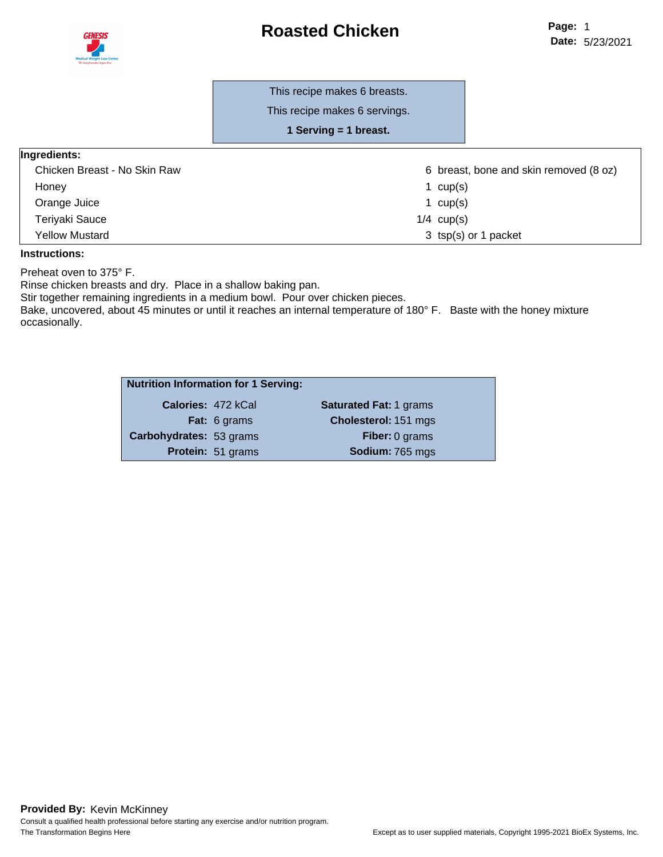### **Roasted Chicken**



٦

#### This recipe makes 6 breasts.

This recipe makes 6 servings.

**1 Serving = 1 breast.**

| Ingredients: |
|--------------|
|--------------|

| Chicken Breast - No Skin Raw | 6 breast, bone and skin removed (8 oz) |  |
|------------------------------|----------------------------------------|--|
| Honey                        | cup(s)                                 |  |
| Orange Juice                 | 1 cup(s)                               |  |
| Teriyaki Sauce               | $1/4$ cup(s)                           |  |
| Yellow Mustard               | 3 tsp(s) or 1 packet                   |  |

#### **Instructions:**

Preheat oven to 375° F.

Rinse chicken breasts and dry. Place in a shallow baking pan.

Stir together remaining ingredients in a medium bowl. Pour over chicken pieces.

Bake, uncovered, about 45 minutes or until it reaches an internal temperature of 180° F. Baste with the honey mixture occasionally.

| <b>Nutrition Information for 1 Serving:</b> |                     |                               |  |
|---------------------------------------------|---------------------|-------------------------------|--|
|                                             | Calories: 472 kCal  | <b>Saturated Fat: 1 grams</b> |  |
|                                             | <b>Fat:</b> 6 grams | Cholesterol: 151 mgs          |  |
| Carbohydrates: 53 grams                     |                     | <b>Fiber: 0 grams</b>         |  |
|                                             | Protein: 51 grams   | Sodium: 765 mgs               |  |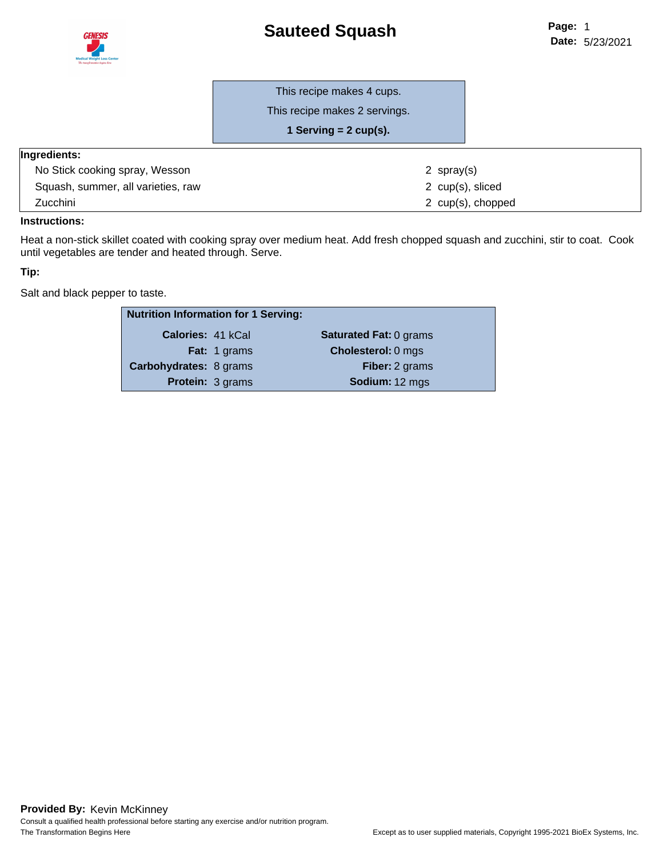## **Sauteed Squash**



This recipe makes 2 servings.

**1 Serving = 2 cup(s).**

#### **Ingredients:**

| No Stick cooking spray, Wesson     | 2 spray(s)        |
|------------------------------------|-------------------|
| Squash, summer, all varieties, raw | 2 cup(s), sliced  |
| <b>Zucchini</b>                    | 2 cup(s), chopped |

#### **Instructions:**

Heat a non-stick skillet coated with cooking spray over medium heat. Add fresh chopped squash and zucchini, stir to coat. Cook until vegetables are tender and heated through. Serve.

#### **Tip:**

Salt and black pepper to taste.

| <b>Nutrition Information for 1 Serving:</b> |                     |                               |
|---------------------------------------------|---------------------|-------------------------------|
| <b>Calories: 41 kCal</b>                    |                     | <b>Saturated Fat: 0 grams</b> |
|                                             | <b>Fat:</b> 1 grams | <b>Cholesterol: 0 mgs</b>     |
| <b>Carbohydrates: 8 grams</b>               |                     | <b>Fiber:</b> 2 grams         |
| <b>Protein: 3 grams</b>                     |                     | Sodium: 12 mgs                |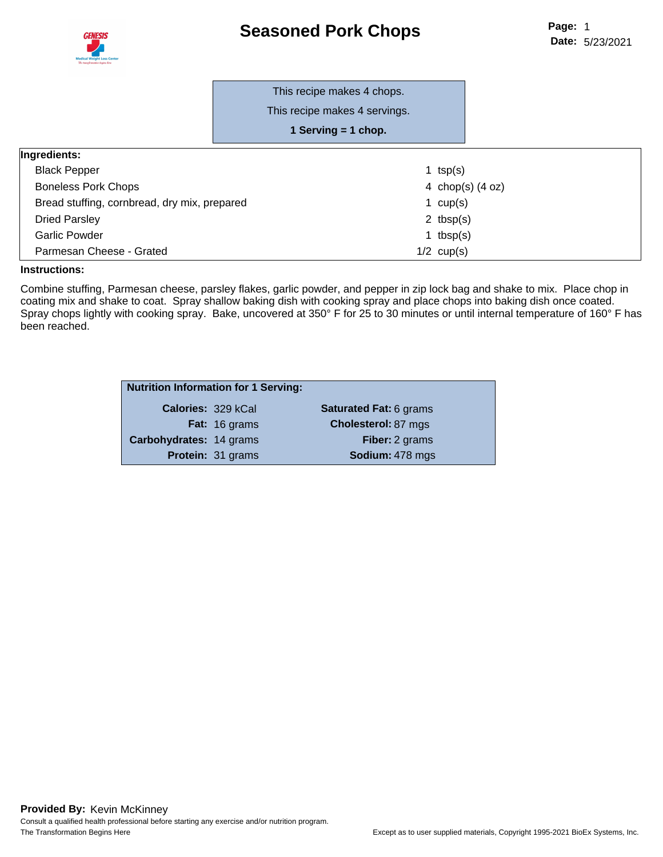### **Seasoned Pork Chops**



|                                              | This recipe makes 4 chops.<br>This recipe makes 4 servings.<br>1 Serving $=$ 1 chop. |                    |
|----------------------------------------------|--------------------------------------------------------------------------------------|--------------------|
| <b>Ingredients:</b>                          |                                                                                      |                    |
| <b>Black Pepper</b>                          |                                                                                      | 1 $tsp(s)$         |
| <b>Boneless Pork Chops</b>                   |                                                                                      | 4 chop(s) $(4 oz)$ |
| Bread stuffing, cornbread, dry mix, prepared |                                                                                      | 1 $cup(s)$         |
| <b>Dried Parsley</b>                         |                                                                                      | 2 $tbsp(s)$        |
| Garlic Powder                                |                                                                                      | 1 tbsp $(s)$       |
| Parmesan Cheese - Grated                     |                                                                                      | $1/2$ cup(s)       |

#### **Instructions:**

Combine stuffing, Parmesan cheese, parsley flakes, garlic powder, and pepper in zip lock bag and shake to mix. Place chop in coating mix and shake to coat. Spray shallow baking dish with cooking spray and place chops into baking dish once coated. Spray chops lightly with cooking spray. Bake, uncovered at 350° F for 25 to 30 minutes or until internal temperature of 160° F has been reached.

| <b>Nutrition Information for 1 Serving:</b> |                          |                               |
|---------------------------------------------|--------------------------|-------------------------------|
| <b>Calories: 329 kCal</b>                   |                          | <b>Saturated Fat: 6 grams</b> |
|                                             | <b>Fat:</b> 16 grams     | <b>Cholesterol: 87 mgs</b>    |
| Carbohydrates: 14 grams                     |                          | <b>Fiber:</b> 2 grams         |
|                                             | <b>Protein: 31 grams</b> | Sodium: 478 mgs               |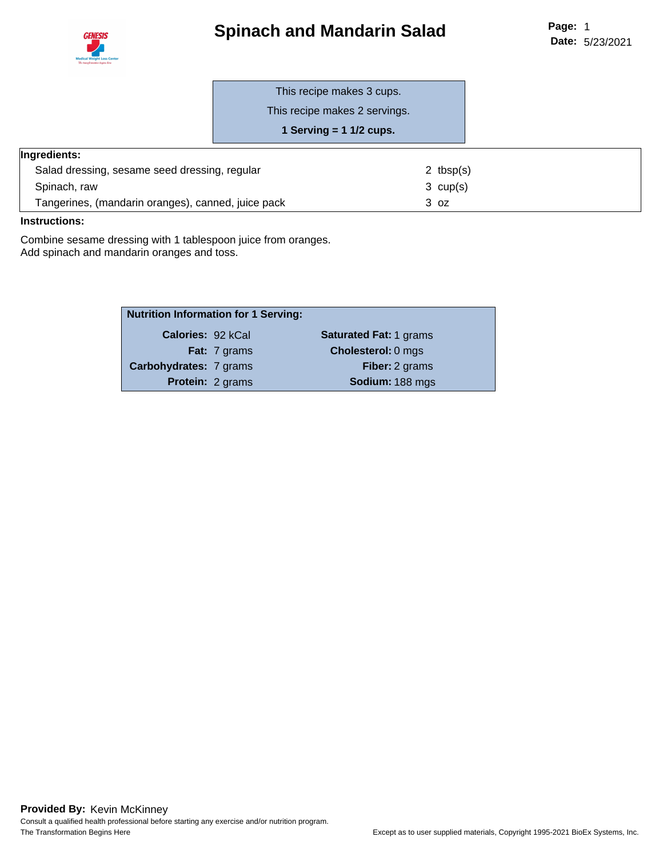

# **Spinach and Mandarin Salad**

This recipe makes 3 cups.

This recipe makes 2 servings.

**1 Serving = 1 1/2 cups.**

#### **Ingredients:**

| Salad dressing, sesame seed dressing, regular      | 2 tbsp $(s)$       |
|----------------------------------------------------|--------------------|
| Spinach, raw                                       | $3 \text{ cup}(s)$ |
| Tangerines, (mandarin oranges), canned, juice pack | 3 oz               |

#### **Instructions:**

Combine sesame dressing with 1 tablespoon juice from oranges. Add spinach and mandarin oranges and toss.

| <b>Nutrition Information for 1 Serving:</b> |                         |                               |  |
|---------------------------------------------|-------------------------|-------------------------------|--|
| Calories: 92 kCal                           |                         | <b>Saturated Fat: 1 grams</b> |  |
|                                             | <b>Fat:</b> 7 grams     | <b>Cholesterol: 0 mgs</b>     |  |
| Carbohydrates: 7 grams                      |                         | <b>Fiber:</b> 2 grams         |  |
|                                             | <b>Protein: 2 grams</b> | Sodium: 188 mgs               |  |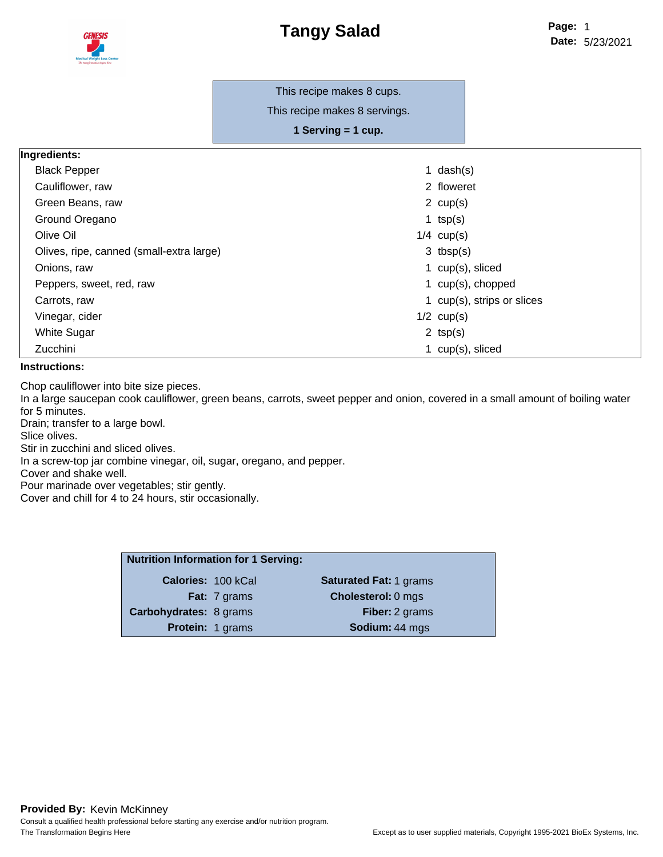

This recipe makes 8 cups.

This recipe makes 8 servings.

**1 Serving = 1 cup.**

| Ingredients: |  |
|--------------|--|
|              |  |

| <b>Black Pepper</b>                      | 1 $dash(s)$                |
|------------------------------------------|----------------------------|
| Cauliflower, raw                         | 2 floweret                 |
| Green Beans, raw                         | 2 $cup(s)$                 |
| Ground Oregano                           | 1 $tsp(s)$                 |
| Olive Oil                                | $1/4$ cup(s)               |
| Olives, ripe, canned (small-extra large) | $3$ tbsp(s)                |
| Onions, raw                              | 1 cup(s), sliced           |
| Peppers, sweet, red, raw                 | 1 cup(s), chopped          |
| Carrots, raw                             | 1 cup(s), strips or slices |
| Vinegar, cider                           | $1/2$ cup(s)               |
| White Sugar                              | 2 $tsp(s)$                 |
| Zucchini                                 | 1 $cup(s)$ , sliced        |

#### **Instructions:**

Chop cauliflower into bite size pieces.

In a large saucepan cook cauliflower, green beans, carrots, sweet pepper and onion, covered in a small amount of boiling water for 5 minutes.

Drain; transfer to a large bowl.

Slice olives.

Stir in zucchini and sliced olives.

In a screw-top jar combine vinegar, oil, sugar, oregano, and pepper.

Cover and shake well.

Pour marinade over vegetables; stir gently.

Cover and chill for 4 to 24 hours, stir occasionally.

| <b>Nutrition Information for 1 Serving:</b> |                               |
|---------------------------------------------|-------------------------------|
| <b>Calories: 100 kCal</b>                   | <b>Saturated Fat: 1 grams</b> |
| <b>Fat:</b> 7 grams                         | <b>Cholesterol: 0 mgs</b>     |
| <b>Carbohydrates: 8 grams</b>               | <b>Fiber:</b> 2 grams         |
| <b>Protein: 1 grams</b>                     | Sodium: 44 mgs                |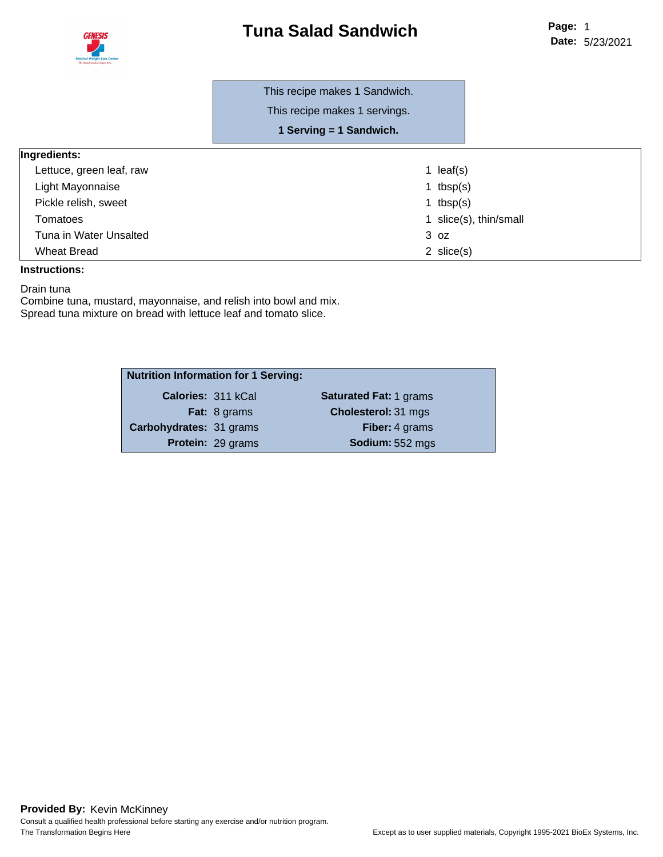



This recipe makes 1 Sandwich.

This recipe makes 1 servings.

**1 Serving = 1 Sandwich.**

#### **Ingredients:**

| Lettuce, green leaf, raw | 1 $leaf(s)$            |
|--------------------------|------------------------|
| Light Mayonnaise         | 1 tbsp $(s)$           |
| Pickle relish, sweet     | 1 tbsp $(s)$           |
| Tomatoes                 | 1 slice(s), thin/small |
| Tuna in Water Unsalted   | 3 oz                   |
| <b>Wheat Bread</b>       | 2 $slice(s)$           |
|                          |                        |

#### **Instructions:**

Drain tuna

Combine tuna, mustard, mayonnaise, and relish into bowl and mix. Spread tuna mixture on bread with lettuce leaf and tomato slice.

| <b>Nutrition Information for 1 Serving:</b> |                          |                               |
|---------------------------------------------|--------------------------|-------------------------------|
| Calories: 311 kCal                          |                          | <b>Saturated Fat: 1 grams</b> |
|                                             | Fat: 8 grams             | <b>Cholesterol: 31 mgs</b>    |
| Carbohydrates: 31 grams                     |                          | Fiber: 4 grams                |
|                                             | <b>Protein: 29 grams</b> | Sodium: 552 mgs               |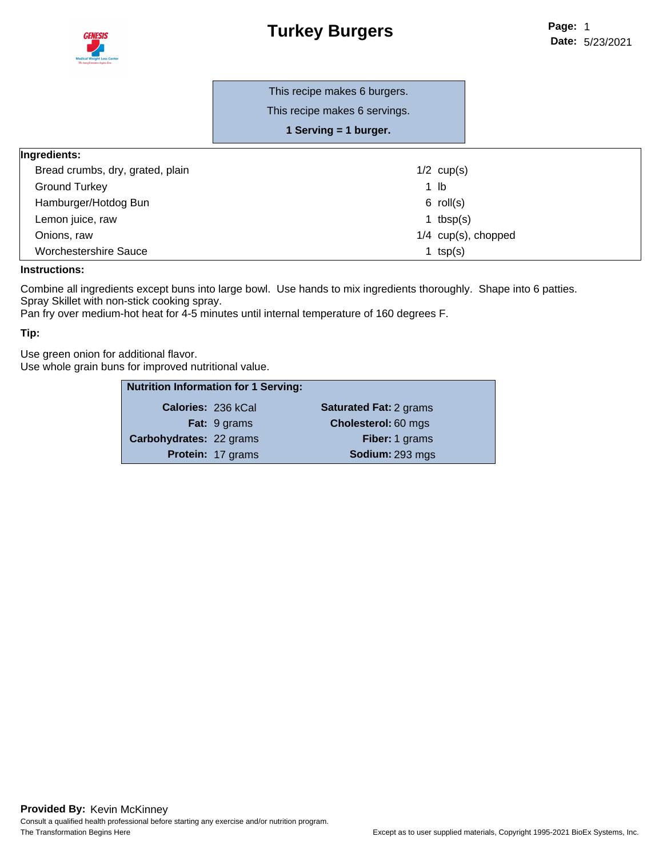## **Turkey Burgers**



This recipe makes 6 servings.

**1 Serving = 1 burger.**

| Ingredients:                     |                       |
|----------------------------------|-----------------------|
| Bread crumbs, dry, grated, plain | $1/2$ cup(s)          |
| <b>Ground Turkey</b>             | 1 lb                  |
| Hamburger/Hotdog Bun             | $6$ roll(s)           |
| Lemon juice, raw                 | 1 tbsp $(s)$          |
| Onions, raw                      | $1/4$ cup(s), chopped |
| <b>Worchestershire Sauce</b>     | 1 $tsp(s)$            |

#### **Instructions:**

Combine all ingredients except buns into large bowl. Use hands to mix ingredients thoroughly. Shape into 6 patties. Spray Skillet with non-stick cooking spray.

Pan fry over medium-hot heat for 4-5 minutes until internal temperature of 160 degrees F.

#### **Tip:**

Use green onion for additional flavor. Use whole grain buns for improved nutritional value.

| <b>Nutrition Information for 1 Serving:</b> |                     |                               |
|---------------------------------------------|---------------------|-------------------------------|
| Calories: 236 kCal                          |                     | <b>Saturated Fat: 2 grams</b> |
|                                             | <b>Fat:</b> 9 grams | Cholesterol: 60 mgs           |
| Carbohydrates: 22 grams                     |                     | <b>Fiber: 1 grams</b>         |
|                                             | Protein: 17 grams   | Sodium: 293 mgs               |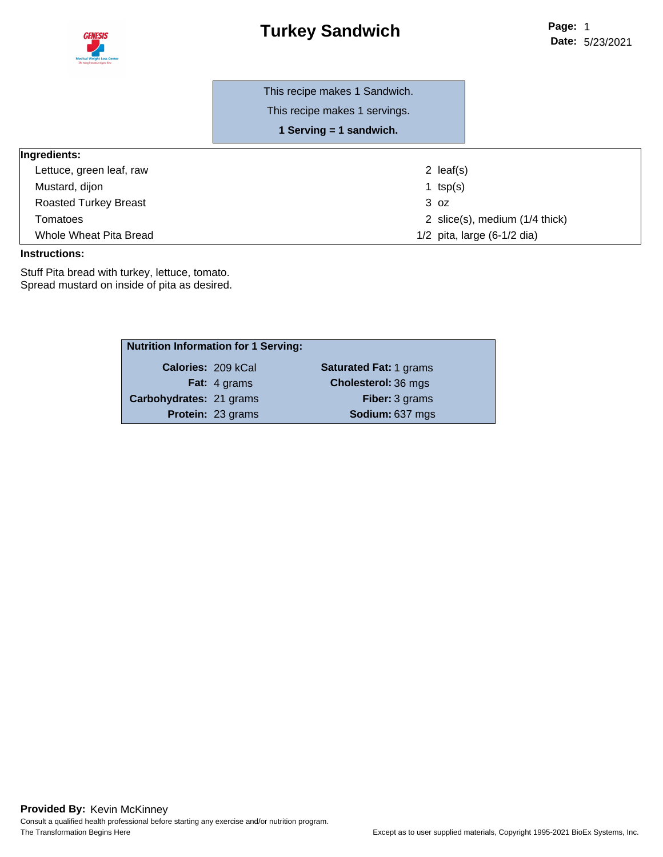

# **Turkey Sandwich**

This recipe makes 1 servings.

**1 Serving = 1 sandwich.**

| Ingredients:                 |                                |
|------------------------------|--------------------------------|
| Lettuce, green leaf, raw     | 2 $leaf(s)$                    |
| Mustard, dijon               | 1 $tsp(s)$                     |
| <b>Roasted Turkey Breast</b> | 3 oz                           |
| Tomatoes                     | 2 slice(s), medium (1/4 thick) |
| Whole Wheat Pita Bread       | $1/2$ pita, large (6-1/2 dia)  |

#### **Instructions:**

Stuff Pita bread with turkey, lettuce, tomato. Spread mustard on inside of pita as desired.

| <b>Nutrition Information for 1 Serving:</b> |                          |                               |
|---------------------------------------------|--------------------------|-------------------------------|
|                                             | Calories: 209 kCal       | <b>Saturated Fat: 1 grams</b> |
|                                             | <b>Fat:</b> 4 grams      | <b>Cholesterol: 36 mgs</b>    |
| Carbohydrates: 21 grams                     |                          | <b>Fiber: 3 grams</b>         |
|                                             | <b>Protein: 23 grams</b> | Sodium: 637 mgs               |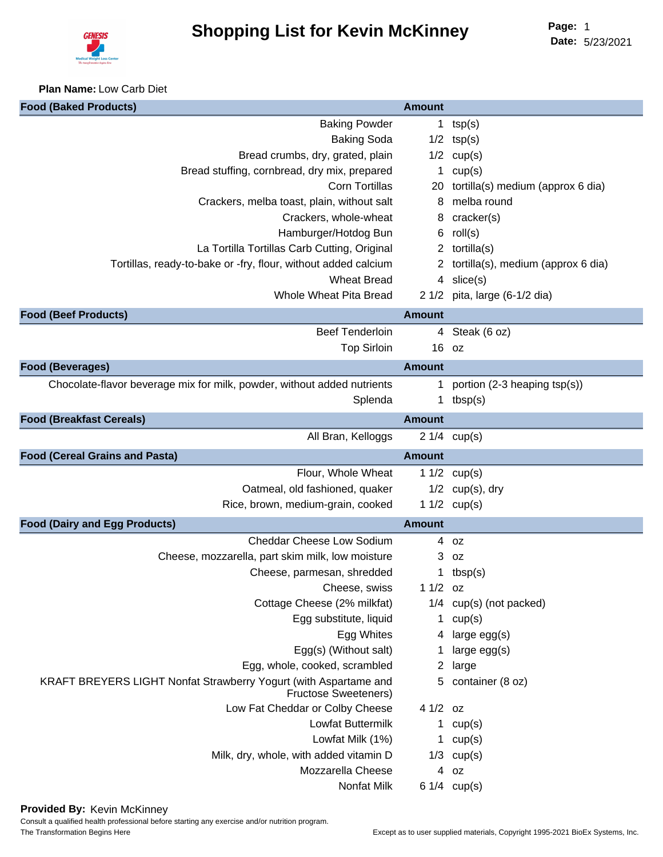

**Plan Name:** Low Carb Diet

| <b>Food (Baked Products)</b>                                                                    | <b>Amount</b> |                                    |
|-------------------------------------------------------------------------------------------------|---------------|------------------------------------|
| <b>Baking Powder</b>                                                                            | 1             | tsp(s)                             |
| <b>Baking Soda</b>                                                                              |               | $1/2$ tsp(s)                       |
| Bread crumbs, dry, grated, plain                                                                |               | $1/2$ cup(s)                       |
| Bread stuffing, cornbread, dry mix, prepared                                                    | 1.            | cup(s)                             |
| <b>Corn Tortillas</b>                                                                           | 20            | tortilla(s) medium (approx 6 dia)  |
| Crackers, melba toast, plain, without salt                                                      | 8             | melba round                        |
| Crackers, whole-wheat                                                                           | 8             | cracker(s)                         |
| Hamburger/Hotdog Bun                                                                            | 6             | roll(s)                            |
| La Tortilla Tortillas Carb Cutting, Original                                                    | $\mathbf{2}$  | tortilla(s)                        |
| Tortillas, ready-to-bake or -fry, flour, without added calcium                                  | $\mathbf{Z}$  | tortilla(s), medium (approx 6 dia) |
| <b>Wheat Bread</b>                                                                              |               | $4 \text{ slice}(s)$               |
| Whole Wheat Pita Bread                                                                          |               | 2 1/2 pita, large (6-1/2 dia)      |
| <b>Food (Beef Products)</b>                                                                     | <b>Amount</b> |                                    |
| <b>Beef Tenderloin</b>                                                                          |               | 4 Steak (6 oz)                     |
| <b>Top Sirloin</b>                                                                              |               | 16 oz                              |
| <b>Food (Beverages)</b>                                                                         | <b>Amount</b> |                                    |
| Chocolate-flavor beverage mix for milk, powder, without added nutrients                         | 1             | portion (2-3 heaping tsp(s))       |
| Splenda                                                                                         | $\mathbf{1}$  | tbsp(s)                            |
| <b>Food (Breakfast Cereals)</b>                                                                 | <b>Amount</b> |                                    |
| All Bran, Kelloggs                                                                              |               | $21/4$ cup(s)                      |
| <b>Food (Cereal Grains and Pasta)</b>                                                           | <b>Amount</b> |                                    |
| Flour, Whole Wheat                                                                              |               | 1 $1/2$ cup(s)                     |
| Oatmeal, old fashioned, quaker                                                                  |               | $1/2$ cup(s), dry                  |
| Rice, brown, medium-grain, cooked                                                               |               | 1 $1/2$ cup(s)                     |
| <b>Food (Dairy and Egg Products)</b>                                                            | <b>Amount</b> |                                    |
| <b>Cheddar Cheese Low Sodium</b>                                                                |               | 4 oz                               |
| Cheese, mozzarella, part skim milk, low moisture                                                |               | $3$ $oz$                           |
| Cheese, parmesan, shredded                                                                      |               | 1 tbsp $(s)$                       |
| Cheese, swiss                                                                                   | $11/2$ oz     |                                    |
| Cottage Cheese (2% milkfat)                                                                     |               | $1/4$ cup(s) (not packed)          |
| Egg substitute, liquid                                                                          | $\mathbf 1$   | cup(s)                             |
| Egg Whites                                                                                      |               | 4 large egg(s)                     |
| Egg(s) (Without salt)                                                                           |               | large $egg(s)$                     |
| Egg, whole, cooked, scrambled                                                                   | 2             | large                              |
| KRAFT BREYERS LIGHT Nonfat Strawberry Yogurt (with Aspartame and<br><b>Fructose Sweeteners)</b> | 5             | container (8 oz)                   |
| Low Fat Cheddar or Colby Cheese                                                                 | $41/2$ oz     |                                    |
| Lowfat Buttermilk                                                                               |               | 1 $cup(s)$                         |
| Lowfat Milk (1%)                                                                                |               | 1 $cup(s)$                         |
| Milk, dry, whole, with added vitamin D                                                          |               | $1/3$ cup(s)                       |
| Mozzarella Cheese                                                                               |               | 4 oz                               |
| Nonfat Milk                                                                                     |               | $61/4$ cup(s)                      |

**Provided By:** Kevin McKinney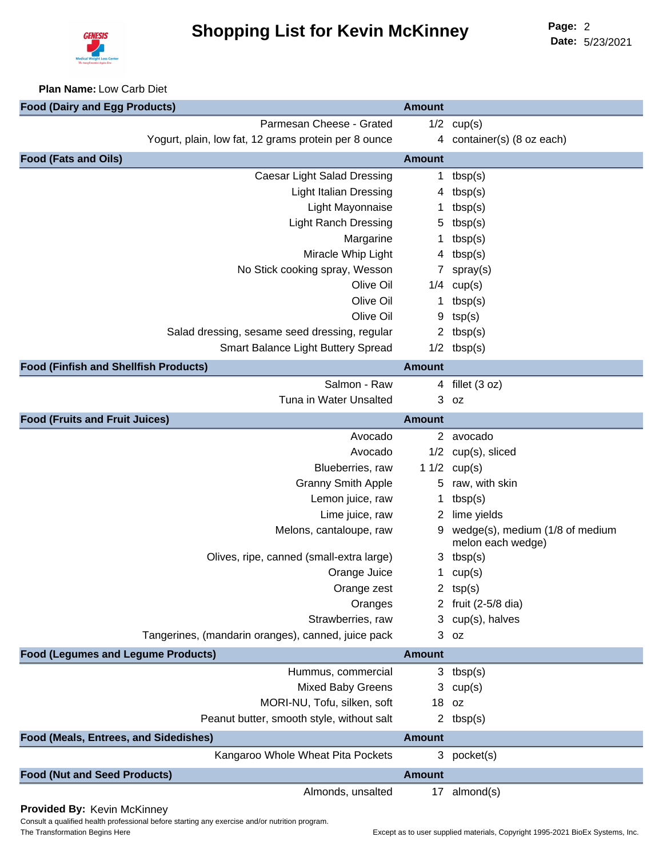

**Date:** 5/23/2021 Page: 2

#### **Plan Name:** Low Carb Diet

| <b>Food (Dairy and Egg Products)</b>                 | <b>Amount</b> |                                                      |
|------------------------------------------------------|---------------|------------------------------------------------------|
| Parmesan Cheese - Grated                             |               | $1/2$ cup(s)                                         |
| Yogurt, plain, low fat, 12 grams protein per 8 ounce |               | 4 container(s) (8 oz each)                           |
| <b>Food (Fats and Oils)</b>                          | <b>Amount</b> |                                                      |
| <b>Caesar Light Salad Dressing</b>                   | 1.            | tbsp(s)                                              |
| <b>Light Italian Dressing</b>                        |               | 4 $tbsp(s)$                                          |
| Light Mayonnaise                                     |               | tbsp(s)                                              |
| <b>Light Ranch Dressing</b>                          | 5             | tbsp(s)                                              |
| Margarine                                            | 1             | tbsp(s)                                              |
| Miracle Whip Light                                   |               | 4 $tbsp(s)$                                          |
| No Stick cooking spray, Wesson                       | $\mathbf{7}$  | spray(s)                                             |
| Olive Oil                                            |               | $1/4$ cup(s)                                         |
| Olive Oil                                            | 1             | tbsp(s)                                              |
| Olive Oil                                            | 9             | tsp(s)                                               |
| Salad dressing, sesame seed dressing, regular        |               | 2 $tbsp(s)$                                          |
| Smart Balance Light Buttery Spread                   |               | $1/2$ tbsp(s)                                        |
| <b>Food (Finfish and Shellfish Products)</b>         | <b>Amount</b> |                                                      |
| Salmon - Raw                                         |               | 4 fillet (3 oz)                                      |
| Tuna in Water Unsalted                               | 3             | 0Z                                                   |
| <b>Food (Fruits and Fruit Juices)</b>                | <b>Amount</b> |                                                      |
| Avocado                                              |               | 2 avocado                                            |
| Avocado                                              |               | 1/2 cup(s), sliced                                   |
| Blueberries, raw                                     |               | 1 $1/2$ cup(s)                                       |
| <b>Granny Smith Apple</b>                            | 5             | raw, with skin                                       |
| Lemon juice, raw                                     | 1             | tbsp(s)                                              |
| Lime juice, raw                                      |               | 2 lime yields                                        |
| Melons, cantaloupe, raw                              | 9             | wedge(s), medium (1/8 of medium<br>melon each wedge) |
| Olives, ripe, canned (small-extra large)             |               | 3 tbsp $(s)$                                         |
| Orange Juice                                         | 1.            | cup(s)                                               |
| Orange zest                                          |               | 2 $tsp(s)$                                           |
| Oranges                                              |               | 2 fruit (2-5/8 dia)                                  |
| Strawberries, raw                                    |               | 3 cup(s), halves                                     |
| Tangerines, (mandarin oranges), canned, juice pack   |               | 3 <sub>oz</sub>                                      |
| <b>Food (Legumes and Legume Products)</b>            | <b>Amount</b> |                                                      |
| Hummus, commercial                                   |               | $3$ tbsp(s)                                          |
| <b>Mixed Baby Greens</b>                             |               | $3$ cup(s)                                           |
| MORI-NU, Tofu, silken, soft                          |               | 18 oz                                                |
| Peanut butter, smooth style, without salt            |               | 2 $tbsp(s)$                                          |
| Food (Meals, Entrees, and Sidedishes)                | <b>Amount</b> |                                                      |
| Kangaroo Whole Wheat Pita Pockets                    | 3             | pocket(s)                                            |
| <b>Food (Nut and Seed Products)</b>                  | <b>Amount</b> |                                                      |
| Almonds, unsalted                                    | 17            | almond(s)                                            |

**Provided By:** Kevin McKinney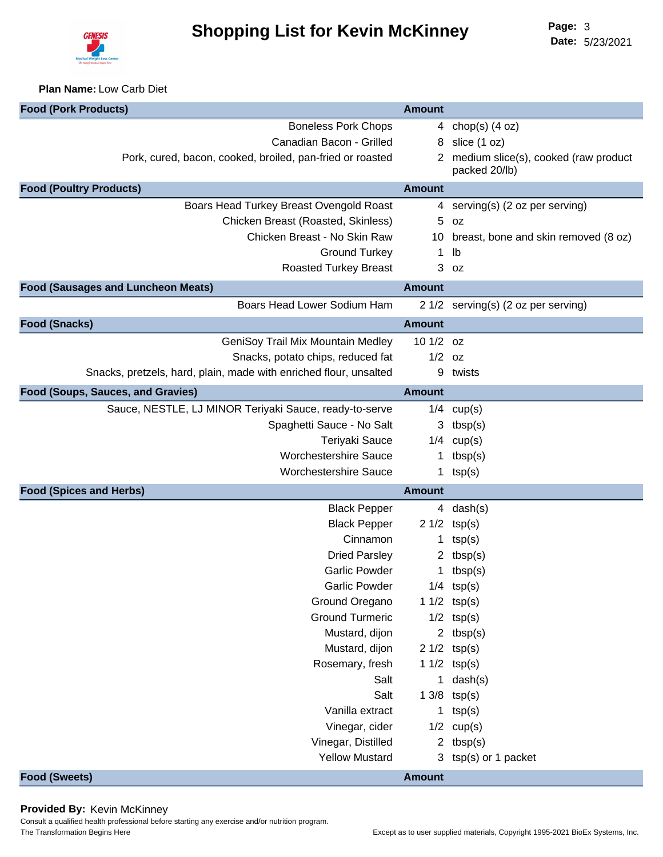

**Plan Name:** Low Carb Diet

| <b>Boneless Pork Chops</b><br>4 chop(s) $(4 oz)$<br>Canadian Bacon - Grilled<br>slice (1 oz)<br>8<br>Pork, cured, bacon, cooked, broiled, pan-fried or roasted<br>2 medium slice(s), cooked (raw product<br>packed 20/lb)<br><b>Amount</b><br>Boars Head Turkey Breast Ovengold Roast<br>serving(s) (2 oz per serving)<br>4<br>Chicken Breast (Roasted, Skinless)<br>5<br>0Z<br>Chicken Breast - No Skin Raw<br>breast, bone and skin removed (8 oz)<br>10<br><b>Ground Turkey</b><br>lb<br>1<br><b>Roasted Turkey Breast</b><br>3<br>0Z<br><b>Amount</b><br>Boars Head Lower Sodium Ham<br>2 1/2 serving(s) (2 oz per serving)<br><b>Amount</b><br>GeniSoy Trail Mix Mountain Medley<br>10 1/2 oz<br>Snacks, potato chips, reduced fat<br>$1/2$ oz<br>Snacks, pretzels, hard, plain, made with enriched flour, unsalted<br>9<br>twists<br><b>Amount</b><br>Sauce, NESTLE, LJ MINOR Teriyaki Sauce, ready-to-serve<br>$1/4$ cup(s)<br>Spaghetti Sauce - No Salt<br>$3$ tbsp(s)<br>Teriyaki Sauce<br>$1/4$ cup(s)<br><b>Worchestershire Sauce</b><br>tbsp(s)<br>1<br><b>Worchestershire Sauce</b><br>1 $tsp(s)$<br><b>Food (Spices and Herbs)</b><br><b>Amount</b><br><b>Black Pepper</b><br>4 $dash(s)$<br><b>Black Pepper</b><br>$21/2$ tsp(s)<br>Cinnamon<br>tsp(s)<br>1<br><b>Dried Parsley</b><br>2 $tbsp(s)$<br><b>Garlic Powder</b><br>1 $tbsp(s)$<br>Garlic Powder<br>$1/4$ tsp(s)<br>Ground Oregano<br>1 $1/2$ tsp(s)<br><b>Ground Turmeric</b><br>$1/2$ tsp(s)<br>Mustard, dijon<br>2 $tbsp(s)$<br>Mustard, dijon<br>$21/2$ tsp(s)<br>Rosemary, fresh<br>1 $1/2$ tsp(s)<br>Salt<br>1 $dash(s)$<br>Salt<br>$13/8$ tsp(s)<br>Vanilla extract<br>1 $tsp(s)$<br>Vinegar, cider<br>$1/2$ cup(s)<br>Vinegar, Distilled<br>tbsp(s)<br>$\mathbf{2}$<br><b>Yellow Mustard</b><br>$tsp(s)$ or 1 packet<br>3. | <b>Food (Pork Products)</b>               | <b>Amount</b> |  |
|-------------------------------------------------------------------------------------------------------------------------------------------------------------------------------------------------------------------------------------------------------------------------------------------------------------------------------------------------------------------------------------------------------------------------------------------------------------------------------------------------------------------------------------------------------------------------------------------------------------------------------------------------------------------------------------------------------------------------------------------------------------------------------------------------------------------------------------------------------------------------------------------------------------------------------------------------------------------------------------------------------------------------------------------------------------------------------------------------------------------------------------------------------------------------------------------------------------------------------------------------------------------------------------------------------------------------------------------------------------------------------------------------------------------------------------------------------------------------------------------------------------------------------------------------------------------------------------------------------------------------------------------------------------------------------------------------------------------------------------------------------------------------------------------------------------|-------------------------------------------|---------------|--|
|                                                                                                                                                                                                                                                                                                                                                                                                                                                                                                                                                                                                                                                                                                                                                                                                                                                                                                                                                                                                                                                                                                                                                                                                                                                                                                                                                                                                                                                                                                                                                                                                                                                                                                                                                                                                             |                                           |               |  |
|                                                                                                                                                                                                                                                                                                                                                                                                                                                                                                                                                                                                                                                                                                                                                                                                                                                                                                                                                                                                                                                                                                                                                                                                                                                                                                                                                                                                                                                                                                                                                                                                                                                                                                                                                                                                             |                                           |               |  |
|                                                                                                                                                                                                                                                                                                                                                                                                                                                                                                                                                                                                                                                                                                                                                                                                                                                                                                                                                                                                                                                                                                                                                                                                                                                                                                                                                                                                                                                                                                                                                                                                                                                                                                                                                                                                             |                                           |               |  |
|                                                                                                                                                                                                                                                                                                                                                                                                                                                                                                                                                                                                                                                                                                                                                                                                                                                                                                                                                                                                                                                                                                                                                                                                                                                                                                                                                                                                                                                                                                                                                                                                                                                                                                                                                                                                             | <b>Food (Poultry Products)</b>            |               |  |
|                                                                                                                                                                                                                                                                                                                                                                                                                                                                                                                                                                                                                                                                                                                                                                                                                                                                                                                                                                                                                                                                                                                                                                                                                                                                                                                                                                                                                                                                                                                                                                                                                                                                                                                                                                                                             |                                           |               |  |
|                                                                                                                                                                                                                                                                                                                                                                                                                                                                                                                                                                                                                                                                                                                                                                                                                                                                                                                                                                                                                                                                                                                                                                                                                                                                                                                                                                                                                                                                                                                                                                                                                                                                                                                                                                                                             |                                           |               |  |
|                                                                                                                                                                                                                                                                                                                                                                                                                                                                                                                                                                                                                                                                                                                                                                                                                                                                                                                                                                                                                                                                                                                                                                                                                                                                                                                                                                                                                                                                                                                                                                                                                                                                                                                                                                                                             |                                           |               |  |
|                                                                                                                                                                                                                                                                                                                                                                                                                                                                                                                                                                                                                                                                                                                                                                                                                                                                                                                                                                                                                                                                                                                                                                                                                                                                                                                                                                                                                                                                                                                                                                                                                                                                                                                                                                                                             |                                           |               |  |
|                                                                                                                                                                                                                                                                                                                                                                                                                                                                                                                                                                                                                                                                                                                                                                                                                                                                                                                                                                                                                                                                                                                                                                                                                                                                                                                                                                                                                                                                                                                                                                                                                                                                                                                                                                                                             |                                           |               |  |
|                                                                                                                                                                                                                                                                                                                                                                                                                                                                                                                                                                                                                                                                                                                                                                                                                                                                                                                                                                                                                                                                                                                                                                                                                                                                                                                                                                                                                                                                                                                                                                                                                                                                                                                                                                                                             | <b>Food (Sausages and Luncheon Meats)</b> |               |  |
|                                                                                                                                                                                                                                                                                                                                                                                                                                                                                                                                                                                                                                                                                                                                                                                                                                                                                                                                                                                                                                                                                                                                                                                                                                                                                                                                                                                                                                                                                                                                                                                                                                                                                                                                                                                                             |                                           |               |  |
|                                                                                                                                                                                                                                                                                                                                                                                                                                                                                                                                                                                                                                                                                                                                                                                                                                                                                                                                                                                                                                                                                                                                                                                                                                                                                                                                                                                                                                                                                                                                                                                                                                                                                                                                                                                                             | <b>Food (Snacks)</b>                      |               |  |
|                                                                                                                                                                                                                                                                                                                                                                                                                                                                                                                                                                                                                                                                                                                                                                                                                                                                                                                                                                                                                                                                                                                                                                                                                                                                                                                                                                                                                                                                                                                                                                                                                                                                                                                                                                                                             |                                           |               |  |
|                                                                                                                                                                                                                                                                                                                                                                                                                                                                                                                                                                                                                                                                                                                                                                                                                                                                                                                                                                                                                                                                                                                                                                                                                                                                                                                                                                                                                                                                                                                                                                                                                                                                                                                                                                                                             |                                           |               |  |
|                                                                                                                                                                                                                                                                                                                                                                                                                                                                                                                                                                                                                                                                                                                                                                                                                                                                                                                                                                                                                                                                                                                                                                                                                                                                                                                                                                                                                                                                                                                                                                                                                                                                                                                                                                                                             |                                           |               |  |
|                                                                                                                                                                                                                                                                                                                                                                                                                                                                                                                                                                                                                                                                                                                                                                                                                                                                                                                                                                                                                                                                                                                                                                                                                                                                                                                                                                                                                                                                                                                                                                                                                                                                                                                                                                                                             | Food (Soups, Sauces, and Gravies)         |               |  |
|                                                                                                                                                                                                                                                                                                                                                                                                                                                                                                                                                                                                                                                                                                                                                                                                                                                                                                                                                                                                                                                                                                                                                                                                                                                                                                                                                                                                                                                                                                                                                                                                                                                                                                                                                                                                             |                                           |               |  |
|                                                                                                                                                                                                                                                                                                                                                                                                                                                                                                                                                                                                                                                                                                                                                                                                                                                                                                                                                                                                                                                                                                                                                                                                                                                                                                                                                                                                                                                                                                                                                                                                                                                                                                                                                                                                             |                                           |               |  |
|                                                                                                                                                                                                                                                                                                                                                                                                                                                                                                                                                                                                                                                                                                                                                                                                                                                                                                                                                                                                                                                                                                                                                                                                                                                                                                                                                                                                                                                                                                                                                                                                                                                                                                                                                                                                             |                                           |               |  |
|                                                                                                                                                                                                                                                                                                                                                                                                                                                                                                                                                                                                                                                                                                                                                                                                                                                                                                                                                                                                                                                                                                                                                                                                                                                                                                                                                                                                                                                                                                                                                                                                                                                                                                                                                                                                             |                                           |               |  |
|                                                                                                                                                                                                                                                                                                                                                                                                                                                                                                                                                                                                                                                                                                                                                                                                                                                                                                                                                                                                                                                                                                                                                                                                                                                                                                                                                                                                                                                                                                                                                                                                                                                                                                                                                                                                             |                                           |               |  |
|                                                                                                                                                                                                                                                                                                                                                                                                                                                                                                                                                                                                                                                                                                                                                                                                                                                                                                                                                                                                                                                                                                                                                                                                                                                                                                                                                                                                                                                                                                                                                                                                                                                                                                                                                                                                             |                                           |               |  |
|                                                                                                                                                                                                                                                                                                                                                                                                                                                                                                                                                                                                                                                                                                                                                                                                                                                                                                                                                                                                                                                                                                                                                                                                                                                                                                                                                                                                                                                                                                                                                                                                                                                                                                                                                                                                             |                                           |               |  |
|                                                                                                                                                                                                                                                                                                                                                                                                                                                                                                                                                                                                                                                                                                                                                                                                                                                                                                                                                                                                                                                                                                                                                                                                                                                                                                                                                                                                                                                                                                                                                                                                                                                                                                                                                                                                             |                                           |               |  |
|                                                                                                                                                                                                                                                                                                                                                                                                                                                                                                                                                                                                                                                                                                                                                                                                                                                                                                                                                                                                                                                                                                                                                                                                                                                                                                                                                                                                                                                                                                                                                                                                                                                                                                                                                                                                             |                                           |               |  |
|                                                                                                                                                                                                                                                                                                                                                                                                                                                                                                                                                                                                                                                                                                                                                                                                                                                                                                                                                                                                                                                                                                                                                                                                                                                                                                                                                                                                                                                                                                                                                                                                                                                                                                                                                                                                             |                                           |               |  |
|                                                                                                                                                                                                                                                                                                                                                                                                                                                                                                                                                                                                                                                                                                                                                                                                                                                                                                                                                                                                                                                                                                                                                                                                                                                                                                                                                                                                                                                                                                                                                                                                                                                                                                                                                                                                             |                                           |               |  |
|                                                                                                                                                                                                                                                                                                                                                                                                                                                                                                                                                                                                                                                                                                                                                                                                                                                                                                                                                                                                                                                                                                                                                                                                                                                                                                                                                                                                                                                                                                                                                                                                                                                                                                                                                                                                             |                                           |               |  |
|                                                                                                                                                                                                                                                                                                                                                                                                                                                                                                                                                                                                                                                                                                                                                                                                                                                                                                                                                                                                                                                                                                                                                                                                                                                                                                                                                                                                                                                                                                                                                                                                                                                                                                                                                                                                             |                                           |               |  |
|                                                                                                                                                                                                                                                                                                                                                                                                                                                                                                                                                                                                                                                                                                                                                                                                                                                                                                                                                                                                                                                                                                                                                                                                                                                                                                                                                                                                                                                                                                                                                                                                                                                                                                                                                                                                             |                                           |               |  |
|                                                                                                                                                                                                                                                                                                                                                                                                                                                                                                                                                                                                                                                                                                                                                                                                                                                                                                                                                                                                                                                                                                                                                                                                                                                                                                                                                                                                                                                                                                                                                                                                                                                                                                                                                                                                             |                                           |               |  |
|                                                                                                                                                                                                                                                                                                                                                                                                                                                                                                                                                                                                                                                                                                                                                                                                                                                                                                                                                                                                                                                                                                                                                                                                                                                                                                                                                                                                                                                                                                                                                                                                                                                                                                                                                                                                             |                                           |               |  |
|                                                                                                                                                                                                                                                                                                                                                                                                                                                                                                                                                                                                                                                                                                                                                                                                                                                                                                                                                                                                                                                                                                                                                                                                                                                                                                                                                                                                                                                                                                                                                                                                                                                                                                                                                                                                             |                                           |               |  |
|                                                                                                                                                                                                                                                                                                                                                                                                                                                                                                                                                                                                                                                                                                                                                                                                                                                                                                                                                                                                                                                                                                                                                                                                                                                                                                                                                                                                                                                                                                                                                                                                                                                                                                                                                                                                             |                                           |               |  |
|                                                                                                                                                                                                                                                                                                                                                                                                                                                                                                                                                                                                                                                                                                                                                                                                                                                                                                                                                                                                                                                                                                                                                                                                                                                                                                                                                                                                                                                                                                                                                                                                                                                                                                                                                                                                             |                                           |               |  |
|                                                                                                                                                                                                                                                                                                                                                                                                                                                                                                                                                                                                                                                                                                                                                                                                                                                                                                                                                                                                                                                                                                                                                                                                                                                                                                                                                                                                                                                                                                                                                                                                                                                                                                                                                                                                             |                                           |               |  |
|                                                                                                                                                                                                                                                                                                                                                                                                                                                                                                                                                                                                                                                                                                                                                                                                                                                                                                                                                                                                                                                                                                                                                                                                                                                                                                                                                                                                                                                                                                                                                                                                                                                                                                                                                                                                             |                                           |               |  |
|                                                                                                                                                                                                                                                                                                                                                                                                                                                                                                                                                                                                                                                                                                                                                                                                                                                                                                                                                                                                                                                                                                                                                                                                                                                                                                                                                                                                                                                                                                                                                                                                                                                                                                                                                                                                             |                                           |               |  |
|                                                                                                                                                                                                                                                                                                                                                                                                                                                                                                                                                                                                                                                                                                                                                                                                                                                                                                                                                                                                                                                                                                                                                                                                                                                                                                                                                                                                                                                                                                                                                                                                                                                                                                                                                                                                             |                                           |               |  |
| <b>Amount</b>                                                                                                                                                                                                                                                                                                                                                                                                                                                                                                                                                                                                                                                                                                                                                                                                                                                                                                                                                                                                                                                                                                                                                                                                                                                                                                                                                                                                                                                                                                                                                                                                                                                                                                                                                                                               | <b>Food (Sweets)</b>                      |               |  |

**Provided By:** Kevin McKinney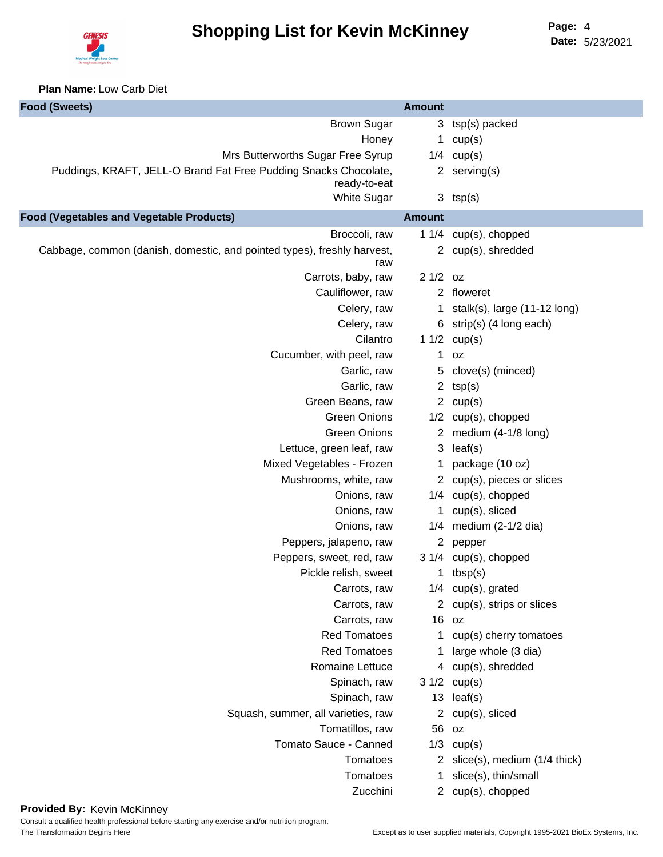

**Date:** 5/23/2021 Page: 4

**Plan Name:** Low Carb Diet

| <b>Food (Sweets)</b>                                                             | <b>Amount</b>         |                                          |
|----------------------------------------------------------------------------------|-----------------------|------------------------------------------|
| <b>Brown Sugar</b>                                                               |                       | 3 tsp(s) packed                          |
| Honey                                                                            | $\mathbf 1$           | cup(s)                                   |
| Mrs Butterworths Sugar Free Syrup                                                |                       | $1/4$ cup(s)                             |
| Puddings, KRAFT, JELL-O Brand Fat Free Pudding Snacks Chocolate,<br>ready-to-eat |                       | 2 serving $(s)$                          |
| <b>White Sugar</b>                                                               |                       | $3$ tsp(s)                               |
| <b>Food (Vegetables and Vegetable Products)</b>                                  | <b>Amount</b>         |                                          |
| Broccoli, raw                                                                    |                       | 1 1/4 cup(s), chopped                    |
| Cabbage, common (danish, domestic, and pointed types), freshly harvest,<br>raw   |                       | 2 cup(s), shredded                       |
| Carrots, baby, raw                                                               | $21/2$ oz             |                                          |
| Cauliflower, raw                                                                 |                       | 2 floweret                               |
| Celery, raw                                                                      |                       | 1 stalk(s), large $(11-12 \text{ long})$ |
| Celery, raw                                                                      |                       | 6 strip(s) (4 long each)                 |
| Cilantro                                                                         |                       | 1 $1/2$ cup(s)                           |
| Cucumber, with peel, raw                                                         | 1                     | 0Z                                       |
| Garlic, raw                                                                      | 5                     | clove(s) (minced)                        |
| Garlic, raw                                                                      | $\mathbf{2}$          | tsp(s)                                   |
| Green Beans, raw                                                                 |                       | 2 $cup(s)$                               |
| <b>Green Onions</b>                                                              |                       | $1/2$ cup(s), chopped                    |
| <b>Green Onions</b>                                                              |                       | 2 medium (4-1/8 long)                    |
| Lettuce, green leaf, raw                                                         | 3                     | leaf(s)                                  |
| Mixed Vegetables - Frozen                                                        | 1                     | package (10 oz)                          |
| Mushrooms, white, raw                                                            |                       | 2 cup(s), pieces or slices               |
| Onions, raw                                                                      |                       | 1/4 cup(s), chopped                      |
| Onions, raw                                                                      |                       | cup(s), sliced                           |
| Onions, raw                                                                      |                       | $1/4$ medium (2-1/2 dia)                 |
| Peppers, jalapeno, raw                                                           | $\mathbf{2}$          | pepper                                   |
| Peppers, sweet, red, raw                                                         |                       | 3 1/4 cup(s), chopped                    |
| Pickle relish, sweet                                                             |                       | 1 $tbsp(s)$                              |
| Carrots, raw                                                                     | 1/4                   | cup(s), grated                           |
| Carrots, raw                                                                     |                       | 2 cup(s), strips or slices               |
| Carrots, raw                                                                     |                       | 16 oz                                    |
| <b>Red Tomatoes</b>                                                              |                       | cup(s) cherry tomatoes                   |
| <b>Red Tomatoes</b>                                                              |                       | large whole (3 dia)                      |
| Romaine Lettuce                                                                  | 4                     | cup(s), shredded                         |
| Spinach, raw                                                                     | 31/2                  | cup(s)                                   |
| Spinach, raw                                                                     | 13                    | leaf(s)                                  |
| Squash, summer, all varieties, raw                                               | $\mathbf{2}^{\prime}$ | cup(s), sliced                           |
| Tomatillos, raw                                                                  | 56                    | oz                                       |
| Tomato Sauce - Canned                                                            | 1/3                   | cup(s)                                   |
| Tomatoes                                                                         | 2                     | slice(s), medium (1/4 thick)             |
| Tomatoes                                                                         |                       | slice(s), thin/small                     |
| Zucchini                                                                         | $^{2}$                | cup(s), chopped                          |
|                                                                                  |                       |                                          |

# **Provided By:** Kevin McKinney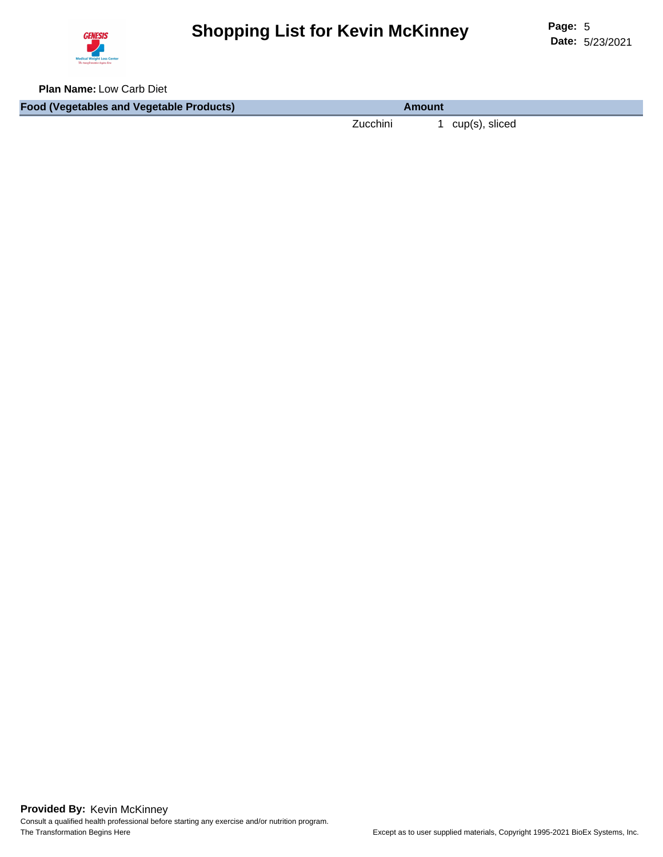

**Plan Name:** Low Carb Diet

**Food (Vegetables and Vegetable Products) Amount**

Zucchini 1 cup(s), sliced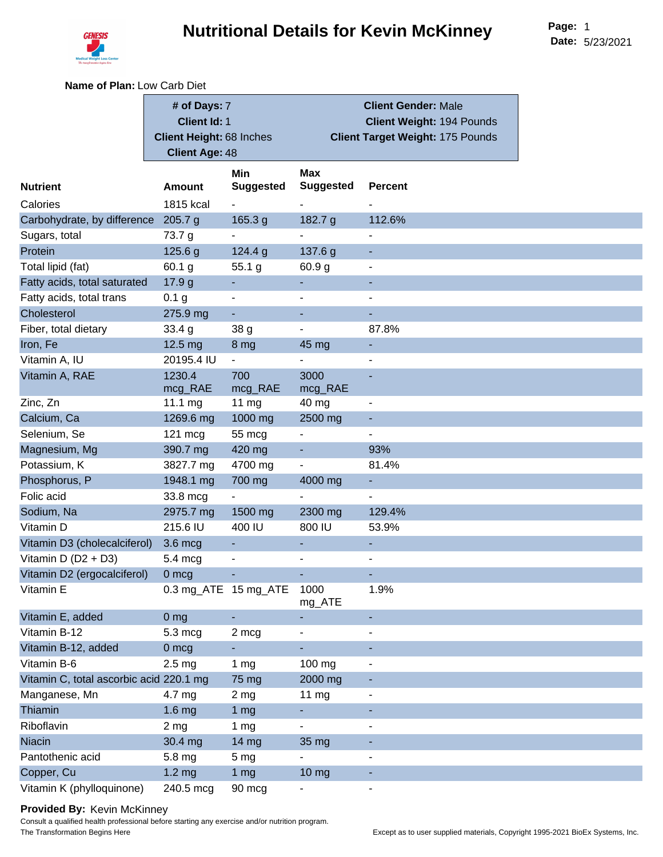

**Name of Plan:** Low Carb Diet

|                                         | # of Days: 7                    |                          |                          | <b>Client Gender: Male</b>              |
|-----------------------------------------|---------------------------------|--------------------------|--------------------------|-----------------------------------------|
|                                         | <b>Client Id: 1</b>             |                          |                          | Client Weight: 194 Pounds               |
|                                         | <b>Client Height: 68 Inches</b> |                          |                          | <b>Client Target Weight: 175 Pounds</b> |
|                                         | <b>Client Age: 48</b>           |                          |                          |                                         |
|                                         |                                 | Min                      | <b>Max</b>               |                                         |
| <b>Nutrient</b>                         | <b>Amount</b>                   | <b>Suggested</b>         | <b>Suggested</b>         | <b>Percent</b>                          |
| Calories                                | 1815 kcal                       | $\blacksquare$           |                          |                                         |
| Carbohydrate, by difference             | 205.7 g                         | 165.3 g                  | 182.7 g                  | 112.6%                                  |
| Sugars, total                           | 73.7 g                          | $\overline{\phantom{0}}$ | $\overline{\phantom{0}}$ | $\blacksquare$                          |
| Protein                                 | 125.6 g                         | 124.4 g                  | 137.6 g                  | ٠                                       |
| Total lipid (fat)                       | 60.1 g                          | 55.1 g                   | 60.9 g                   | $\blacksquare$                          |
| Fatty acids, total saturated            | 17.9 g                          | ÷.                       |                          | ٠                                       |
| Fatty acids, total trans                | 0.1 <sub>g</sub>                | $\overline{\phantom{0}}$ | L.                       | $\overline{\phantom{a}}$                |
| Cholesterol                             | 275.9 mg                        | $\blacksquare$           |                          |                                         |
| Fiber, total dietary                    | 33.4 g                          | 38 <sub>g</sub>          |                          | 87.8%                                   |
| Iron, Fe                                | 12.5 mg                         | 8 mg                     | 45 mg                    | ٠                                       |
| Vitamin A, IU                           | 20195.4 IU                      | $\blacksquare$           |                          | ä,                                      |
| Vitamin A, RAE                          | 1230.4                          | 700                      | 3000                     |                                         |
|                                         | mcg_RAE                         | mcg_RAE                  | mcg_RAE                  |                                         |
| Zinc, Zn                                | 11.1 mg                         | 11 $mg$                  | 40 mg                    | $\blacksquare$                          |
| Calcium, Ca                             | 1269.6 mg                       | 1000 mg                  | 2500 mg                  | Ξ                                       |
| Selenium, Se                            | $121 \text{ mc}$                | 55 mcg                   | -                        | ۰                                       |
| Magnesium, Mg                           | 390.7 mg                        | 420 mg                   | ٠                        | 93%                                     |
| Potassium, K                            | 3827.7 mg                       | 4700 mg                  |                          | 81.4%                                   |
| Phosphorus, P                           | 1948.1 mg                       | 700 mg                   | 4000 mg                  | ٠                                       |
| Folic acid                              | 33.8 mcg                        | $\blacksquare$           | L,                       | $\overline{\phantom{a}}$                |
| Sodium, Na                              | 2975.7 mg                       | 1500 mg                  | 2300 mg                  | 129.4%                                  |
| Vitamin D                               | 215.6 IU                        | 400 IU                   | 800 IU                   | 53.9%                                   |
| Vitamin D3 (cholecalciferol)            | 3.6 mcg                         | $\blacksquare$           |                          | $\blacksquare$                          |
| Vitamin D $(D2 + D3)$                   | $5.4 \text{ mcg}$               | $\overline{\phantom{a}}$ |                          | $\overline{\phantom{a}}$                |
| Vitamin D2 (ergocalciferol)             | 0 mcg                           |                          |                          |                                         |
| Vitamin E                               | 0.3 mg_ATE 15 mg_ATE            |                          | 1000<br>mg_ATE           | 1.9%                                    |
| Vitamin E, added                        | 0 <sub>mg</sub>                 |                          |                          | ٠                                       |
| Vitamin B-12                            | 5.3 mcg                         | 2 mcg                    | $\overline{\phantom{0}}$ | $\overline{\phantom{0}}$                |
| Vitamin B-12, added                     | $0 \text{ mcg}$                 |                          |                          | ٠                                       |
| Vitamin B-6                             | 2.5 <sub>mg</sub>               | 1 $mg$                   | 100 mg                   | ۰                                       |
| Vitamin C, total ascorbic acid 220.1 mg |                                 | 75 mg                    | 2000 mg                  |                                         |
| Manganese, Mn                           | 4.7 mg                          | 2 <sub>mg</sub>          | 11 mg                    | $\overline{\phantom{a}}$                |
| Thiamin                                 | 1.6 <sub>mg</sub>               | 1 <sub>mg</sub>          |                          |                                         |
| Riboflavin                              | 2 <sub>mg</sub>                 | 1 $mg$                   |                          | $\blacksquare$                          |
| <b>Niacin</b>                           | 30.4 mg                         | 14 mg                    | 35 mg                    |                                         |
| Pantothenic acid                        | 5.8 mg                          | 5 <sub>mg</sub>          |                          | $\overline{\phantom{0}}$                |
| Copper, Cu                              | 1.2 <sub>mg</sub>               | 1 <sub>mg</sub>          | 10 mg                    |                                         |
| Vitamin K (phylloquinone)               | 240.5 mcg                       | 90 mcg                   |                          | $\overline{\phantom{a}}$                |

#### **Provided By:** Kevin McKinney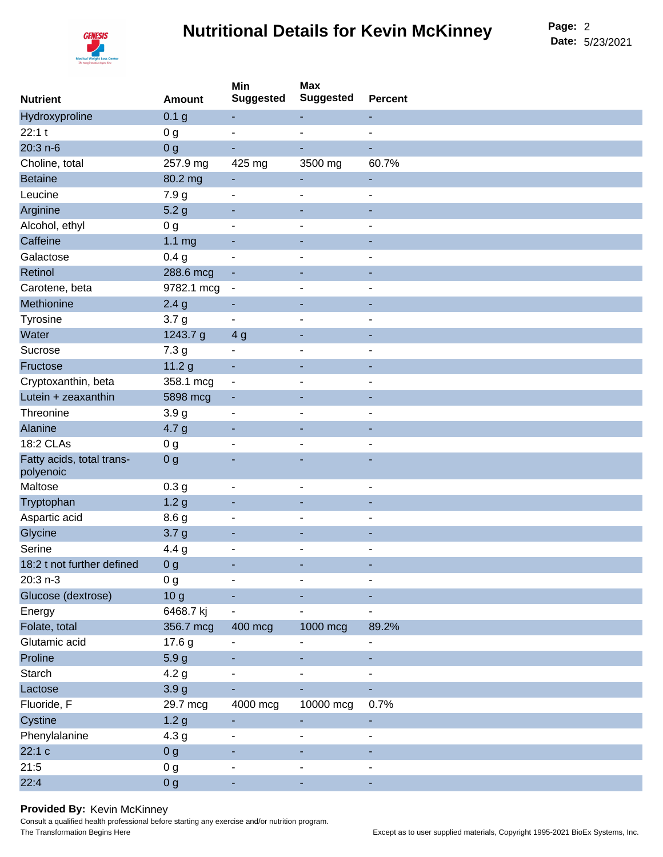# **Nutritional Details for Kevin McKinney**



**Date:** 5/23/2021 Page: 2

| <b>Nutrient</b>                        | <b>Amount</b>     | Min<br><b>Suggested</b>  | <b>Max</b><br><b>Suggested</b> | <b>Percent</b>           |
|----------------------------------------|-------------------|--------------------------|--------------------------------|--------------------------|
| Hydroxyproline                         | 0.1 <sub>g</sub>  |                          |                                | ٠                        |
| 22:1t                                  | 0 <sub>g</sub>    | $\overline{a}$           | ä,                             | $\blacksquare$           |
| 20:3 n-6                               | 0 <sub>g</sub>    |                          |                                | ٠                        |
| Choline, total                         | 257.9 mg          | 425 mg                   | 3500 mg                        | 60.7%                    |
| <b>Betaine</b>                         | 80.2 mg           |                          |                                | ٠                        |
| Leucine                                | 7.9 <sub>g</sub>  | $\overline{\phantom{a}}$ |                                | ۰                        |
| Arginine                               | 5.2 <sub>g</sub>  |                          |                                |                          |
| Alcohol, ethyl                         | 0 <sub>g</sub>    |                          |                                | $\blacksquare$           |
| Caffeine                               | 1.1 <sub>mg</sub> |                          |                                |                          |
| Galactose                              | 0.4 <sub>g</sub>  | $\blacksquare$           |                                |                          |
| Retinol                                | 288.6 mcg         |                          |                                |                          |
| Carotene, beta                         | 9782.1 mcg        | $\overline{\phantom{a}}$ |                                | $\overline{\phantom{a}}$ |
| Methionine                             | 2.4 <sub>g</sub>  | ٠                        |                                | ٠                        |
| Tyrosine                               | 3.7 <sub>g</sub>  |                          |                                | $\blacksquare$           |
| Water                                  | 1243.7 g          | 4 <sub>g</sub>           |                                |                          |
| Sucrose                                | 7.3 <sub>g</sub>  | $\overline{a}$           | $\blacksquare$                 | ۰                        |
| Fructose                               | 11.2 <sub>g</sub> | ٠                        |                                |                          |
| Cryptoxanthin, beta                    | 358.1 mcg         | $\overline{\phantom{a}}$ |                                |                          |
| Lutein + zeaxanthin                    | 5898 mcg          |                          |                                |                          |
| Threonine                              | 3.9 <sub>g</sub>  | $\overline{a}$           |                                |                          |
| Alanine                                | 4.7 <sub>g</sub>  |                          |                                |                          |
| 18:2 CLAs                              | 0 <sub>g</sub>    | $\overline{a}$           |                                | $\overline{\phantom{a}}$ |
| Fatty acids, total trans-<br>polyenoic | 0 <sub>g</sub>    |                          |                                |                          |
| Maltose                                | 0.3 <sub>g</sub>  | $\blacksquare$           | $\overline{a}$                 | $\overline{a}$           |
| Tryptophan                             | 1.2 <sub>g</sub>  |                          |                                |                          |
| Aspartic acid                          | 8.6 <sub>g</sub>  | $\overline{a}$           |                                | $\overline{\phantom{a}}$ |
| Glycine                                | 3.7 <sub>g</sub>  |                          |                                | ٠                        |
| Serine                                 | 4.4 g             |                          |                                | $\overline{a}$           |
| 18:2 t not further defined             | 0 <sub>g</sub>    |                          |                                |                          |
| 20:3 n-3                               | 0 <sub>g</sub>    | $\blacksquare$           | $\overline{a}$                 | $\overline{\phantom{a}}$ |
| Glucose (dextrose)                     | 10 <sub>g</sub>   |                          |                                |                          |
| Energy                                 | 6468.7 kj         |                          |                                | $\overline{\phantom{a}}$ |
| Folate, total                          | 356.7 mcg         | 400 mcg                  | 1000 mcg                       | 89.2%                    |
| Glutamic acid                          | 17.6 g            | $\blacksquare$           | $\overline{a}$                 | $\blacksquare$           |
| Proline                                | 5.9 <sub>g</sub>  |                          |                                |                          |
| Starch                                 | 4.2 <sub>g</sub>  |                          |                                | $\blacksquare$           |
| Lactose                                | 3.9 <sub>g</sub>  |                          |                                |                          |
| Fluoride, F                            | 29.7 mcg          | 4000 mcg                 | 10000 mcg                      | 0.7%                     |
| Cystine                                | 1.2 <sub>g</sub>  |                          |                                | ٠                        |
| Phenylalanine                          | 4.3 <sub>g</sub>  | $\overline{\phantom{a}}$ |                                | $\overline{\phantom{a}}$ |
| 22:1 c                                 | 0 <sub>g</sub>    |                          |                                | ٠                        |
| 21:5                                   | 0 <sub>g</sub>    | $\overline{a}$           |                                | $\overline{\phantom{a}}$ |
| 22:4                                   | 0 <sub>g</sub>    | $\blacksquare$           | $\blacksquare$                 | ٠                        |

#### **Provided By:** Kevin McKinney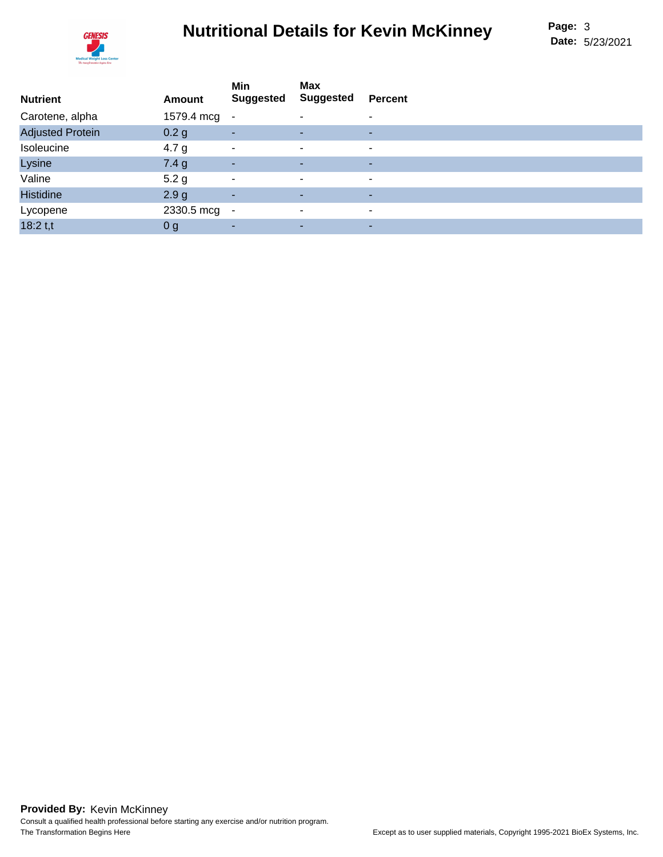# **Nutritional Details for Kevin McKinney**



| <b>Nutrient</b>         | Amount           | Min<br><b>Suggested</b>  | <b>Max</b><br><b>Suggested</b> | <b>Percent</b> |
|-------------------------|------------------|--------------------------|--------------------------------|----------------|
| Carotene, alpha         | 1579.4 mcg -     |                          |                                | ۰              |
| <b>Adjusted Protein</b> | 0.2 g            | ٠                        |                                | ٠              |
| Isoleucine              | 4.7 <sub>g</sub> | $\blacksquare$           | ٠                              | $\blacksquare$ |
| Lysine                  | 7.4g             | $\sim$                   |                                | ۰              |
| Valine                  | 5.2 <sub>g</sub> | $\overline{\phantom{a}}$ | ۰                              | $\blacksquare$ |
| <b>Histidine</b>        | 2.9 <sub>g</sub> | ٠                        | ۰.                             | ۰              |
| Lycopene                | 2330.5 mcg -     |                          | ۰                              | ۰              |
| $18:2$ t,t              | 0 <sub>g</sub>   | ٠                        |                                | ٠              |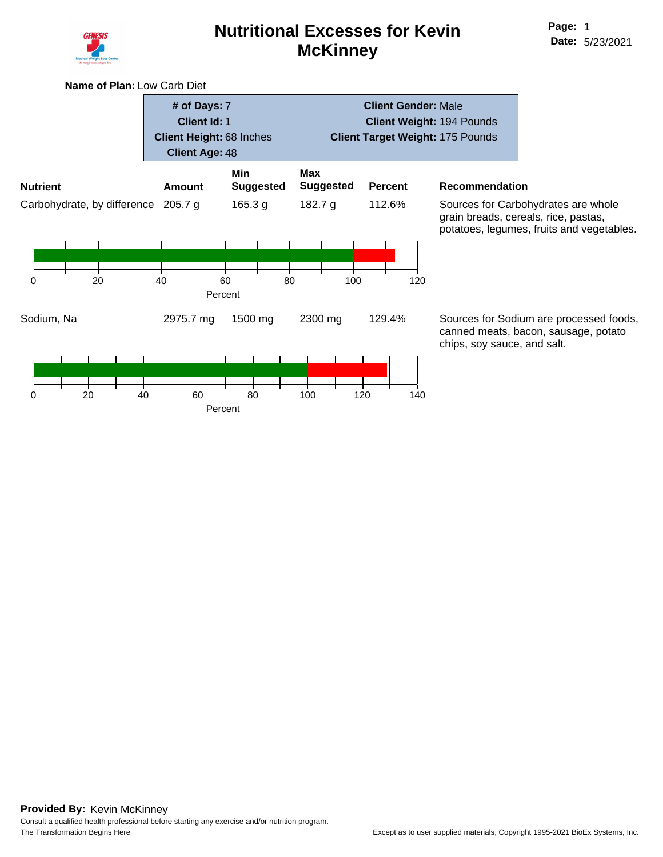

### **Nutritional Excesses for Kevin McKinney**

**Name of Plan:** Low Carb Diet

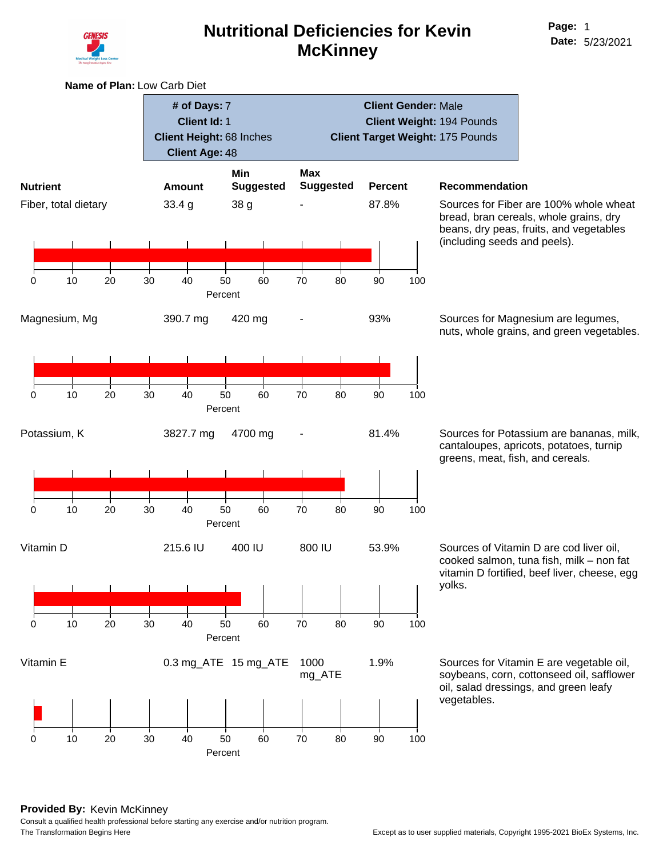

**Name of Plan:** Low Carb Diet

**# of Days:** 7

### **Nutritional Deficiencies for Kevin McKinney**

**Client Id:** 1 **Client Height:** 68 Inches **Client Age:** 48 **Client Weight:** 194 Pounds **Client Target Weight:** 175 Pounds **Nutrient Amount Min Suggested Max Suggested Percent Recommendation** Fiber, total dietary 33.4 g 38 g - 87.8% Sources for Fiber are 100% whole wheat 0 10 20 30 40 50 60 70 80 90 100 Percent Magnesium, Mg 390.7 mg 420 mg - 93% Sources for Magnesium are legumes, 0 10 20 30 40 50 60 70 80 90 100 Percent Potassium, K 3827.7 mg 4700 mg - 81.4% Sources for Potassium are bananas, milk, 0 10 20 30 40 50 60 70 80 90 100 Percent Vitamin D 215.6 IU 400 IU 800 IU 53.9% Sources of Vitamin D are cod liver oil, yolks. 0 10 20 30 40 50 60 70 80 90 100 Percent Vitamin E 0.3 mg ATE 15 mg ATE 1000 mg\_ATE vegetables. 0 10 20 30 40 50 60 70 80 90 100 Percent

**Client Gender:** Male

bread, bran cereals, whole grains, dry beans, dry peas, fruits, and vegetables (including seeds and peels).

nuts, whole grains, and green vegetables.

cantaloupes, apricots, potatoes, turnip greens, meat, fish, and cereals.

cooked salmon, tuna fish, milk – non fat vitamin D fortified, beef liver, cheese, egg

1.9% Sources for Vitamin E are vegetable oil, soybeans, corn, cottonseed oil, safflower oil, salad dressings, and green leafy

#### **Provided By:** Kevin McKinney